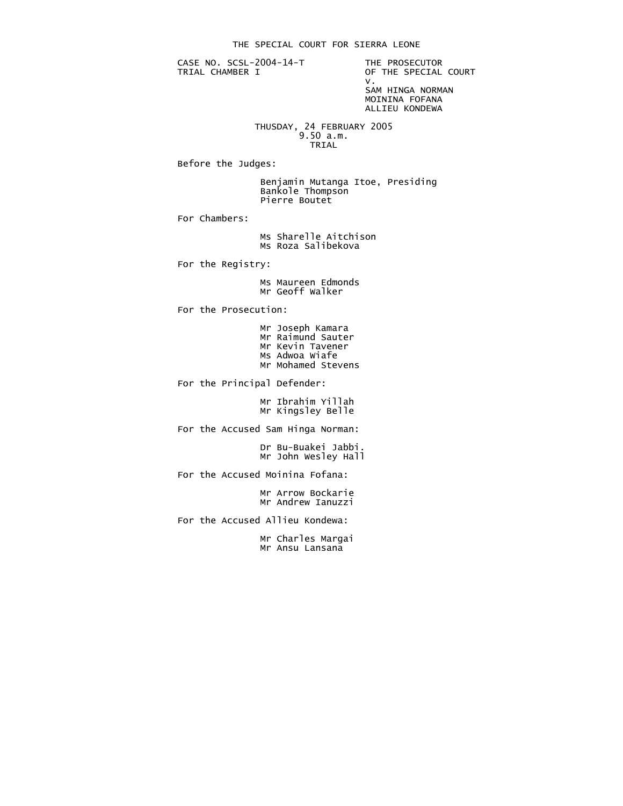CASE NO. SCSL-2004-14-T THE PROSECUTOR<br>TRIAL CHAMBER I OF THE SPECIAL

OF THE SPECIAL COURT<br>V. v. SAM HINGA NORMAN MOININA FOFANA

ALLIEU KONDEWA

 THUSDAY, 24 FEBRUARY 2005 9.50 a.m. TRIAL

Before the Judges:

 Benjamin Mutanga Itoe, Presiding Bankole Thompson Pierre Boutet

For Chambers:

 Ms Sharelle Aitchison Ms Roza Salibekova

For the Registry:

 Ms Maureen Edmonds Mr Geoff Walker

For the Prosecution:

| Mr Joseph Kamara   |
|--------------------|
| Mr Raimund Sauter  |
| Mr Kevin Tavener   |
| Ms Adwoa Wiafe     |
| Mr Mohamed Stevens |

For the Principal Defender:

 Mr Ibrahim Yillah Mr Kingsley Belle

For the Accused Sam Hinga Norman:

 Dr Bu-Buakei Jabbi. Mr John Wesley Hall

For the Accused Moinina Fofana:

 Mr Arrow Bockarie Mr Andrew Ianuzzi

For the Accused Allieu Kondewa:

 Mr Charles Margai Mr Ansu Lansana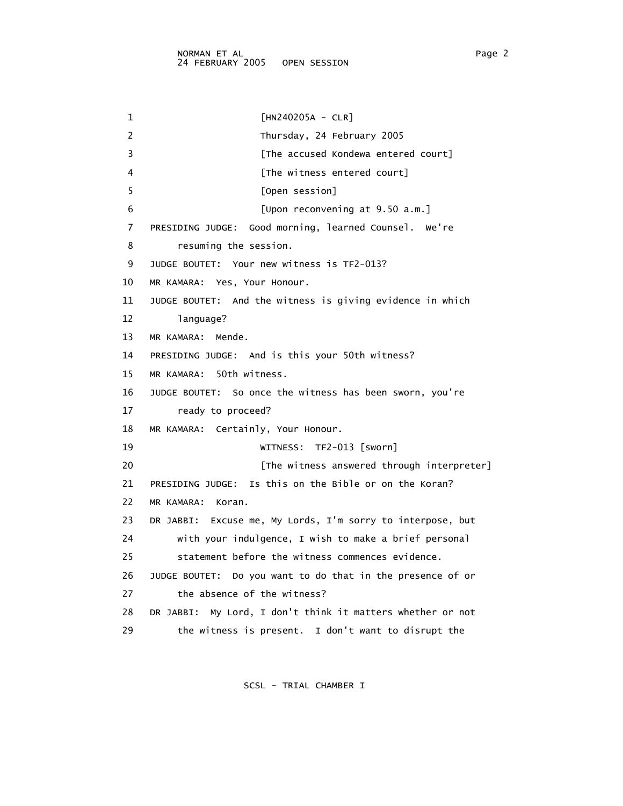1 [HN240205A - CLR] 2 Thursday, 24 February 2005 3 **Example 2 [The accused Kondewa entered court]** 4 **A Example 1** [The witness entered court] 5 [Open session] 6 [Upon reconvening at 9.50 a.m.] 7 PRESIDING JUDGE: Good morning, learned Counsel. We're 8 resuming the session. 9 JUDGE BOUTET: Your new witness is TF2-013? 10 MR KAMARA: Yes, Your Honour. 11 JUDGE BOUTET: And the witness is giving evidence in which 12 language? 13 MR KAMARA: Mende. 14 PRESIDING JUDGE: And is this your 50th witness? 15 MR KAMARA: 50th witness. 16 JUDGE BOUTET: So once the witness has been sworn, you're 17 ready to proceed? 18 MR KAMARA: Certainly, Your Honour. 19 WITNESS: TF2-013 [sworn] 20 **Example 20** [The witness answered through interpreter] 21 PRESIDING JUDGE: Is this on the Bible or on the Koran? 22 MR KAMARA: Koran. 23 DR JABBI: Excuse me, My Lords, I'm sorry to interpose, but 24 with your indulgence, I wish to make a brief personal 25 statement before the witness commences evidence. 26 JUDGE BOUTET: Do you want to do that in the presence of or 27 the absence of the witness? 28 DR JABBI: My Lord, I don't think it matters whether or not 29 the witness is present. I don't want to disrupt the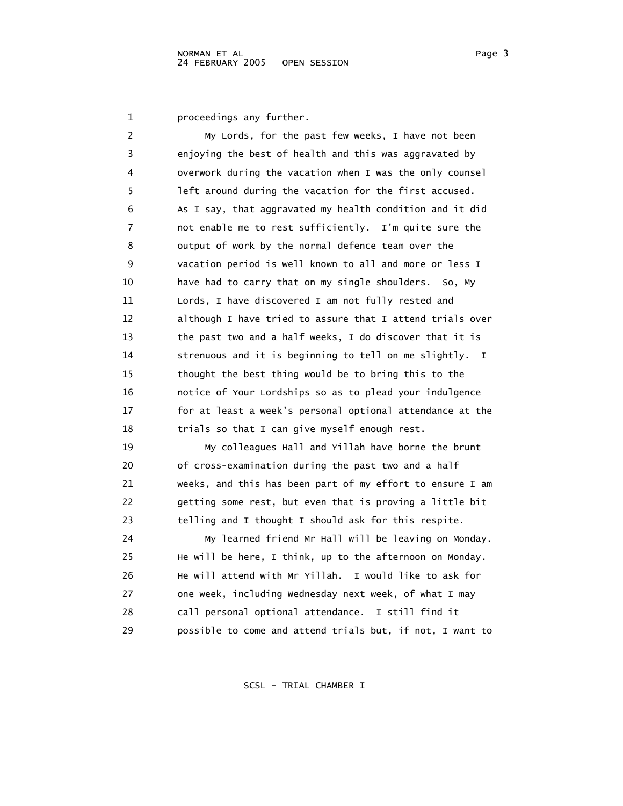1 proceedings any further.

| 2  | My Lords, for the past few weeks, I have not been           |
|----|-------------------------------------------------------------|
| 3  | enjoying the best of health and this was aggravated by      |
| 4  | overwork during the vacation when I was the only counsel    |
| 5  | left around during the vacation for the first accused.      |
| 6  | As I say, that aggravated my health condition and it did    |
| 7  | not enable me to rest sufficiently. I'm quite sure the      |
| 8  | output of work by the normal defence team over the          |
| 9  | vacation period is well known to all and more or less I     |
| 10 | have had to carry that on my single shoulders. So, My       |
| 11 | Lords, I have discovered I am not fully rested and          |
| 12 | although I have tried to assure that I attend trials over   |
| 13 | the past two and a half weeks, I do discover that it is     |
| 14 | strenuous and it is beginning to tell on me slightly.<br>I. |
| 15 | thought the best thing would be to bring this to the        |
| 16 | notice of Your Lordships so as to plead your indulgence     |
| 17 | for at least a week's personal optional attendance at the   |
| 18 | trials so that I can give myself enough rest.               |
| 19 | My colleagues Hall and Yillah have borne the brunt          |
| 20 | of cross-examination during the past two and a half         |
| 21 | weeks, and this has been part of my effort to ensure I am   |
| 22 | getting some rest, but even that is proving a little bit    |
| 23 | telling and I thought I should ask for this respite.        |
| 24 | My learned friend Mr Hall will be leaving on Monday.        |
| 25 | He will be here, I think, up to the afternoon on Monday.    |
| 26 | He will attend with Mr Yillah. I would like to ask for      |
| 27 | one week, including wednesday next week, of what I may      |
| 28 | call personal optional attendance. I still find it          |
| 29 | possible to come and attend trials but, if not, I want to   |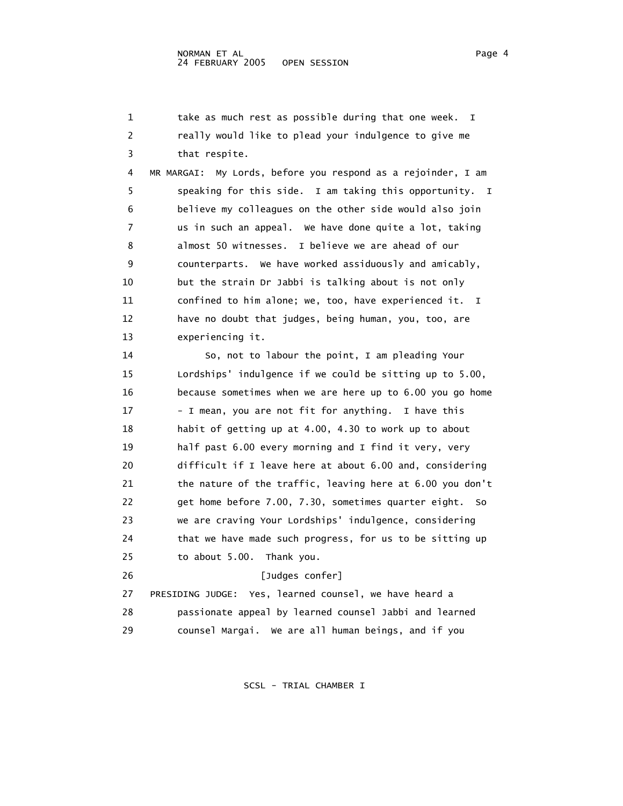1 take as much rest as possible during that one week. I 2 really would like to plead your indulgence to give me 3 that respite. 4 MR MARGAI: My Lords, before you respond as a rejoinder, I am 5 speaking for this side. I am taking this opportunity. I 6 believe my colleagues on the other side would also join 7 us in such an appeal. We have done quite a lot, taking 8 almost 50 witnesses. I believe we are ahead of our 9 counterparts. We have worked assiduously and amicably, 10 but the strain Dr Jabbi is talking about is not only 11 confined to him alone; we, too, have experienced it. I 12 have no doubt that judges, being human, you, too, are 13 experiencing it. 14 So, not to labour the point, I am pleading Your 15 Lordships' indulgence if we could be sitting up to 5.00, 16 because sometimes when we are here up to 6.00 you go home 17 - I mean, you are not fit for anything. I have this 18 habit of getting up at 4.00, 4.30 to work up to about 19 half past 6.00 every morning and I find it very, very 20 difficult if I leave here at about 6.00 and, considering 21 the nature of the traffic, leaving here at 6.00 you don't 22 get home before 7.00, 7.30, sometimes quarter eight. So 23 we are craving Your Lordships' indulgence, considering 24 that we have made such progress, for us to be sitting up 25 to about 5.00. Thank you. 26 [Judges confer] 27 PRESIDING JUDGE: Yes, learned counsel, we have heard a 28 passionate appeal by learned counsel Jabbi and learned 29 counsel Margai. We are all human beings, and if you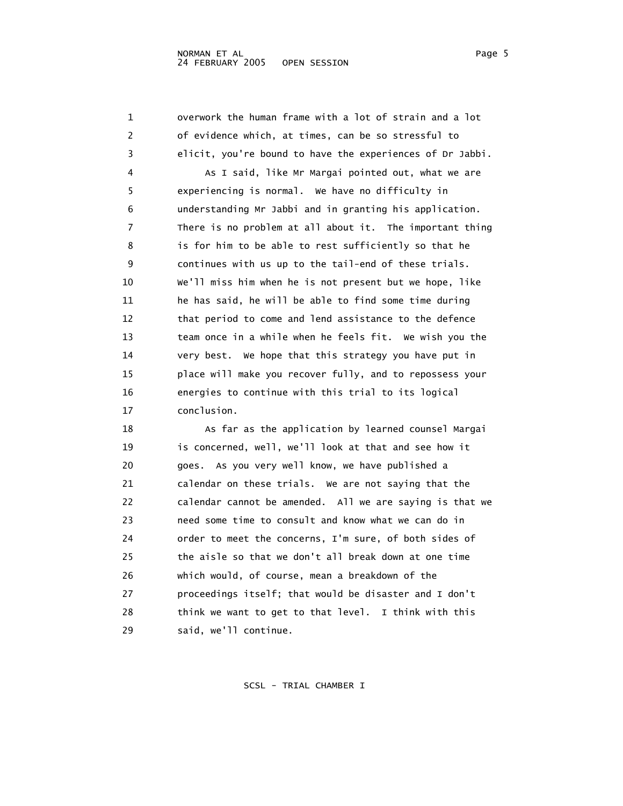1 overwork the human frame with a lot of strain and a lot 2 of evidence which, at times, can be so stressful to 3 elicit, you're bound to have the experiences of Dr Jabbi. 4 As I said, like Mr Margai pointed out, what we are 5 experiencing is normal. We have no difficulty in 6 understanding Mr Jabbi and in granting his application. 7 There is no problem at all about it. The important thing 8 is for him to be able to rest sufficiently so that he 9 continues with us up to the tail-end of these trials. 10 We'll miss him when he is not present but we hope, like 11 he has said, he will be able to find some time during 12 that period to come and lend assistance to the defence 13 team once in a while when he feels fit. We wish you the 14 very best. We hope that this strategy you have put in 15 place will make you recover fully, and to repossess your 16 energies to continue with this trial to its logical 17 conclusion. 18 As far as the application by learned counsel Margai

 19 is concerned, well, we'll look at that and see how it 20 goes. As you very well know, we have published a 21 calendar on these trials. We are not saying that the 22 calendar cannot be amended. All we are saying is that we 23 need some time to consult and know what we can do in 24 order to meet the concerns, I'm sure, of both sides of 25 the aisle so that we don't all break down at one time 26 which would, of course, mean a breakdown of the 27 proceedings itself; that would be disaster and I don't 28 think we want to get to that level. I think with this 29 said, we'll continue.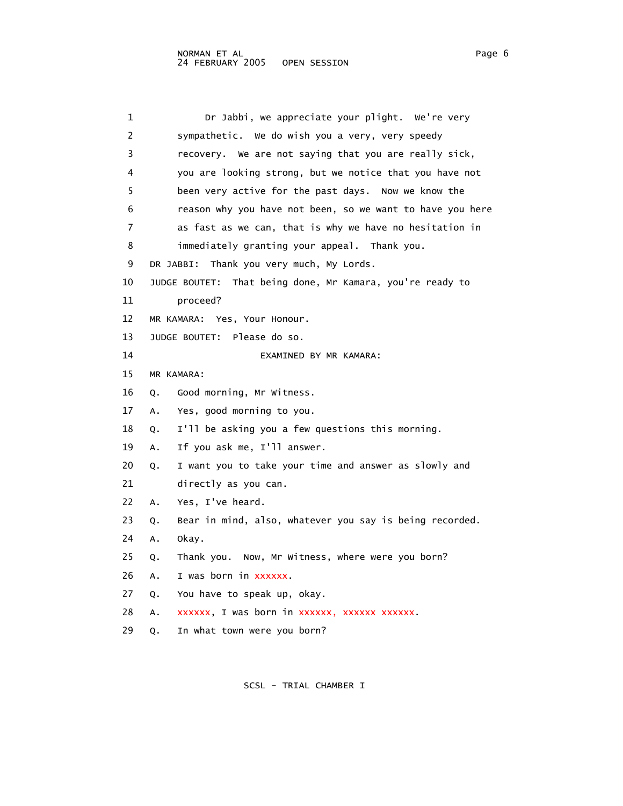| 1  | Dr Jabbi, we appreciate your plight. We're very               |
|----|---------------------------------------------------------------|
| 2  | sympathetic. We do wish you a very, very speedy               |
| 3  | recovery. We are not saying that you are really sick,         |
| 4  | you are looking strong, but we notice that you have not       |
| 5  | been very active for the past days. Now we know the           |
| 6  | reason why you have not been, so we want to have you here     |
| 7  | as fast as we can, that is why we have no hesitation in       |
| 8  | immediately granting your appeal. Thank you.                  |
| 9  | Thank you very much, My Lords.<br>DR JABBI:                   |
| 10 | That being done, Mr Kamara, you're ready to<br>JUDGE BOUTET:  |
| 11 | proceed?                                                      |
| 12 | MR KAMARA: Yes, Your Honour.                                  |
| 13 | JUDGE BOUTET: Please do so.                                   |
| 14 | EXAMINED BY MR KAMARA:                                        |
| 15 | MR KAMARA:                                                    |
| 16 | Good morning, Mr Witness.<br>Q.                               |
| 17 | Yes, good morning to you.<br>Α.                               |
| 18 | I'll be asking you a few questions this morning.<br>Q.        |
| 19 | If you ask me, I'll answer.<br>Α.                             |
| 20 | I want you to take your time and answer as slowly and<br>Q.   |
| 21 | directly as you can.                                          |
| 22 | Yes, I've heard.<br>Α.                                        |
| 23 | Bear in mind, also, whatever you say is being recorded.<br>Q. |
| 24 | okay.<br>Α.                                                   |
| 25 | Thank you. Now, Mr Witness, where were you born?<br>Q.        |
| 26 | I was born in xxxxxx.<br>Α.                                   |
| 27 | You have to speak up, okay.<br>Q.                             |
| 28 | xxxxxx, I was born in xxxxxx, xxxxxx xxxxxx.<br>Α.            |
| 29 | In what town were you born?<br>Q.                             |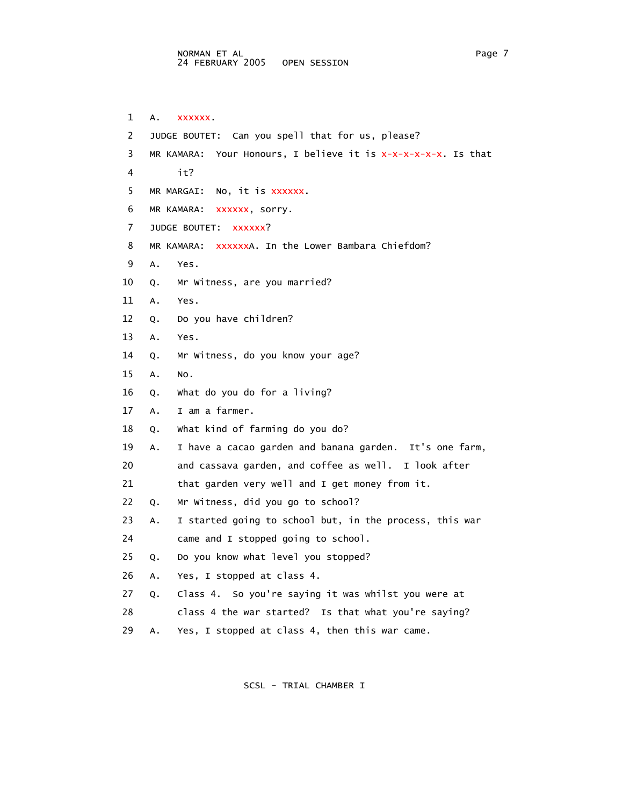1 A. xxxxxx. 2 JUDGE BOUTET: Can you spell that for us, please? 3 MR KAMARA: Your Honours, I believe it is x-x-x-x-x-x. Is that 4 it? 5 MR MARGAI: No, it is xxxxxx. 6 MR KAMARA: xxxxxx, sorry. 7 JUDGE BOUTET: XXXXXX? 8 MR KAMARA: xxxxxxA. In the Lower Bambara Chiefdom? 9 A. Yes. 10 Q. Mr Witness, are you married? 11 A. Yes. 12 Q. Do you have children? 13 A. Yes. 14 Q. Mr Witness, do you know your age? 15 A. No. 16 Q. What do you do for a living? 17 A. I am a farmer. 18 Q. What kind of farming do you do? 19 A. I have a cacao garden and banana garden. It's one farm, 20 and cassava garden, and coffee as well. I look after 21 that garden very well and I get money from it. 22 Q. Mr Witness, did you go to school? 23 A. I started going to school but, in the process, this war 24 came and I stopped going to school. 25 Q. Do you know what level you stopped? 26 A. Yes, I stopped at class 4. 27 Q. Class 4. So you're saying it was whilst you were at 28 class 4 the war started? Is that what you're saying? 29 A. Yes, I stopped at class 4, then this war came.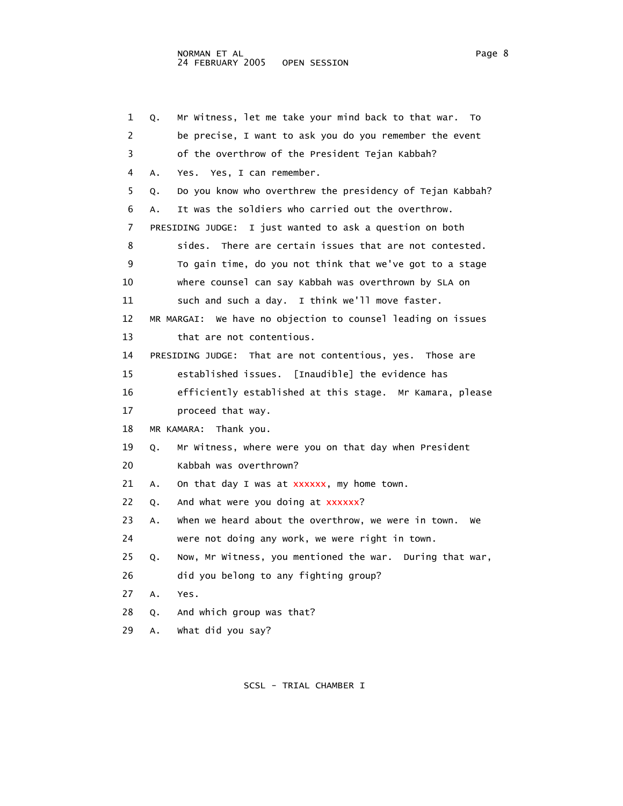1 Q. Mr Witness, let me take your mind back to that war. To 2 be precise, I want to ask you do you remember the event 3 of the overthrow of the President Tejan Kabbah? 4 A. Yes. Yes, I can remember. 5 Q. Do you know who overthrew the presidency of Tejan Kabbah? 6 A. It was the soldiers who carried out the overthrow. 7 PRESIDING JUDGE: I just wanted to ask a question on both 8 sides. There are certain issues that are not contested. 9 To gain time, do you not think that we've got to a stage 10 where counsel can say Kabbah was overthrown by SLA on 11 such and such a day. I think we'll move faster. 12 MR MARGAI: We have no objection to counsel leading on issues 13 that are not contentious. 14 PRESIDING JUDGE: That are not contentious, yes. Those are 15 established issues. [Inaudible] the evidence has 16 efficiently established at this stage. Mr Kamara, please 17 proceed that way. 18 MR KAMARA: Thank you. 19 Q. Mr Witness, where were you on that day when President 20 Kabbah was overthrown? 21 A. On that day I was at xxxxxx, my home town. 22 Q. And what were you doing at xxxxxx? 23 A. When we heard about the overthrow, we were in town. We 24 were not doing any work, we were right in town. 25 Q. Now, Mr Witness, you mentioned the war. During that war, 26 did you belong to any fighting group? 27 A. Yes. 28 Q. And which group was that? 29 A. What did you say?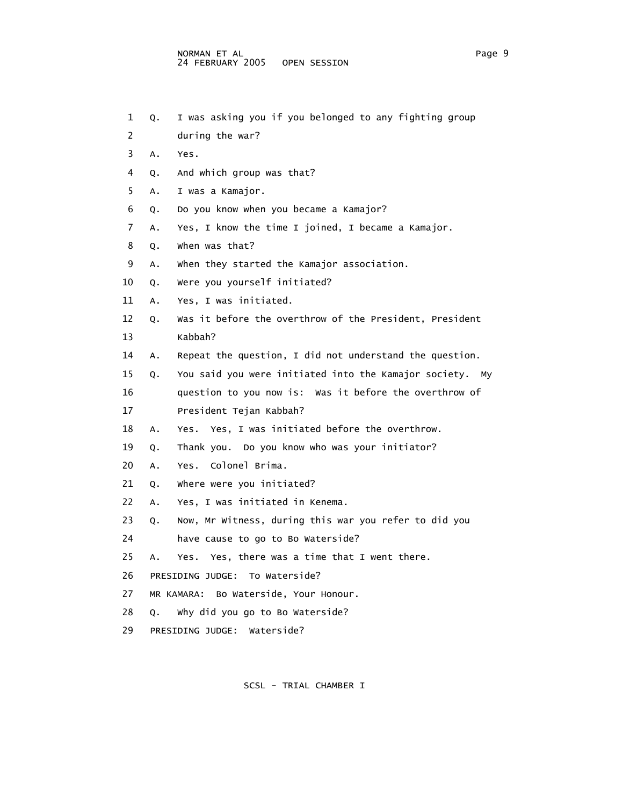- 1 Q. I was asking you if you belonged to any fighting group
- 2 during the war?
- 3 A. Yes.
- 4 Q. And which group was that?
- 5 A. I was a Kamajor.
- 6 Q. Do you know when you became a Kamajor?
- 7 A. Yes, I know the time I joined, I became a Kamajor.
- 8 Q. When was that?
- 9 A. When they started the Kamajor association.
- 10 Q. Were you yourself initiated?
- 11 A. Yes, I was initiated.
- 12 Q. Was it before the overthrow of the President, President 13 Kabbah?
- 14 A. Repeat the question, I did not understand the question.

 15 Q. You said you were initiated into the Kamajor society. My 16 question to you now is: Was it before the overthrow of

- 17 President Tejan Kabbah?
- 18 A. Yes. Yes, I was initiated before the overthrow.

19 Q. Thank you. Do you know who was your initiator?

- 20 A. Yes. Colonel Brima.
- 21 O. Where were you initiated?
- 22 A. Yes, I was initiated in Kenema.
- 23 Q. Now, Mr Witness, during this war you refer to did you
- 24 have cause to go to Bo Waterside?
- 25 A. Yes. Yes, there was a time that I went there.
- 26 PRESIDING JUDGE: To Waterside?
- 27 MR KAMARA: Bo Waterside, Your Honour.
- 28 Q. Why did you go to Bo Waterside?
- 29 PRESIDING JUDGE: Waterside?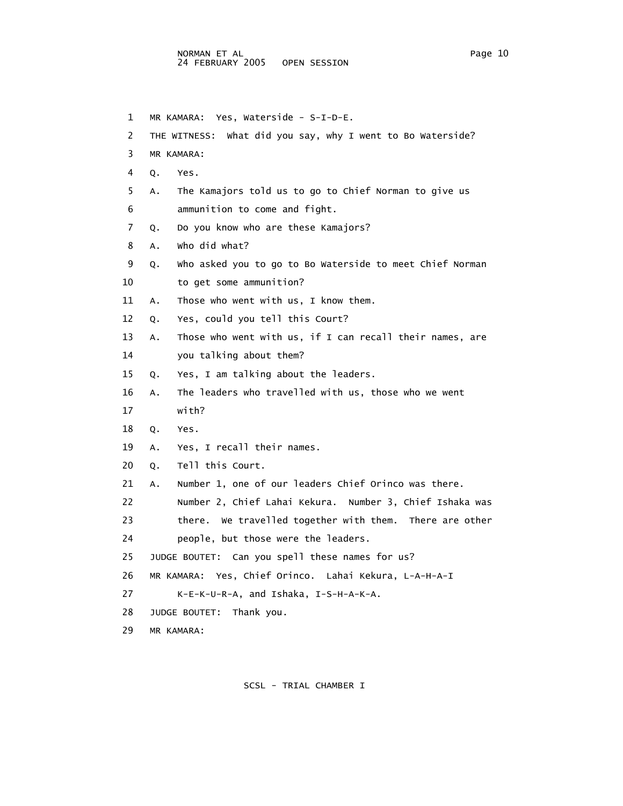1 MR KAMARA: Yes, Waterside - S-I-D-E. 2 THE WITNESS: What did you say, why I went to Bo Waterside? 3 MR KAMARA: 4 Q. Yes. 5 A. The Kamajors told us to go to Chief Norman to give us 6 ammunition to come and fight. 7 Q. Do you know who are these Kamajors? 8 A. Who did what? 9 Q. Who asked you to go to Bo Waterside to meet Chief Norman 10 to get some ammunition? 11 A. Those who went with us, I know them. 12 Q. Yes, could you tell this Court? 13 A. Those who went with us, if I can recall their names, are 14 you talking about them? 15 Q. Yes, I am talking about the leaders. 16 A. The leaders who travelled with us, those who we went 17 with? 18 Q. Yes. 19 A. Yes, I recall their names. 20 Q. Tell this Court. 21 A. Number 1, one of our leaders Chief Orinco was there. 22 Number 2, Chief Lahai Kekura. Number 3, Chief Ishaka was 23 there. We travelled together with them. There are other 24 people, but those were the leaders. 25 JUDGE BOUTET: Can you spell these names for us? 26 MR KAMARA: Yes, Chief Orinco. Lahai Kekura, L-A-H-A-I 27 K-E-K-U-R-A, and Ishaka, I-S-H-A-K-A. 28 JUDGE BOUTET: Thank you. 29 MR KAMARA: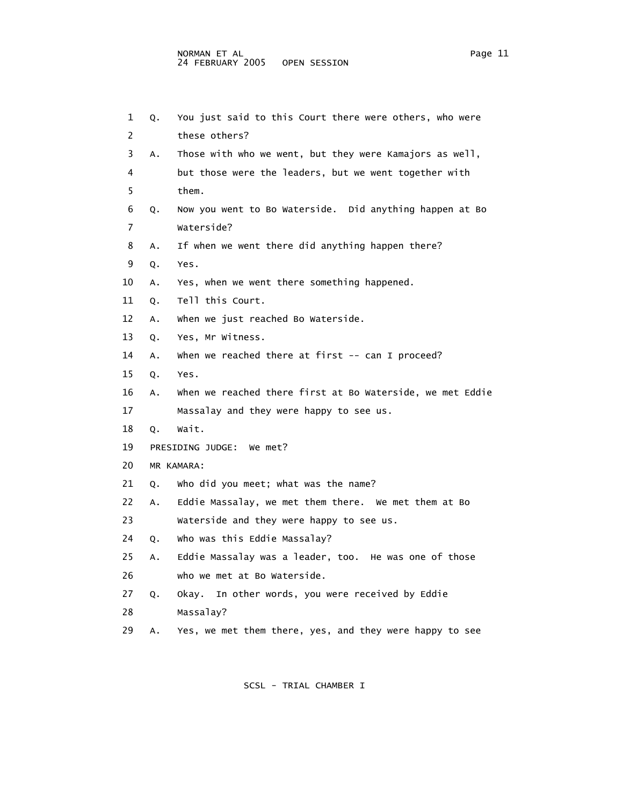| 1              | Q. | You just said to this Court there were others, who were   |
|----------------|----|-----------------------------------------------------------|
| 2              |    | these others?                                             |
| 3              | Α. | Those with who we went, but they were Kamajors as well,   |
| 4              |    | but those were the leaders, but we went together with     |
| 5              |    | them.                                                     |
| 6              | Q. | Now you went to Bo Waterside. Did anything happen at Bo   |
| $\overline{7}$ |    | Waterside?                                                |
| 8              | Α. | If when we went there did anything happen there?          |
| 9              | Q. | Yes.                                                      |
| 10             | Α. | Yes, when we went there something happened.               |
| 11             | Q. | Tell this Court.                                          |
| 12             | Α. | when we just reached Bo Waterside.                        |
| 13             | Q. | Yes, Mr Witness.                                          |
| 14             | Α. | when we reached there at first -- can I proceed?          |
| 15             | Q. | Yes.                                                      |
| 16             | А. | when we reached there first at Bo Waterside, we met Eddie |
| 17             |    | Massalay and they were happy to see us.                   |
| 18             | Q. | Wait.                                                     |
| 19             |    | PRESIDING JUDGE: We met?                                  |
| 20             |    | MR KAMARA:                                                |
| 21             | Q. | who did you meet; what was the name?                      |
| 22             | Α. | Eddie Massalay, we met them there. We met them at Bo      |
| 23             |    | Waterside and they were happy to see us.                  |
| 24             | Q. | Who was this Eddie Massalay?                              |
| 25             | Α. | Eddie Massalay was a leader, too. He was one of those     |
| 26             |    | who we met at Bo Waterside.                               |
| 27             | Q. | In other words, you were received by Eddie<br>Okay.       |
| 28             |    | Massalay?                                                 |
| 29             | А. | Yes, we met them there, yes, and they were happy to see   |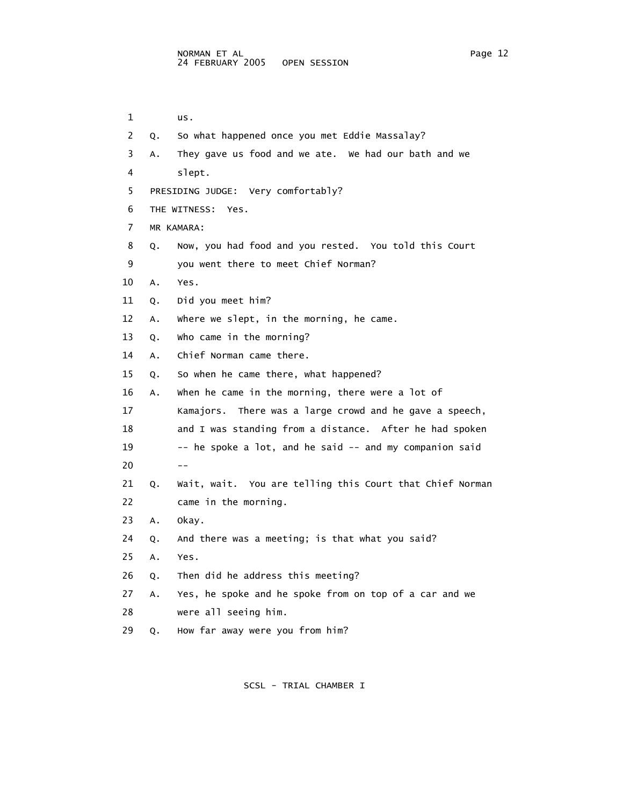| $\mathbf{1}$ |                                    | us.                                                     |  |  |  |
|--------------|------------------------------------|---------------------------------------------------------|--|--|--|
|              |                                    | 2 Q. So what happened once you met Eddie Massalay?      |  |  |  |
| 3            |                                    | A. They gave us food and we ate. We had our bath and we |  |  |  |
| $4 \quad$    |                                    | slept.                                                  |  |  |  |
| 5            | PRESIDING JUDGE: Very comfortably? |                                                         |  |  |  |
| 6            | THE WITNESS: Yes.                  |                                                         |  |  |  |

7 MR KAMARA:

8 Q. Now, you had food and you rested. You told this Court

9 you went there to meet Chief Norman?

10 A. Yes.

11 Q. Did you meet him?

12 A. Where we slept, in the morning, he came.

13 Q. Who came in the morning?

14 A. Chief Norman came there.

15 Q. So when he came there, what happened?

 16 A. When he came in the morning, there were a lot of 17 Kamajors. There was a large crowd and he gave a speech, 18 and I was standing from a distance. After he had spoken 19 -- he spoke a lot, and he said -- and my companion said  $20$  -- 21 Q. Wait, wait. You are telling this Court that Chief Norman 22 came in the morning. 23 A. Okay. 24 Q. And there was a meeting; is that what you said? 25 A. Yes. 26 Q. Then did he address this meeting? 27 A. Yes, he spoke and he spoke from on top of a car and we

28 were all seeing him.

29 Q. How far away were you from him?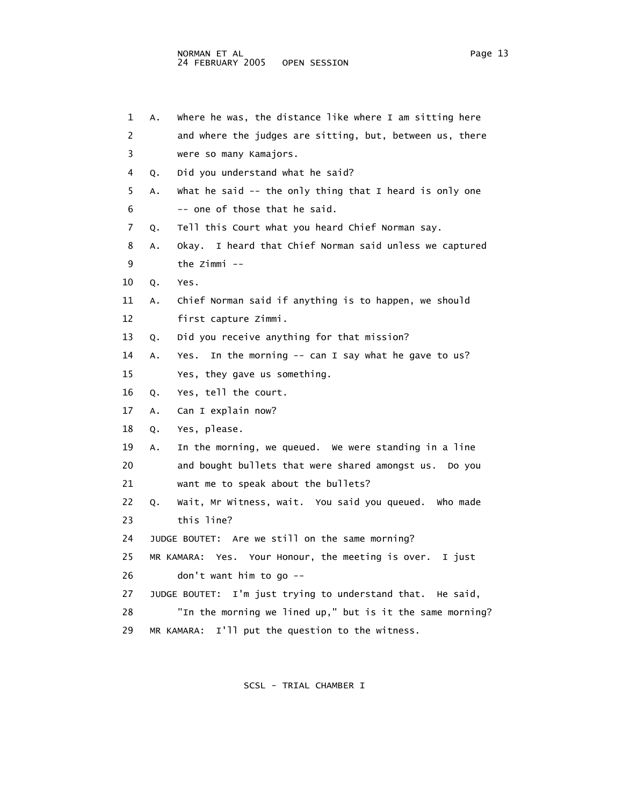1 A. Where he was, the distance like where I am sitting here 2 and where the judges are sitting, but, between us, there 3 were so many Kamajors. 4 Q. Did you understand what he said? 5 A. What he said -- the only thing that I heard is only one 6 -- one of those that he said. 7 Q. Tell this Court what you heard Chief Norman say. 8 A. Okay. I heard that Chief Norman said unless we captured 9 the Zimmi -- 11 A. Chief Norman said if anything is to happen, we should

12 first capture Zimmi.

13 Q. Did you receive anything for that mission?

14 A. Yes. In the morning -- can I say what he gave to us?

15 Yes, they gave us something.

16 Q. Yes, tell the court.

17 A. Can I explain now?

18 Q. Yes, please.

10 Q. Yes.

 19 A. In the morning, we queued. We were standing in a line 20 and bought bullets that were shared amongst us. Do you 21 want me to speak about the bullets?

 22 Q. Wait, Mr Witness, wait. You said you queued. Who made 23 this line?

24 JUDGE BOUTET: Are we still on the same morning?

 25 MR KAMARA: Yes. Your Honour, the meeting is over. I just 26 don't want him to go --

27 JUDGE BOUTET: I'm just trying to understand that. He said,

 28 "In the morning we lined up," but is it the same morning? 29 MR KAMARA: I'll put the question to the witness.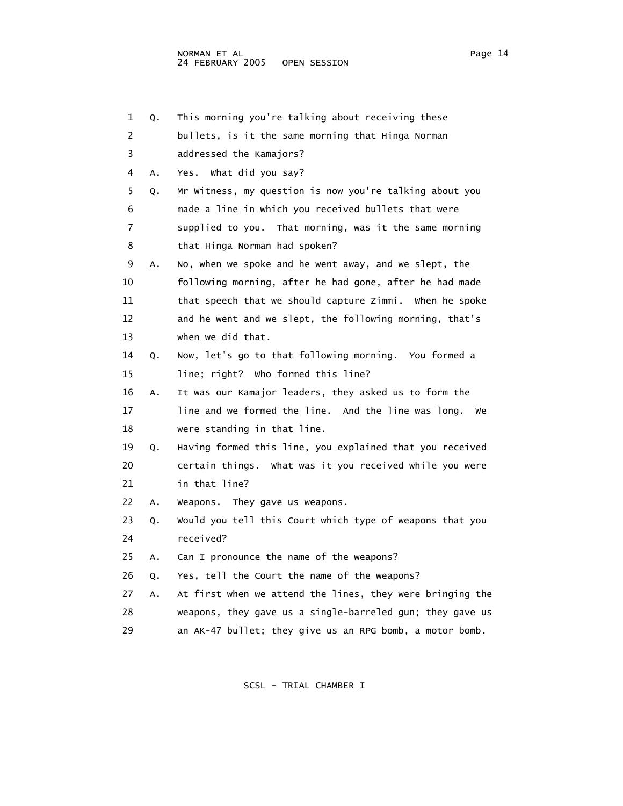1 Q. This morning you're talking about receiving these 2 bullets, is it the same morning that Hinga Norman 3 addressed the Kamajors? 4 A. Yes. What did you say? 5 Q. Mr Witness, my question is now you're talking about you 6 made a line in which you received bullets that were 7 supplied to you. That morning, was it the same morning 8 that Hinga Norman had spoken? 9 A. No, when we spoke and he went away, and we slept, the 10 following morning, after he had gone, after he had made 11 that speech that we should capture Zimmi. When he spoke 12 and he went and we slept, the following morning, that's 13 when we did that. 14 Q. Now, let's go to that following morning. You formed a 15 line; right? Who formed this line? 16 A. It was our Kamajor leaders, they asked us to form the 17 line and we formed the line. And the line was long. We 18 were standing in that line. 19 Q. Having formed this line, you explained that you received 20 certain things. What was it you received while you were 21 in that line? 22 A. Weapons. They gave us weapons. 23 Q. Would you tell this Court which type of weapons that you 24 received? 25 A. Can I pronounce the name of the weapons? 26 Q. Yes, tell the Court the name of the weapons? 27 A. At first when we attend the lines, they were bringing the 28 weapons, they gave us a single-barreled gun; they gave us 29 an AK-47 bullet; they give us an RPG bomb, a motor bomb.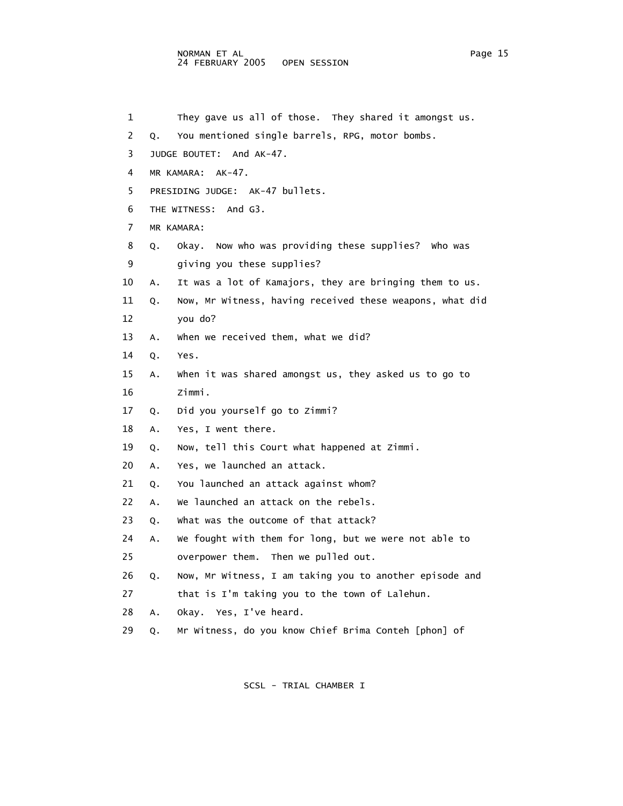## NORMAN ET AL Page 15 24 FEBRUARY 2005 OPEN SESSION

 1 They gave us all of those. They shared it amongst us. 2 Q. You mentioned single barrels, RPG, motor bombs. 3 JUDGE BOUTET: And AK-47. 4 MR KAMARA: AK-47. 5 PRESIDING JUDGE: AK-47 bullets. 6 THE WITNESS: And G3. 7 MR KAMARA: 8 Q. Okay. Now who was providing these supplies? Who was 9 giving you these supplies? 10 A. It was a lot of Kamajors, they are bringing them to us. 11 Q. Now, Mr Witness, having received these weapons, what did 12 you do? 13 A. When we received them, what we did? 14 Q. Yes. 15 A. When it was shared amongst us, they asked us to go to 16 Zimmi. 17 Q. Did you yourself go to Zimmi? 18 A. Yes, I went there. 19 Q. Now, tell this Court what happened at Zimmi. 20 A. Yes, we launched an attack. 21 Q. You launched an attack against whom? 22 A. We launched an attack on the rebels. 23 Q. What was the outcome of that attack? 24 A. We fought with them for long, but we were not able to 25 overpower them. Then we pulled out. 26 Q. Now, Mr Witness, I am taking you to another episode and 27 that is I'm taking you to the town of Lalehun. 28 A. Okay. Yes, I've heard. 29 Q. Mr Witness, do you know Chief Brima Conteh [phon] of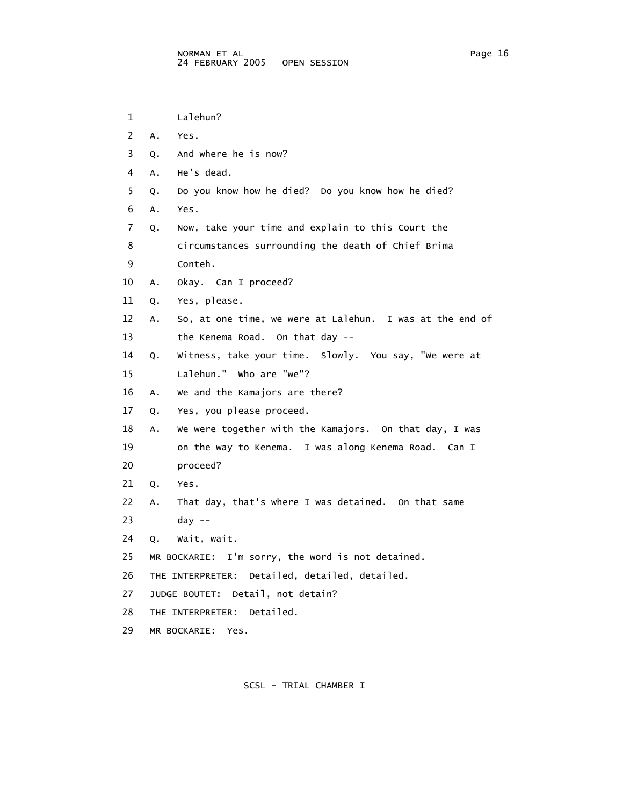```
 1 Lalehun? 
 2 A. Yes. 
 3 Q. And where he is now? 
 4 A. He's dead. 
 5 Q. Do you know how he died? Do you know how he died? 
 6 A. Yes. 
 7 Q. Now, take your time and explain to this Court the 
 8 circumstances surrounding the death of Chief Brima 
 9 Conteh. 
 10 A. Okay. Can I proceed? 
 11 Q. Yes, please. 
 12 A. So, at one time, we were at Lalehun. I was at the end of 
 13 the Kenema Road. On that day -- 
 14 Q. Witness, take your time. Slowly. You say, "We were at 
 15 Lalehun." Who are "we"? 
 16 A. We and the Kamajors are there? 
 17 Q. Yes, you please proceed. 
 18 A. We were together with the Kamajors. On that day, I was 
 19 on the way to Kenema. I was along Kenema Road. Can I 
 20 proceed? 
 21 Q. Yes. 
 22 A. That day, that's where I was detained. On that same 
 23 day -- 
 24 Q. Wait, wait. 
 25 MR BOCKARIE: I'm sorry, the word is not detained. 
 26 THE INTERPRETER: Detailed, detailed, detailed. 
 27 JUDGE BOUTET: Detail, not detain? 
 28 THE INTERPRETER: Detailed. 
 29 MR BOCKARIE: Yes.
```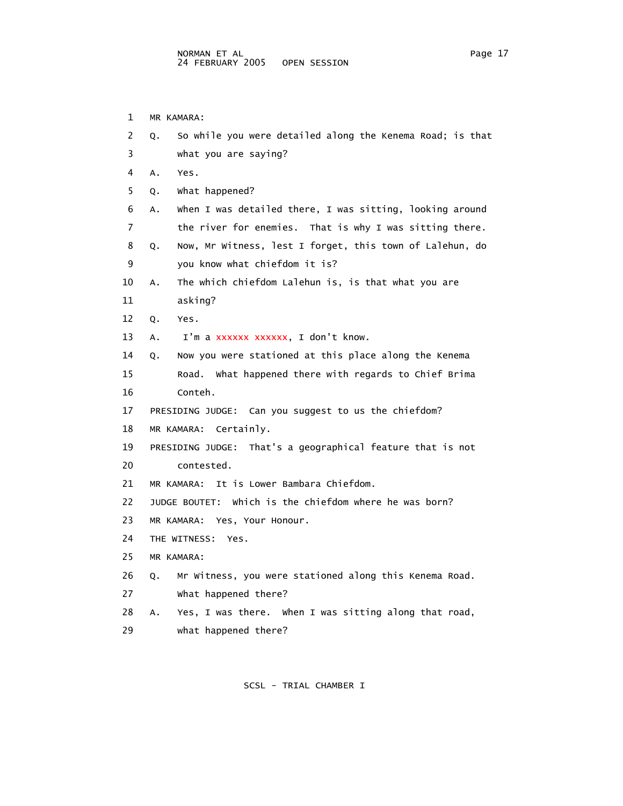1 MR KAMARA: 2 Q. So while you were detailed along the Kenema Road; is that 3 what you are saying? 4 A. Yes. 5 Q. What happened? 6 A. When I was detailed there, I was sitting, looking around 7 the river for enemies. That is why I was sitting there. 8 Q. Now, Mr Witness, lest I forget, this town of Lalehun, do 9 you know what chiefdom it is? 10 A. The which chiefdom Lalehun is, is that what you are 11 asking? 12 Q. Yes. 13 A. I'm a xxxxxx xxxxxx, I don't know. 14 Q. Now you were stationed at this place along the Kenema 15 Road. What happened there with regards to Chief Brima 16 Conteh. 17 PRESIDING JUDGE: Can you suggest to us the chiefdom? 18 MR KAMARA: Certainly. 19 PRESIDING JUDGE: That's a geographical feature that is not 20 contested. 21 MR KAMARA: It is Lower Bambara Chiefdom. 22 JUDGE BOUTET: Which is the chiefdom where he was born? 23 MR KAMARA: Yes, Your Honour. 24 THE WITNESS: Yes. 25 MR KAMARA: 26 Q. Mr Witness, you were stationed along this Kenema Road. 27 What happened there? 28 A. Yes, I was there. When I was sitting along that road, 29 what happened there?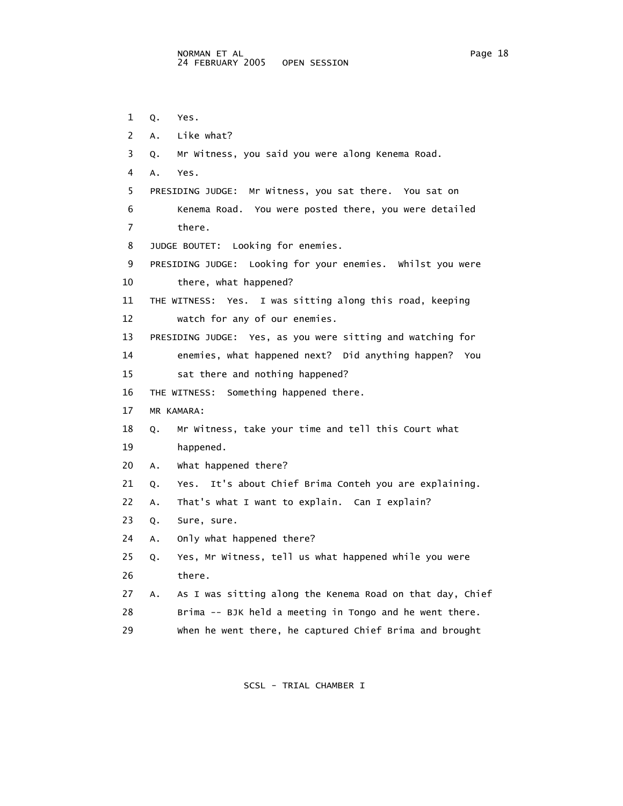1 Q. Yes. 2 A. Like what? 3 Q. Mr Witness, you said you were along Kenema Road. 4 A. Yes. 5 PRESIDING JUDGE: Mr Witness, you sat there. You sat on 6 Kenema Road. You were posted there, you were detailed 7 there. 8 JUDGE BOUTET: Looking for enemies. 9 PRESIDING JUDGE: Looking for your enemies. Whilst you were 10 there, what happened? 11 THE WITNESS: Yes. I was sitting along this road, keeping 12 watch for any of our enemies. 13 PRESIDING JUDGE: Yes, as you were sitting and watching for 14 enemies, what happened next? Did anything happen? You 15 sat there and nothing happened? 16 THE WITNESS: Something happened there. 17 MR KAMARA: 18 Q. Mr Witness, take your time and tell this Court what 19 happened. 20 A. What happened there? 21 Q. Yes. It's about Chief Brima Conteh you are explaining. 22 A. That's what I want to explain. Can I explain? 23 Q. Sure, sure. 24 A. Only what happened there? 25 Q. Yes, Mr Witness, tell us what happened while you were 26 there. 27 A. As I was sitting along the Kenema Road on that day, Chief 28 Brima -- BJK held a meeting in Tongo and he went there. 29 When he went there, he captured Chief Brima and brought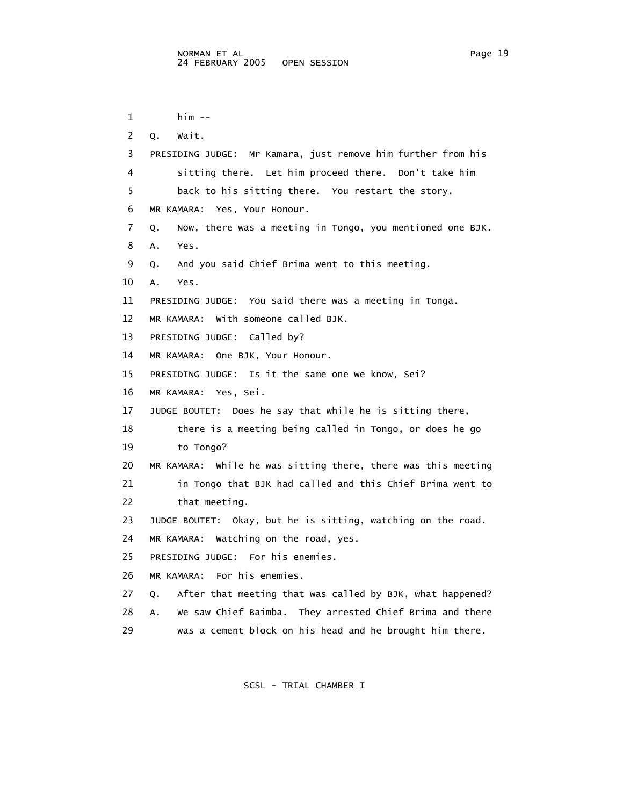```
 1 him -- 
 2 Q. Wait. 
 3 PRESIDING JUDGE: Mr Kamara, just remove him further from his 
 4 sitting there. Let him proceed there. Don't take him 
  5 back to his sitting there. You restart the story. 
 6 MR KAMARA: Yes, Your Honour. 
 7 Q. Now, there was a meeting in Tongo, you mentioned one BJK. 
 8 A. Yes. 
 9 Q. And you said Chief Brima went to this meeting. 
 10 A. Yes. 
 11 PRESIDING JUDGE: You said there was a meeting in Tonga. 
 12 MR KAMARA: With someone called BJK. 
 13 PRESIDING JUDGE: Called by? 
 14 MR KAMARA: One BJK, Your Honour. 
 15 PRESIDING JUDGE: Is it the same one we know, Sei? 
 16 MR KAMARA: Yes, Sei. 
 17 JUDGE BOUTET: Does he say that while he is sitting there, 
 18 there is a meeting being called in Tongo, or does he go 
 19 to Tongo? 
 20 MR KAMARA: While he was sitting there, there was this meeting 
 21 in Tongo that BJK had called and this Chief Brima went to 
 22 that meeting.
```
- 23 JUDGE BOUTET: Okay, but he is sitting, watching on the road.
- 24 MR KAMARA: Watching on the road, yes.
- 25 PRESIDING JUDGE: For his enemies.
- 26 MR KAMARA: For his enemies.
- 27 Q. After that meeting that was called by BJK, what happened?
- 28 A. We saw Chief Baimba. They arrested Chief Brima and there
- 29 was a cement block on his head and he brought him there.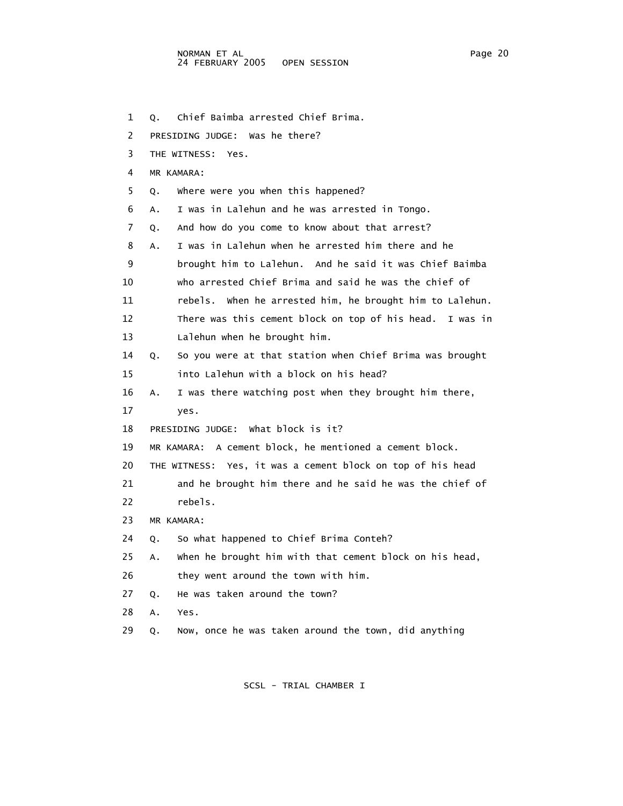1 Q. Chief Baimba arrested Chief Brima.

2 PRESIDING JUDGE: Was he there?

3 THE WITNESS: Yes.

4 MR KAMARA:

5 Q. Where were you when this happened?

6 A. I was in Lalehun and he was arrested in Tongo.

7 Q. And how do you come to know about that arrest?

8 A. I was in Lalehun when he arrested him there and he

9 brought him to Lalehun. And he said it was Chief Baimba

10 who arrested Chief Brima and said he was the chief of

11 rebels. When he arrested him, he brought him to Lalehun.

 12 There was this cement block on top of his head. I was in 13 Lalehun when he brought him.

 14 Q. So you were at that station when Chief Brima was brought 15 into Lalehun with a block on his head?

16 A. I was there watching post when they brought him there,

17 yes.

18 PRESIDING JUDGE: What block is it?

19 MR KAMARA: A cement block, he mentioned a cement block.

20 THE WITNESS: Yes, it was a cement block on top of his head

 21 and he brought him there and he said he was the chief of 22 rebels.

23 MR KAMARA:

24 Q. So what happened to Chief Brima Conteh?

25 A. When he brought him with that cement block on his head,

26 they went around the town with him.

27 Q. He was taken around the town?

28 A. Yes.

29 Q. Now, once he was taken around the town, did anything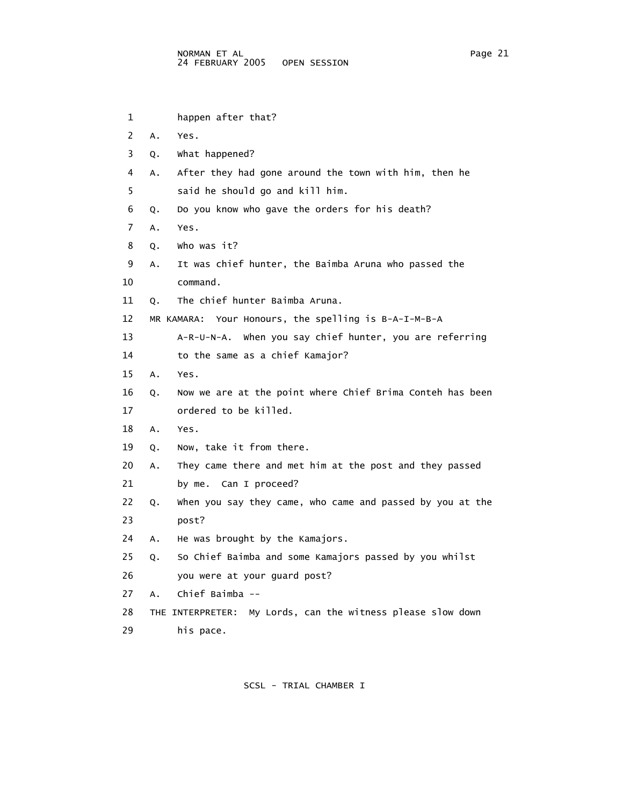| 1              |    | happen after that?                                          |
|----------------|----|-------------------------------------------------------------|
| $\overline{2}$ | Α. | Yes.                                                        |
| 3              | Q. | what happened?                                              |
| 4              | Α. | After they had gone around the town with him, then he       |
| 5              |    | said he should go and kill him.                             |
| 6              | Q. | Do you know who gave the orders for his death?              |
| 7              | A. | Yes.                                                        |
| 8              | Q. | who was it?                                                 |
| 9              | А. | It was chief hunter, the Baimba Aruna who passed the        |
| 10             |    | command.                                                    |
| 11             | Q. | The chief hunter Baimba Aruna.                              |
| 12             |    | MR KAMARA: Your Honours, the spelling is B-A-I-M-B-A        |
| 13             |    | A-R-U-N-A. When you say chief hunter, you are referring     |
| 14             |    | to the same as a chief Kamajor?                             |
| 15             | А. | Yes.                                                        |
| 16             | Q. | Now we are at the point where Chief Brima Conteh has been   |
| 17             |    | ordered to be killed.                                       |
| 18             | А. | Yes.                                                        |
| 19             | Q. | Now, take it from there.                                    |
| 20             | А. | They came there and met him at the post and they passed     |
| 21             |    | by me. Can I proceed?                                       |
| 22             | Q. | when you say they came, who came and passed by you at the   |
| 23             |    | post?                                                       |
| 24             | А. | He was brought by the Kamajors.                             |
| 25             | Q. | So Chief Baimba and some Kamajors passed by you whilst      |
| 26             |    | you were at your guard post?                                |
| 27             | Α. | Chief Baimba --                                             |
| 28             |    | THE INTERPRETER: My Lords, can the witness please slow down |
| 29             |    | his pace.                                                   |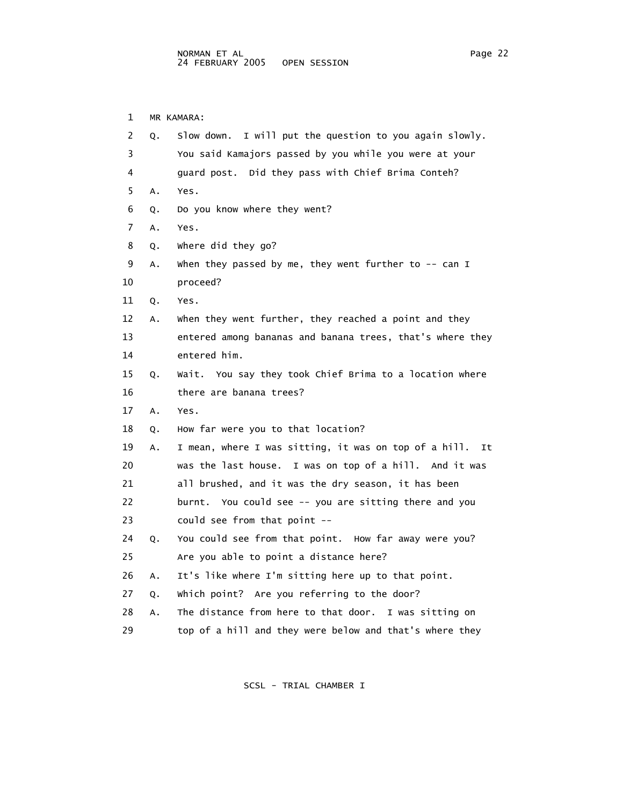1 MR KAMARA: 2 Q. Slow down. I will put the question to you again slowly. 3 You said Kamajors passed by you while you were at your 4 guard post. Did they pass with Chief Brima Conteh? 5 A. Yes. 6 Q. Do you know where they went? 7 A. Yes. 8 Q. Where did they go? 9 A. When they passed by me, they went further to -- can I 10 proceed? 11 Q. Yes. 12 A. When they went further, they reached a point and they 13 entered among bananas and banana trees, that's where they 14 entered him. 15 Q. Wait. You say they took Chief Brima to a location where 16 there are banana trees? 17 A. Yes. 18 Q. How far were you to that location? 19 A. I mean, where I was sitting, it was on top of a hill. It 20 was the last house. I was on top of a hill. And it was 21 all brushed, and it was the dry season, it has been 22 burnt. You could see -- you are sitting there and you 23 could see from that point -- 24 Q. You could see from that point. How far away were you? 25 Are you able to point a distance here?

26 A. It's like where I'm sitting here up to that point.

27 Q. Which point? Are you referring to the door?

28 A. The distance from here to that door. I was sitting on

29 top of a hill and they were below and that's where they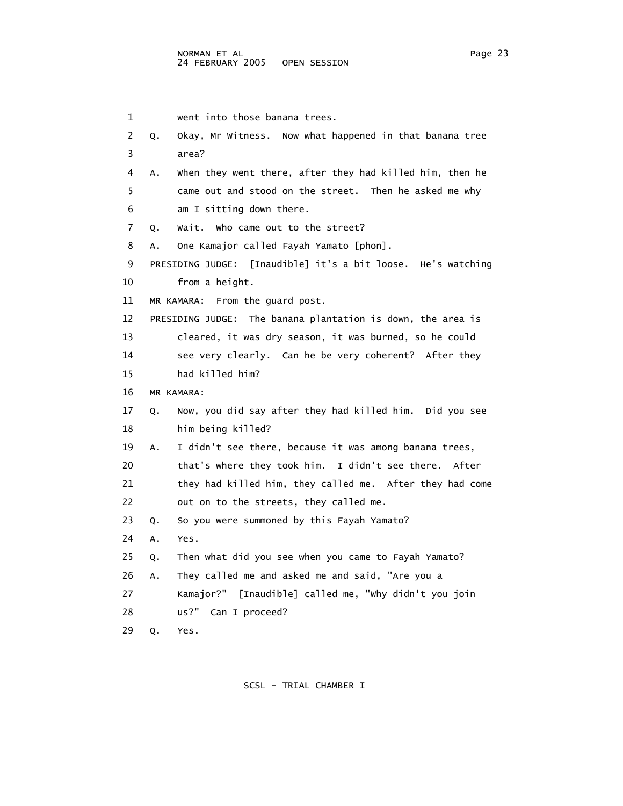```
 1 went into those banana trees. 
 2 Q. Okay, Mr Witness. Now what happened in that banana tree 
 3 area? 
 4 A. When they went there, after they had killed him, then he 
  5 came out and stood on the street. Then he asked me why 
 6 am I sitting down there. 
 7 Q. Wait. Who came out to the street? 
 8 A. One Kamajor called Fayah Yamato [phon]. 
 9 PRESIDING JUDGE: [Inaudible] it's a bit loose. He's watching 
 10 from a height. 
 11 MR KAMARA: From the guard post. 
 12 PRESIDING JUDGE: The banana plantation is down, the area is 
 13 cleared, it was dry season, it was burned, so he could 
14 see very clearly. Can he be very coherent? After they
 15 had killed him? 
 16 MR KAMARA: 
 17 Q. Now, you did say after they had killed him. Did you see 
 18 him being killed? 
 19 A. I didn't see there, because it was among banana trees, 
 20 that's where they took him. I didn't see there. After 
 21 they had killed him, they called me. After they had come 
 22 out on to the streets, they called me. 
 23 Q. So you were summoned by this Fayah Yamato? 
 24 A. Yes. 
 25 Q. Then what did you see when you came to Fayah Yamato? 
 26 A. They called me and asked me and said, "Are you a 
 27 Kamajor?" [Inaudible] called me, "Why didn't you join 
 28 us?" Can I proceed? 
 29 Q. Yes.
```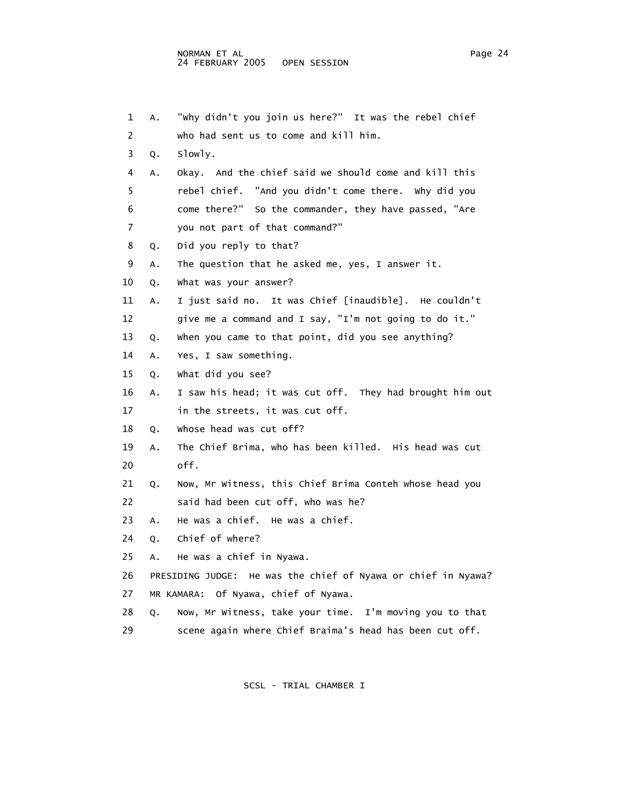| 1  | Α. | "why didn't you join us here?" It was the rebel chief         |
|----|----|---------------------------------------------------------------|
| 2  |    | who had sent us to come and kill him.                         |
| 3  | Q. | slowly.                                                       |
| 4  | Α. | Okay. And the chief said we should come and kill this         |
| 5  |    | rebel chief. "And you didn't come there. Why did you          |
| 6  |    | come there?" So the commander, they have passed, "Are         |
| 7  |    | you not part of that command?"                                |
| 8  | Q. | Did you reply to that?                                        |
| 9  | Α. | The question that he asked me, yes, I answer it.              |
| 10 | Q. | what was your answer?                                         |
| 11 | А. | I just said no. It was Chief [inaudible]. He couldn't         |
| 12 |    | give me a command and I say, "I'm not going to do it."        |
| 13 | Q. | when you came to that point, did you see anything?            |
| 14 | Α. | Yes, I saw something.                                         |
| 15 | Q. | what did you see?                                             |
| 16 | А. | I saw his head; it was cut off. They had brought him out      |
| 17 |    | in the streets, it was cut off.                               |
| 18 | Q. | whose head was cut off?                                       |
| 19 | Α. | The Chief Brima, who has been killed. His head was cut        |
| 20 |    | off.                                                          |
| 21 | Q. | Now, Mr Witness, this Chief Brima Conteh whose head you       |
| 22 |    | said had been cut off, who was he?                            |
| 23 | Α. | He was a chief. He was a chief.                               |
| 24 | Q. | Chief of where?                                               |
| 25 | Α. | He was a chief in Nyawa.                                      |
| 26 |    | PRESIDING JUDGE: He was the chief of Nyawa or chief in Nyawa? |
| 27 |    | MR KAMARA: Of Nyawa, chief of Nyawa.                          |
| 28 | Q. | Now, Mr Witness, take your time. I'm moving you to that       |
| 29 |    | scene again where Chief Braima's head has been cut off.       |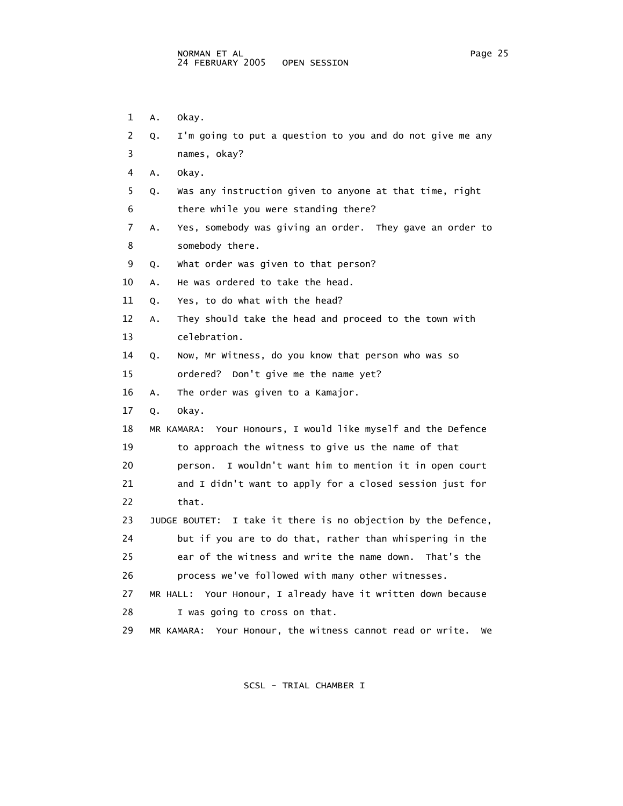1 A. Okay.

| 2  | I'm going to put a question to you and do not give me any<br>Q.    |
|----|--------------------------------------------------------------------|
| 3  | names, okay?                                                       |
| 4  | Α.<br>okay.                                                        |
| 5  | Was any instruction given to anyone at that time, right<br>Q.      |
| 6  | there while you were standing there?                               |
| 7  | Yes, somebody was giving an order. They gave an order to<br>Α.     |
| 8  | somebody there.                                                    |
| 9  | What order was given to that person?<br>Q.                         |
| 10 | He was ordered to take the head.<br>Α.                             |
| 11 | Yes, to do what with the head?<br>Q.                               |
| 12 | They should take the head and proceed to the town with<br>Α.       |
| 13 | celebration.                                                       |
| 14 | Now, Mr Witness, do you know that person who was so<br>Q.          |
| 15 | ordered? Don't give me the name yet?                               |
| 16 | The order was given to a Kamajor.<br>Α.                            |
| 17 | okay.<br>Q.                                                        |
| 18 | MR KAMARA: Your Honours, I would like myself and the Defence       |
| 19 | to approach the witness to give us the name of that                |
| 20 | I wouldn't want him to mention it in open court<br>person.         |
| 21 | and I didn't want to apply for a closed session just for           |
| 22 | that.                                                              |
| 23 | JUDGE BOUTET: I take it there is no objection by the Defence,      |
| 24 | but if you are to do that, rather than whispering in the           |
| 25 | ear of the witness and write the name down. That's the             |
| 26 | process we've followed with many other witnesses.                  |
| 27 | MR HALL: Your Honour, I already have it written down because       |
| 28 | I was going to cross on that.                                      |
| 29 | Your Honour, the witness cannot read or write.<br>MR KAMARA:<br>we |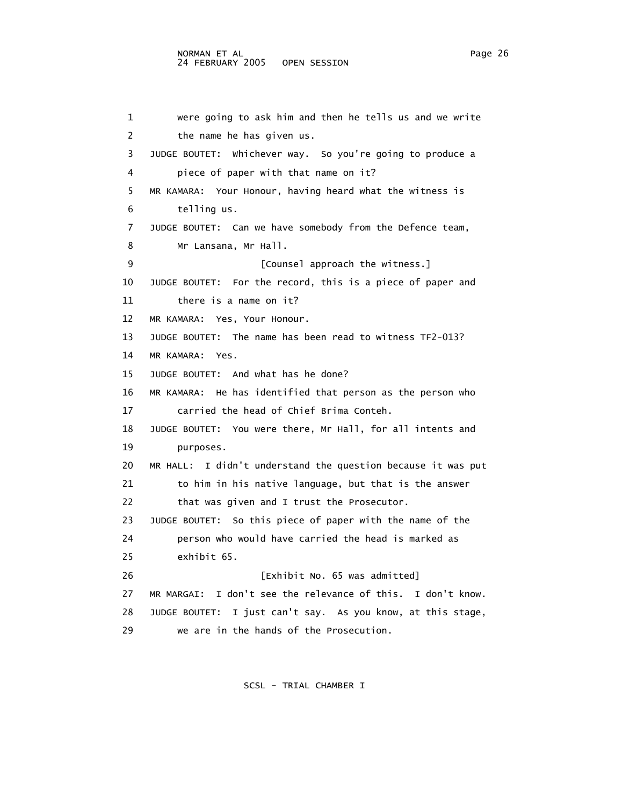1 were going to ask him and then he tells us and we write 2 the name he has given us. 3 JUDGE BOUTET: Whichever way. So you're going to produce a 4 piece of paper with that name on it? 5 MR KAMARA: Your Honour, having heard what the witness is 6 telling us. 7 JUDGE BOUTET: Can we have somebody from the Defence team, 8 Mr Lansana, Mr Hall. 9 **[Counsel approach the witness.]**  10 JUDGE BOUTET: For the record, this is a piece of paper and 11 there is a name on it? 12 MR KAMARA: Yes, Your Honour. 13 JUDGE BOUTET: The name has been read to witness TF2-013? 14 MR KAMARA: Yes. 15 JUDGE BOUTET: And what has he done? 16 MR KAMARA: He has identified that person as the person who 17 carried the head of Chief Brima Conteh. 18 JUDGE BOUTET: You were there, Mr Hall, for all intents and 19 purposes. 20 MR HALL: I didn't understand the question because it was put 21 to him in his native language, but that is the answer 22 that was given and I trust the Prosecutor. 23 JUDGE BOUTET: So this piece of paper with the name of the 24 person who would have carried the head is marked as 25 exhibit 65. 26 [Exhibit No. 65 was admitted] 27 MR MARGAI: I don't see the relevance of this. I don't know. 28 JUDGE BOUTET: I just can't say. As you know, at this stage, 29 we are in the hands of the Prosecution.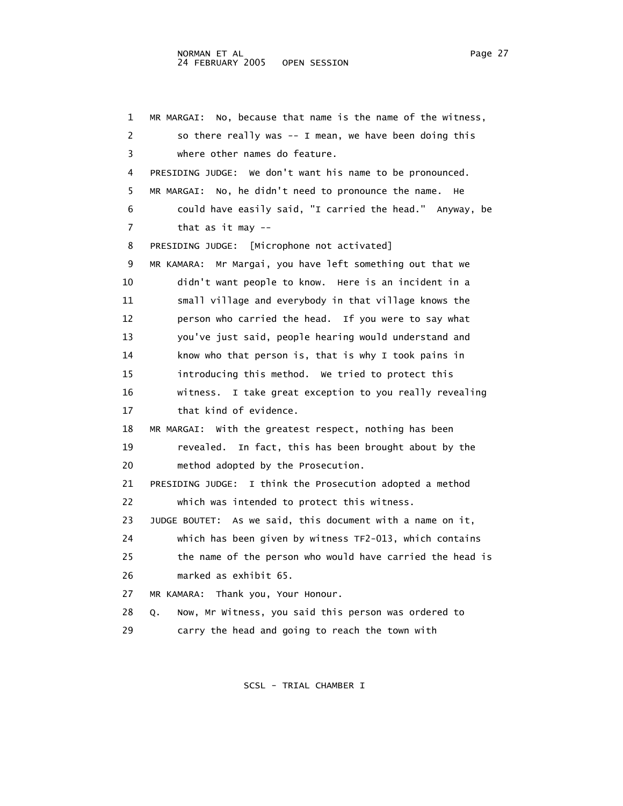1 MR MARGAI: No, because that name is the name of the witness, 2 so there really was -- I mean, we have been doing this 3 where other names do feature. 4 PRESIDING JUDGE: We don't want his name to be pronounced. 5 MR MARGAI: No, he didn't need to pronounce the name. He 6 could have easily said, "I carried the head." Anyway, be 7 that as it may -- 8 PRESIDING JUDGE: [Microphone not activated] 9 MR KAMARA: Mr Margai, you have left something out that we 10 didn't want people to know. Here is an incident in a 11 small village and everybody in that village knows the 12 person who carried the head. If you were to say what 13 you've just said, people hearing would understand and 14 know who that person is, that is why I took pains in 15 introducing this method. We tried to protect this 16 witness. I take great exception to you really revealing 17 that kind of evidence. 18 MR MARGAI: With the greatest respect, nothing has been 19 revealed. In fact, this has been brought about by the 20 method adopted by the Prosecution. 21 PRESIDING JUDGE: I think the Prosecution adopted a method 22 which was intended to protect this witness. 23 JUDGE BOUTET: As we said, this document with a name on it, 24 which has been given by witness TF2-013, which contains 25 the name of the person who would have carried the head is 26 marked as exhibit 65. 27 MR KAMARA: Thank you, Your Honour. 28 Q. Now, Mr Witness, you said this person was ordered to 29 carry the head and going to reach the town with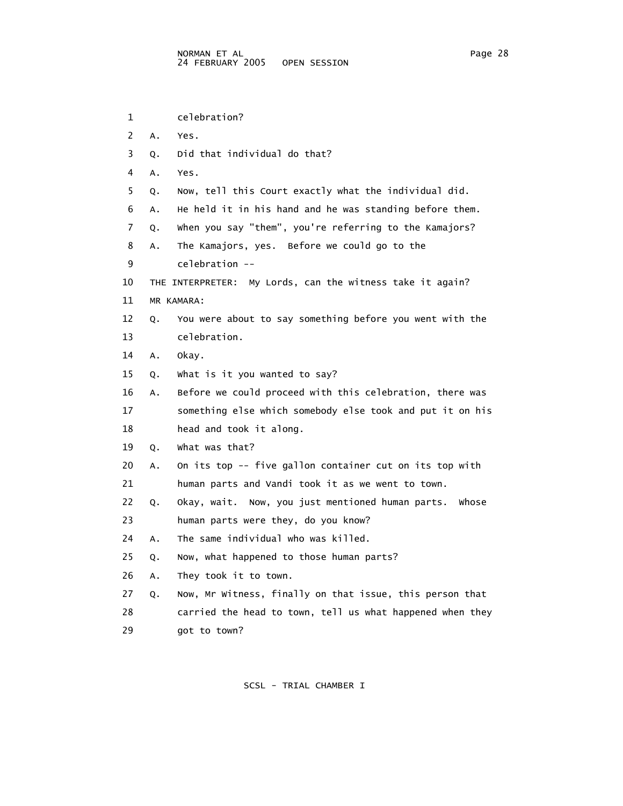1 celebration? 2 A. Yes. 3 Q. Did that individual do that? 4 A. Yes. 5 Q. Now, tell this Court exactly what the individual did. 6 A. He held it in his hand and he was standing before them. 7 Q. When you say "them", you're referring to the Kamajors? 8 A. The Kamajors, yes. Before we could go to the 9 celebration -- 10 THE INTERPRETER: My Lords, can the witness take it again? 11 MR KAMARA: 12 Q. You were about to say something before you went with the 13 celebration. 14 A. Okay. 15 Q. What is it you wanted to say? 16 A. Before we could proceed with this celebration, there was 17 something else which somebody else took and put it on his 18 head and took it along. 19 Q. What was that? 20 A. On its top -- five gallon container cut on its top with 21 human parts and Vandi took it as we went to town. 22 Q. Okay, wait. Now, you just mentioned human parts. Whose 23 human parts were they, do you know? 24 A. The same individual who was killed. 25 Q. Now, what happened to those human parts? 26 A. They took it to town. 27 Q. Now, Mr Witness, finally on that issue, this person that 28 carried the head to town, tell us what happened when they 29 got to town?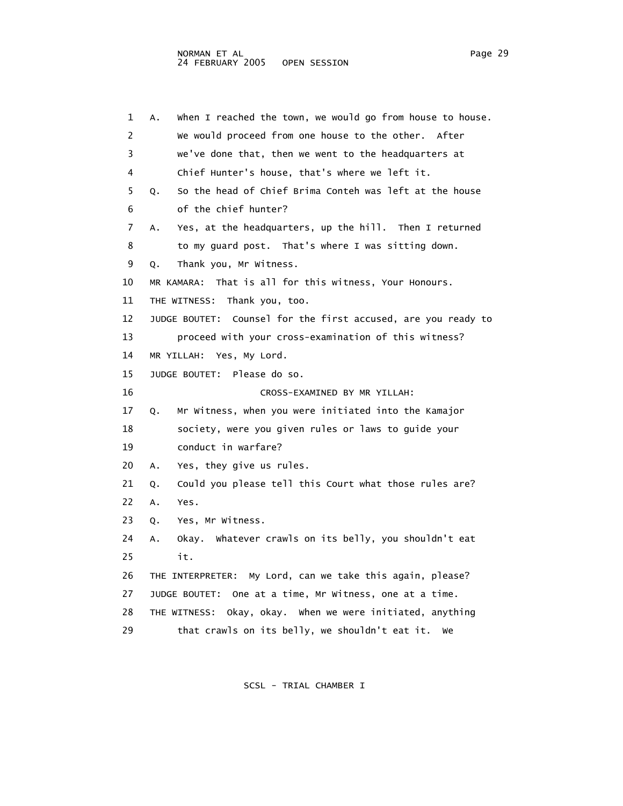1 A. When I reached the town, we would go from house to house. 2 We would proceed from one house to the other. After 3 we've done that, then we went to the headquarters at 4 Chief Hunter's house, that's where we left it. 5 Q. So the head of Chief Brima Conteh was left at the house 6 of the chief hunter? 7 A. Yes, at the headquarters, up the hill. Then I returned 8 to my guard post. That's where I was sitting down. 9 Q. Thank you, Mr Witness. 10 MR KAMARA: That is all for this witness, Your Honours. 11 THE WITNESS: Thank you, too. 12 JUDGE BOUTET: Counsel for the first accused, are you ready to 13 proceed with your cross-examination of this witness? 14 MR YILLAH: Yes, My Lord. 15 JUDGE BOUTET: Please do so. 16 CROSS-EXAMINED BY MR YILLAH: 17 Q. Mr Witness, when you were initiated into the Kamajor 18 society, were you given rules or laws to guide your 19 conduct in warfare? 20 A. Yes, they give us rules. 21 Q. Could you please tell this Court what those rules are? 22 A. Yes. 23 Q. Yes, Mr Witness. 24 A. Okay. Whatever crawls on its belly, you shouldn't eat 25 it. 26 THE INTERPRETER: My Lord, can we take this again, please? 27 JUDGE BOUTET: One at a time, Mr Witness, one at a time. 28 THE WITNESS: Okay, okay. When we were initiated, anything 29 that crawls on its belly, we shouldn't eat it. We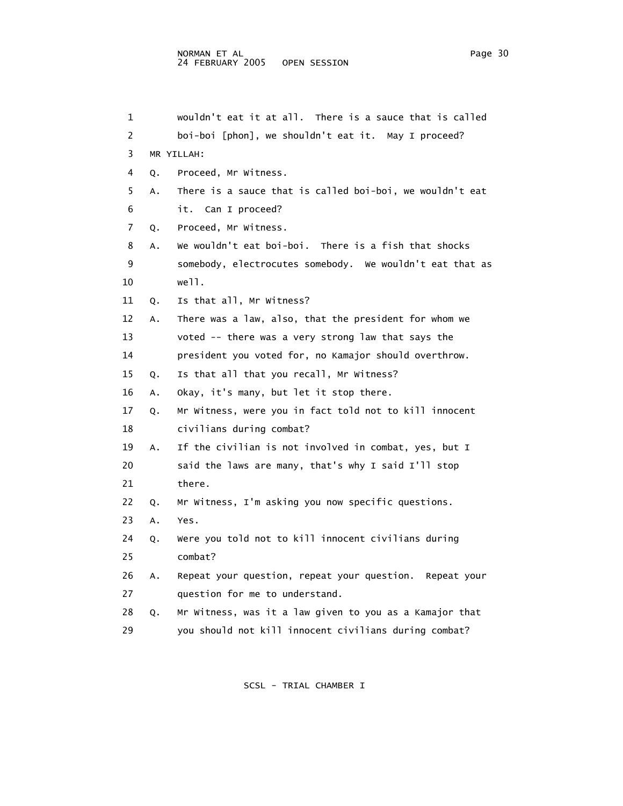1 wouldn't eat it at all. There is a sauce that is called 2 boi-boi [phon], we shouldn't eat it. May I proceed? 3 MR YILLAH: 4 Q. Proceed, Mr Witness. 5 A. There is a sauce that is called boi-boi, we wouldn't eat 6 it. Can I proceed? 7 Q. Proceed, Mr Witness. 8 A. We wouldn't eat boi-boi. There is a fish that shocks 9 somebody, electrocutes somebody. We wouldn't eat that as 10 well. 11 Q. Is that all, Mr Witness? 12 A. There was a law, also, that the president for whom we 13 voted -- there was a very strong law that says the 14 president you voted for, no Kamajor should overthrow. 15 Q. Is that all that you recall, Mr Witness? 16 A. Okay, it's many, but let it stop there. 17 Q. Mr Witness, were you in fact told not to kill innocent 18 civilians during combat? 19 A. If the civilian is not involved in combat, yes, but I 20 said the laws are many, that's why I said I'll stop 21 there. 22 Q. Mr Witness, I'm asking you now specific questions. 23 A. Yes. 24 Q. Were you told not to kill innocent civilians during 25 combat? 26 A. Repeat your question, repeat your question. Repeat your 27 question for me to understand. 28 Q. Mr Witness, was it a law given to you as a Kamajor that 29 you should not kill innocent civilians during combat?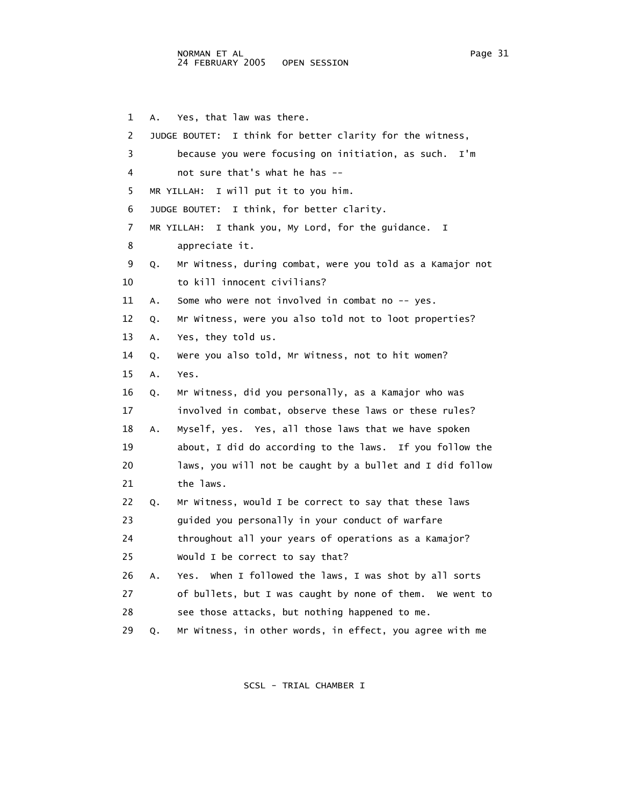1 A. Yes, that law was there. 2 JUDGE BOUTET: I think for better clarity for the witness, 3 because you were focusing on initiation, as such. I'm 4 not sure that's what he has -- 5 MR YILLAH: I will put it to you him. 6 JUDGE BOUTET: I think, for better clarity. 7 MR YILLAH: I thank you, My Lord, for the guidance. I 8 appreciate it. 9 Q. Mr Witness, during combat, were you told as a Kamajor not 10 to kill innocent civilians? 11 A. Some who were not involved in combat no -- yes. 12 Q. Mr Witness, were you also told not to loot properties? 13 A. Yes, they told us. 14 Q. Were you also told, Mr Witness, not to hit women? 15 A. Yes. 16 Q. Mr Witness, did you personally, as a Kamajor who was 17 involved in combat, observe these laws or these rules? 18 A. Myself, yes. Yes, all those laws that we have spoken 19 about, I did do according to the laws. If you follow the 20 laws, you will not be caught by a bullet and I did follow 21 the laws. 22 Q. Mr Witness, would I be correct to say that these laws 23 guided you personally in your conduct of warfare 24 throughout all your years of operations as a Kamajor? 25 Would I be correct to say that? 26 A. Yes. When I followed the laws, I was shot by all sorts 27 of bullets, but I was caught by none of them. We went to 28 see those attacks, but nothing happened to me. 29 Q. Mr Witness, in other words, in effect, you agree with me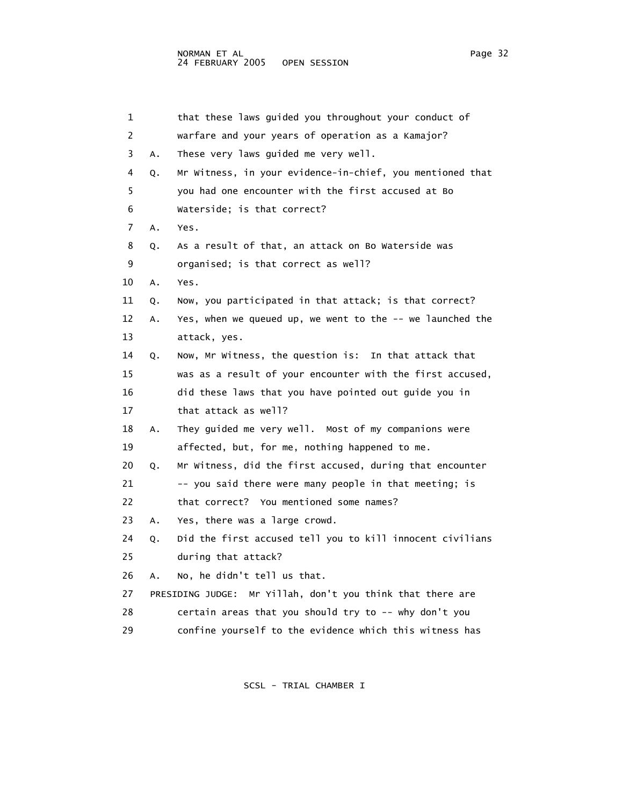| 1  |    | that these laws guided you throughout your conduct of      |
|----|----|------------------------------------------------------------|
| 2  |    | warfare and your years of operation as a Kamajor?          |
| 3  | А. | These very laws guided me very well.                       |
| 4  | Q. | Mr Witness, in your evidence-in-chief, you mentioned that  |
| 5  |    | you had one encounter with the first accused at Bo         |
| 6  |    | Waterside; is that correct?                                |
| 7  | Α. | Yes.                                                       |
| 8  | Q. | As a result of that, an attack on Bo Waterside was         |
| 9  |    | organised; is that correct as well?                        |
| 10 | Α. | Yes.                                                       |
| 11 | Q. | Now, you participated in that attack; is that correct?     |
| 12 | Α. | Yes, when we queued up, we went to the -- we launched the  |
| 13 |    | attack, yes.                                               |
| 14 | Q. | Now, Mr Witness, the question is: In that attack that      |
| 15 |    | was as a result of your encounter with the first accused,  |
| 16 |    | did these laws that you have pointed out guide you in      |
| 17 |    | that attack as well?                                       |
| 18 | Α. | They guided me very well. Most of my companions were       |
| 19 |    | affected, but, for me, nothing happened to me.             |
| 20 | Q. | Mr Witness, did the first accused, during that encounter   |
| 21 |    | -- you said there were many people in that meeting; is     |
| 22 |    | that correct? You mentioned some names?                    |
| 23 | А. | Yes, there was a large crowd.                              |
| 24 | Q. | Did the first accused tell you to kill innocent civilians  |
| 25 |    | during that attack?                                        |
| 26 | А. | No, he didn't tell us that.                                |
| 27 |    | PRESIDING JUDGE: Mr Yillah, don't you think that there are |
| 28 |    | certain areas that you should try to -- why don't you      |
| 29 |    | confine yourself to the evidence which this witness has    |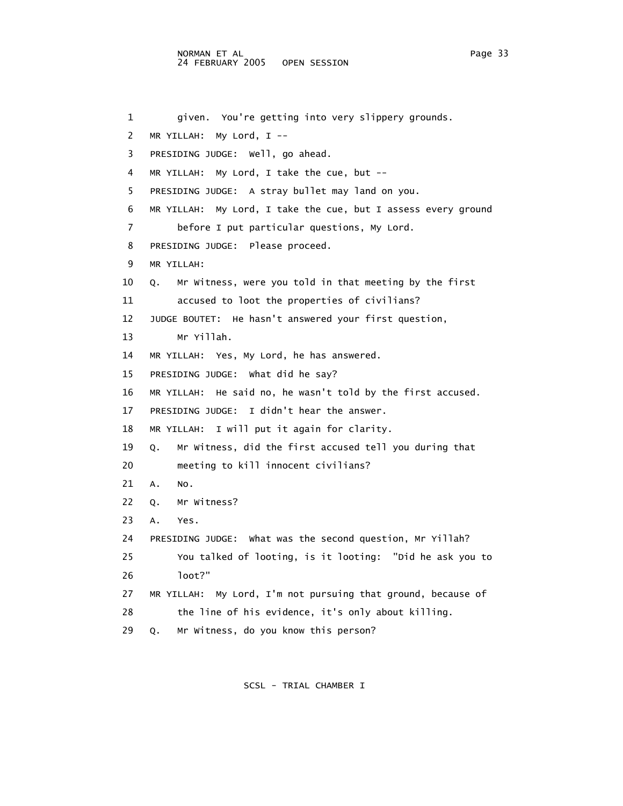```
 1 given. You're getting into very slippery grounds. 
 2 MR YILLAH: My Lord, I -- 
 3 PRESIDING JUDGE: Well, go ahead. 
 4 MR YILLAH: My Lord, I take the cue, but -- 
  5 PRESIDING JUDGE: A stray bullet may land on you. 
 6 MR YILLAH: My Lord, I take the cue, but I assess every ground 
 7 before I put particular questions, My Lord. 
 8 PRESIDING JUDGE: Please proceed. 
 9 MR YILLAH: 
 10 Q. Mr Witness, were you told in that meeting by the first 
 11 accused to loot the properties of civilians? 
 12 JUDGE BOUTET: He hasn't answered your first question, 
 13 Mr Yillah. 
 14 MR YILLAH: Yes, My Lord, he has answered. 
 15 PRESIDING JUDGE: What did he say? 
 16 MR YILLAH: He said no, he wasn't told by the first accused. 
 17 PRESIDING JUDGE: I didn't hear the answer. 
 18 MR YILLAH: I will put it again for clarity. 
 19 Q. Mr Witness, did the first accused tell you during that 
 20 meeting to kill innocent civilians? 
 21 A. No. 
 22 Q. Mr Witness? 
 23 A. Yes. 
 24 PRESIDING JUDGE: What was the second question, Mr Yillah? 
 25 You talked of looting, is it looting: "Did he ask you to 
 26 loot?" 
 27 MR YILLAH: My Lord, I'm not pursuing that ground, because of 
 28 the line of his evidence, it's only about killing. 
 29 Q. Mr Witness, do you know this person?
```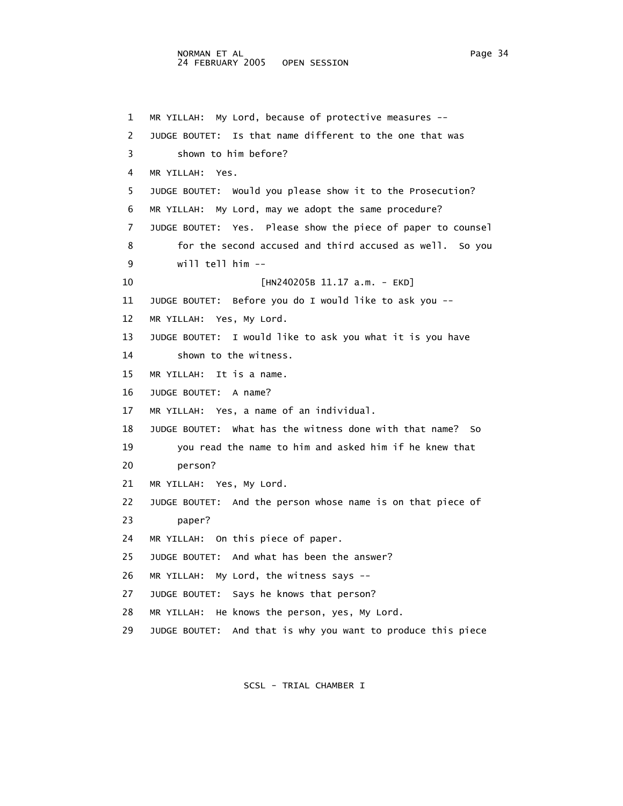1 MR YILLAH: My Lord, because of protective measures -- 2 JUDGE BOUTET: Is that name different to the one that was 3 shown to him before? 4 MR YILLAH: Yes. 5 JUDGE BOUTET: Would you please show it to the Prosecution? 6 MR YILLAH: My Lord, may we adopt the same procedure? 7 JUDGE BOUTET: Yes. Please show the piece of paper to counsel 8 for the second accused and third accused as well. So you 9 will tell him -- 10 [HN240205B 11.17 a.m. - EKD] 11 JUDGE BOUTET: Before you do I would like to ask you -- 12 MR YILLAH: Yes, My Lord. 13 JUDGE BOUTET: I would like to ask you what it is you have 14 shown to the witness. 15 MR YILLAH: It is a name. 16 JUDGE BOUTET: A name? 17 MR YILLAH: Yes, a name of an individual. 18 JUDGE BOUTET: What has the witness done with that name? So 19 you read the name to him and asked him if he knew that 20 person? 21 MR YILLAH: Yes, My Lord. 22 JUDGE BOUTET: And the person whose name is on that piece of 23 paper? 24 MR YILLAH: On this piece of paper. 25 JUDGE BOUTET: And what has been the answer? 26 MR YILLAH: My Lord, the witness says -- 27 JUDGE BOUTET: Says he knows that person? 28 MR YILLAH: He knows the person, yes, My Lord. 29 JUDGE BOUTET: And that is why you want to produce this piece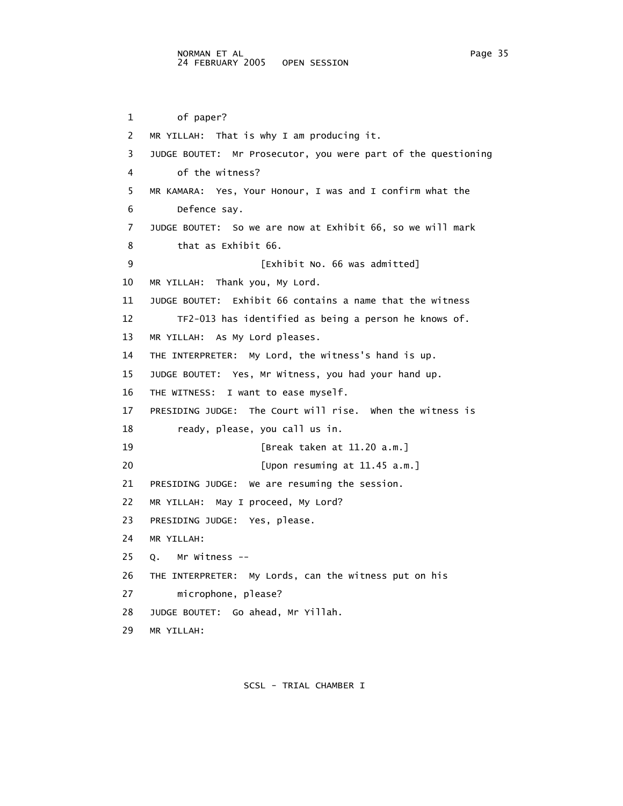```
 1 of paper? 
 2 MR YILLAH: That is why I am producing it. 
 3 JUDGE BOUTET: Mr Prosecutor, you were part of the questioning 
 4 of the witness? 
 5 MR KAMARA: Yes, Your Honour, I was and I confirm what the 
 6 Defence say. 
 7 JUDGE BOUTET: So we are now at Exhibit 66, so we will mark 
 8 that as Exhibit 66. 
 9 [Exhibit No. 66 was admitted] 
 10 MR YILLAH: Thank you, My Lord. 
 11 JUDGE BOUTET: Exhibit 66 contains a name that the witness 
 12 TF2-013 has identified as being a person he knows of. 
 13 MR YILLAH: As My Lord pleases. 
 14 THE INTERPRETER: My Lord, the witness's hand is up. 
 15 JUDGE BOUTET: Yes, Mr Witness, you had your hand up. 
 16 THE WITNESS: I want to ease myself. 
 17 PRESIDING JUDGE: The Court will rise. When the witness is 
 18 ready, please, you call us in. 
 19 [Break taken at 11.20 a.m.] 
20 [Upon resuming at 11.45 a.m.]
 21 PRESIDING JUDGE: We are resuming the session. 
 22 MR YILLAH: May I proceed, My Lord? 
 23 PRESIDING JUDGE: Yes, please. 
 24 MR YILLAH: 
 25 Q. Mr Witness -- 
 26 THE INTERPRETER: My Lords, can the witness put on his 
 27 microphone, please? 
 28 JUDGE BOUTET: Go ahead, Mr Yillah. 
 29 MR YILLAH:
```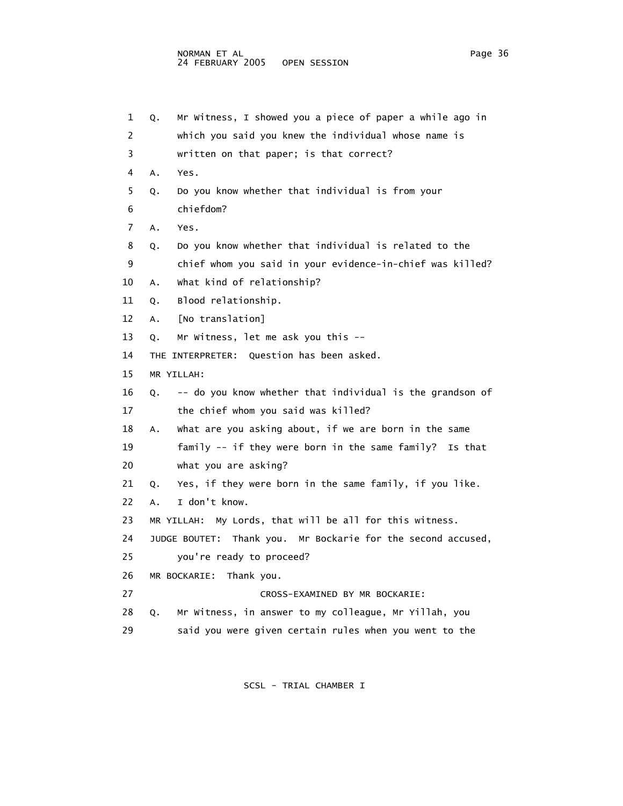```
 1 Q. Mr Witness, I showed you a piece of paper a while ago in 
 2 which you said you knew the individual whose name is 
 3 written on that paper; is that correct? 
 4 A. Yes. 
  5 Q. Do you know whether that individual is from your 
 6 chiefdom? 
 7 A. Yes. 
 8 Q. Do you know whether that individual is related to the 
 9 chief whom you said in your evidence-in-chief was killed? 
 10 A. What kind of relationship? 
 11 Q. Blood relationship. 
 12 A. [No translation] 
 13 Q. Mr Witness, let me ask you this -- 
 14 THE INTERPRETER: Question has been asked. 
 15 MR YILLAH: 
 16 Q. -- do you know whether that individual is the grandson of 
17 the chief whom you said was killed?
 18 A. What are you asking about, if we are born in the same 
 19 family -- if they were born in the same family? Is that 
 20 what you are asking? 
 21 Q. Yes, if they were born in the same family, if you like. 
 22 A. I don't know. 
 23 MR YILLAH: My Lords, that will be all for this witness. 
 24 JUDGE BOUTET: Thank you. Mr Bockarie for the second accused, 
 25 you're ready to proceed? 
 26 MR BOCKARIE: Thank you. 
 27 CROSS-EXAMINED BY MR BOCKARIE: 
 28 Q. Mr Witness, in answer to my colleague, Mr Yillah, you 
 29 said you were given certain rules when you went to the
```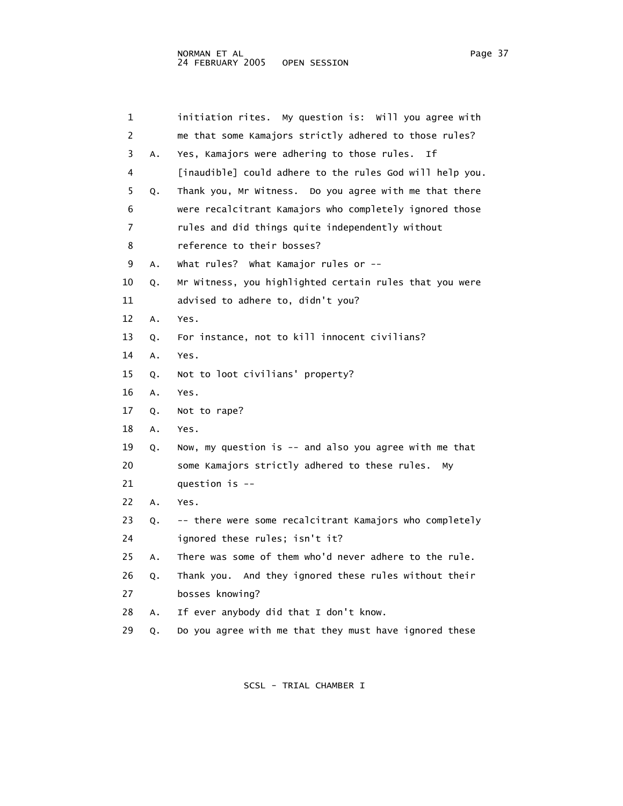| 1              |    | initiation rites. My question is: Will you agree with    |
|----------------|----|----------------------------------------------------------|
| $\overline{2}$ |    | me that some Kamajors strictly adhered to those rules?   |
| 3              | Α. | Yes, Kamajors were adhering to those rules. If           |
| 4              |    | [inaudible] could adhere to the rules God will help you. |
| 5              | Q. | Thank you, Mr Witness. Do you agree with me that there   |
| 6              |    | were recalcitrant Kamajors who completely ignored those  |
| 7              |    | rules and did things quite independently without         |
| 8              |    | reference to their bosses?                               |
| 9              | Α. | what rules? What Kamajor rules or --                     |
| 10             | Q. | Mr Witness, you highlighted certain rules that you were  |
| 11             |    | advised to adhere to, didn't you?                        |
| 12             | Α. | Yes.                                                     |
| 13             | Q. | For instance, not to kill innocent civilians?            |
| 14             | Α. | Yes.                                                     |
| 15             | Q. | Not to loot civilians' property?                         |
| 16             | Α. | Yes.                                                     |
| 17             | Q. | Not to rape?                                             |
| 18             | Α. | Yes.                                                     |
| 19             | Q. | Now, my question is -- and also you agree with me that   |
| 20             |    | some Kamajors strictly adhered to these rules.<br>My     |
| 21             |    | question is $-$                                          |
| 22             | А. | Yes.                                                     |
| 23             | Q. | -- there were some recalcitrant Kamajors who completely  |
| 24             |    | ignored these rules; isn't it?                           |
| 25             | А. | There was some of them who'd never adhere to the rule.   |
| 26             | Q. | Thank you. And they ignored these rules without their    |
| 27             |    | bosses knowing?                                          |
| 28             | А. | If ever anybody did that I don't know.                   |
| 29             | Q. | Do you agree with me that they must have ignored these   |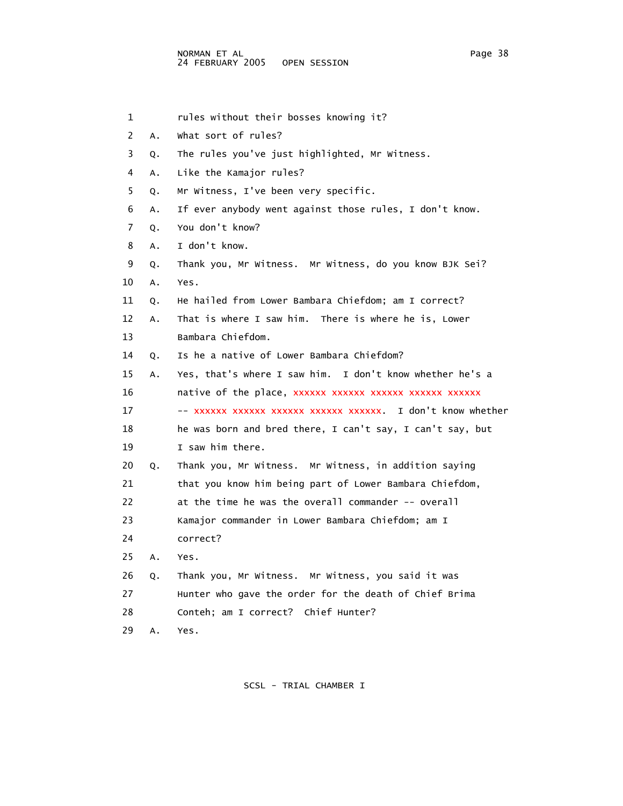1 rules without their bosses knowing it? 2 A. What sort of rules? 3 Q. The rules you've just highlighted, Mr Witness. 4 A. Like the Kamajor rules? 5 Q. Mr Witness, I've been very specific. 6 A. If ever anybody went against those rules, I don't know. 7 Q. You don't know? 8 A. I don't know. 9 Q. Thank you, Mr Witness. Mr Witness, do you know BJK Sei? 10 A. Yes. 11 Q. He hailed from Lower Bambara Chiefdom; am I correct? 12 A. That is where I saw him. There is where he is, Lower 13 Bambara Chiefdom. 14 Q. Is he a native of Lower Bambara Chiefdom? 15 A. Yes, that's where I saw him. I don't know whether he's a 16 **native of the place, xxxxxx xxxxxx xxxxxx xxxxxx** xxxxxx 17 -- xxxxxx xxxxxx xxxxxx xxxxxx xxxxxx. I don't know whether 18 he was born and bred there, I can't say, I can't say, but 19 I saw him there. 20 Q. Thank you, Mr Witness. Mr Witness, in addition saying 21 that you know him being part of Lower Bambara Chiefdom, 22 at the time he was the overall commander -- overall 23 Kamajor commander in Lower Bambara Chiefdom; am I 24 correct? 25 A. Yes. 26 Q. Thank you, Mr Witness. Mr Witness, you said it was 27 Hunter who gave the order for the death of Chief Brima 28 Conteh; am I correct? Chief Hunter? 29 A. Yes.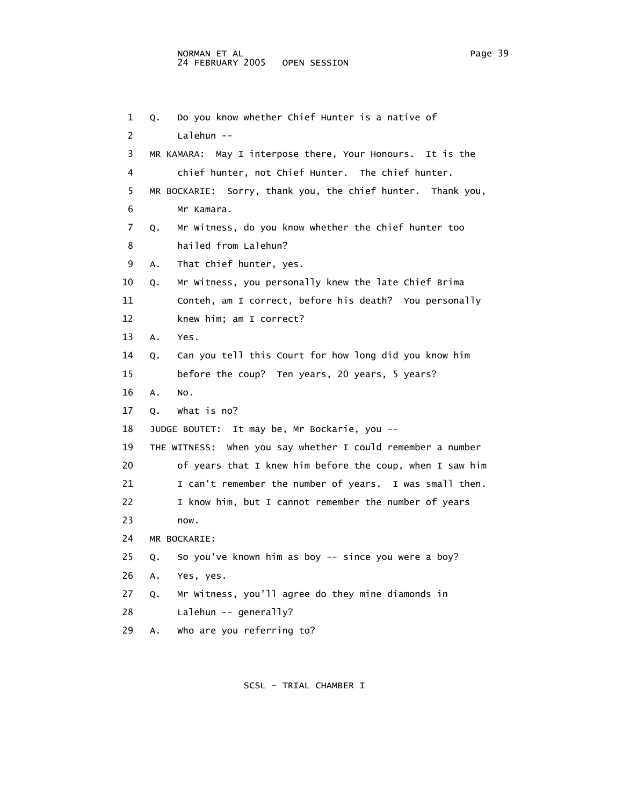```
 1 Q. Do you know whether Chief Hunter is a native of 
 2 Lalehun -- 
 3 MR KAMARA: May I interpose there, Your Honours. It is the 
 4 chief hunter, not Chief Hunter. The chief hunter. 
 5 MR BOCKARIE: Sorry, thank you, the chief hunter. Thank you, 
 6 Mr Kamara. 
 7 Q. Mr Witness, do you know whether the chief hunter too 
 8 hailed from Lalehun? 
 9 A. That chief hunter, yes. 
 10 Q. Mr Witness, you personally knew the late Chief Brima 
 11 Conteh, am I correct, before his death? You personally 
 12 knew him; am I correct? 
 13 A. Yes. 
 14 Q. Can you tell this Court for how long did you know him 
 15 before the coup? Ten years, 20 years, 5 years? 
 16 A. No. 
 17 Q. What is no? 
 18 JUDGE BOUTET: It may be, Mr Bockarie, you -- 
 19 THE WITNESS: When you say whether I could remember a number 
 20 of years that I knew him before the coup, when I saw him 
21 I can't remember the number of years. I was small then.
 22 I know him, but I cannot remember the number of years 
 23 now. 
 24 MR BOCKARIE: 
 25 Q. So you've known him as boy -- since you were a boy? 
 26 A. Yes, yes. 
 27 Q. Mr Witness, you'll agree do they mine diamonds in 
 28 Lalehun -- generally? 
 29 A. Who are you referring to?
```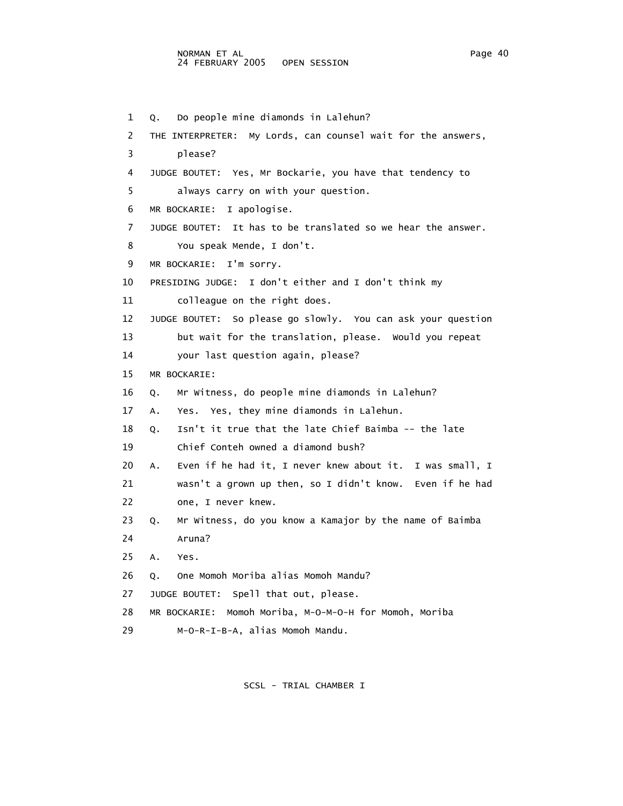1 Q. Do people mine diamonds in Lalehun? 2 THE INTERPRETER: My Lords, can counsel wait for the answers, 3 please? 4 JUDGE BOUTET: Yes, Mr Bockarie, you have that tendency to 5 always carry on with your question. 6 MR BOCKARIE: I apologise. 7 JUDGE BOUTET: It has to be translated so we hear the answer. 8 You speak Mende, I don't. 9 MR BOCKARIE: I'm sorry. 10 PRESIDING JUDGE: I don't either and I don't think my 11 colleague on the right does. 12 JUDGE BOUTET: So please go slowly. You can ask your question 13 but wait for the translation, please. Would you repeat 14 your last question again, please? 15 MR BOCKARIE: 16 Q. Mr Witness, do people mine diamonds in Lalehun? 17 A. Yes. Yes, they mine diamonds in Lalehun. 18 Q. Isn't it true that the late Chief Baimba -- the late 19 Chief Conteh owned a diamond bush? 20 A. Even if he had it, I never knew about it. I was small, I 21 wasn't a grown up then, so I didn't know. Even if he had 22 one, I never knew. 23 Q. Mr Witness, do you know a Kamajor by the name of Baimba 24 Aruna? 25 A. Yes. 26 Q. One Momoh Moriba alias Momoh Mandu? 27 JUDGE BOUTET: Spell that out, please. 28 MR BOCKARIE: Momoh Moriba, M-O-M-O-H for Momoh, Moriba 29 M-O-R-I-B-A, alias Momoh Mandu.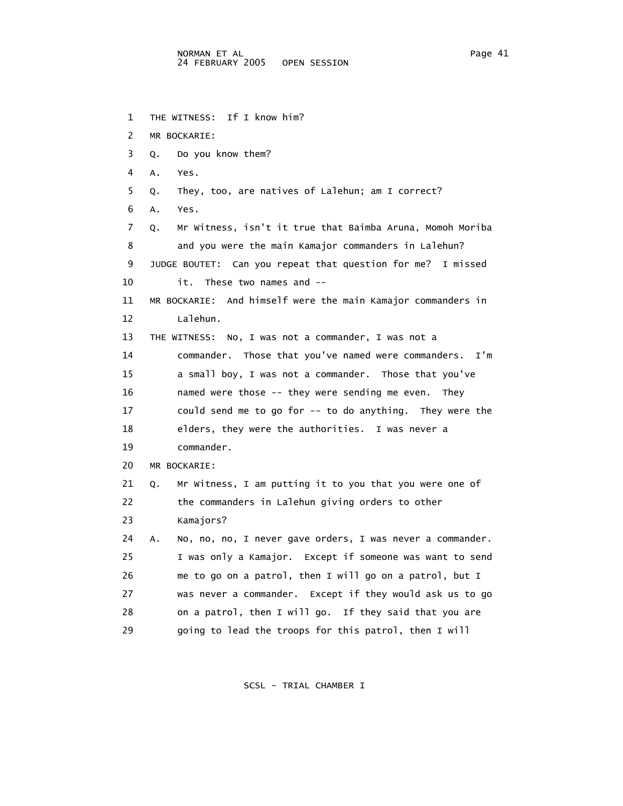1 THE WITNESS: If I know him? 2 MR BOCKARIE: 3 Q. Do you know them? 4 A. Yes. 5 Q. They, too, are natives of Lalehun; am I correct? 6 A. Yes. 7 Q. Mr Witness, isn't it true that Baimba Aruna, Momoh Moriba 8 and you were the main Kamajor commanders in Lalehun? 9 JUDGE BOUTET: Can you repeat that question for me? I missed 10 it. These two names and -- 11 MR BOCKARIE: And himself were the main Kamajor commanders in 12 Lalehun. 13 THE WITNESS: No, I was not a commander, I was not a 14 commander. Those that you've named were commanders. I'm 15 a small boy, I was not a commander. Those that you've 16 named were those -- they were sending me even. They 17 could send me to go for -- to do anything. They were the 18 elders, they were the authorities. I was never a 19 commander. 20 MR BOCKARIE: 21 Q. Mr Witness, I am putting it to you that you were one of 22 the commanders in Lalehun giving orders to other 23 Kamajors? 24 A. No, no, no, I never gave orders, I was never a commander. 25 I was only a Kamajor. Except if someone was want to send 26 me to go on a patrol, then I will go on a patrol, but I 27 was never a commander. Except if they would ask us to go 28 on a patrol, then I will go. If they said that you are 29 going to lead the troops for this patrol, then I will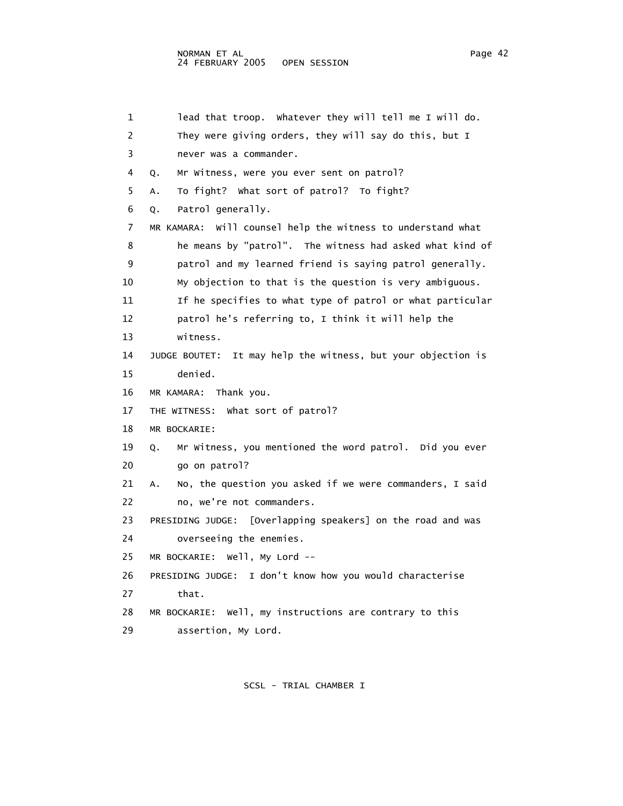1 lead that troop. Whatever they will tell me I will do. 2 They were giving orders, they will say do this, but I 3 never was a commander. 4 Q. Mr Witness, were you ever sent on patrol? 5 A. To fight? What sort of patrol? To fight? 6 Q. Patrol generally. 7 MR KAMARA: Will counsel help the witness to understand what 8 he means by "patrol". The witness had asked what kind of 9 patrol and my learned friend is saying patrol generally. 10 My objection to that is the question is very ambiguous. 11 If he specifies to what type of patrol or what particular 12 patrol he's referring to, I think it will help the 13 witness. 14 JUDGE BOUTET: It may help the witness, but your objection is 15 denied. 16 MR KAMARA: Thank you. 17 THE WITNESS: What sort of patrol? 18 MR BOCKARIE: 19 Q. Mr Witness, you mentioned the word patrol. Did you ever 20 go on patrol? 21 A. No, the question you asked if we were commanders, I said 22 no, we're not commanders. 23 PRESIDING JUDGE: [Overlapping speakers] on the road and was 24 overseeing the enemies. 25 MR BOCKARIE: Well, My Lord -- 26 PRESIDING JUDGE: I don't know how you would characterise 27 that. 28 MR BOCKARIE: Well, my instructions are contrary to this 29 assertion, My Lord.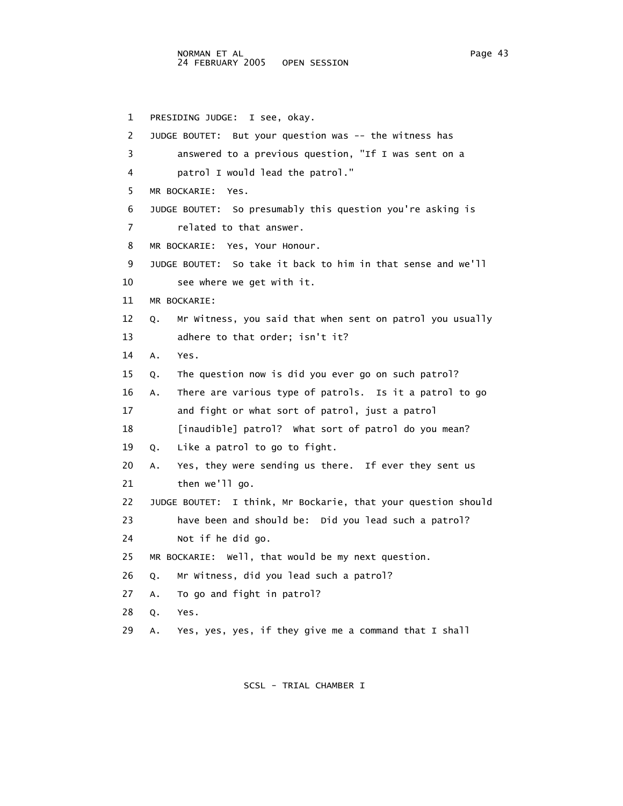1 PRESIDING JUDGE: I see, okay. 2 JUDGE BOUTET: But your question was -- the witness has 3 answered to a previous question, "If I was sent on a 4 patrol I would lead the patrol." 5 MR BOCKARIE: Yes. 6 JUDGE BOUTET: So presumably this question you're asking is 7 related to that answer. 8 MR BOCKARIE: Yes, Your Honour. 9 JUDGE BOUTET: So take it back to him in that sense and we'll 10 see where we get with it. 11 MR BOCKARIE: 12 Q. Mr Witness, you said that when sent on patrol you usually 13 adhere to that order; isn't it? 14 A. Yes. 15 Q. The question now is did you ever go on such patrol? 16 A. There are various type of patrols. Is it a patrol to go 17 and fight or what sort of patrol, just a patrol 18 [inaudible] patrol? What sort of patrol do you mean? 19 Q. Like a patrol to go to fight. 20 A. Yes, they were sending us there. If ever they sent us 21 then we'll go. 22 JUDGE BOUTET: I think, Mr Bockarie, that your question should 23 have been and should be: Did you lead such a patrol? 24 Not if he did go. 25 MR BOCKARIE: Well, that would be my next question. 26 Q. Mr Witness, did you lead such a patrol? 27 A. To go and fight in patrol? 28 Q. Yes. 29 A. Yes, yes, yes, if they give me a command that I shall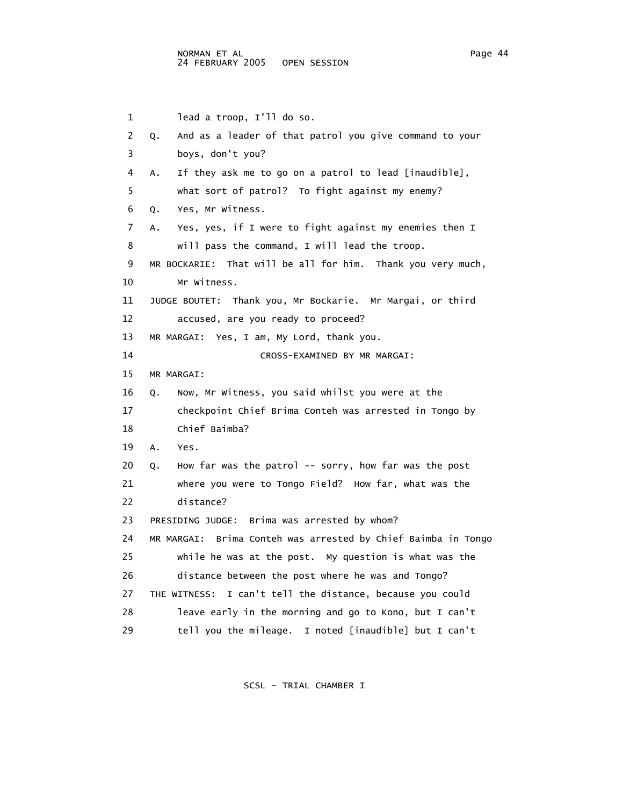1 lead a troop, I'll do so. 2 Q. And as a leader of that patrol you give command to your 3 boys, don't you? 4 A. If they ask me to go on a patrol to lead [inaudible], 5 what sort of patrol? To fight against my enemy? 6 Q. Yes, Mr Witness. 7 A. Yes, yes, if I were to fight against my enemies then I 8 will pass the command, I will lead the troop. 9 MR BOCKARIE: That will be all for him. Thank you very much, 10 Mr Witness. 11 JUDGE BOUTET: Thank you, Mr Bockarie. Mr Margai, or third 12 accused, are you ready to proceed? 13 MR MARGAI: Yes, I am, My Lord, thank you. 14 CROSS-EXAMINED BY MR MARGAI: 15 MR MARGAI: 16 Q. Now, Mr Witness, you said whilst you were at the 17 checkpoint Chief Brima Conteh was arrested in Tongo by 18 Chief Baimba? 19 A. Yes. 20 Q. How far was the patrol -- sorry, how far was the post 21 where you were to Tongo Field? How far, what was the 22 distance? 23 PRESIDING JUDGE: Brima was arrested by whom? 24 MR MARGAI: Brima Conteh was arrested by Chief Baimba in Tongo 25 while he was at the post. My question is what was the 26 distance between the post where he was and Tongo? 27 THE WITNESS: I can't tell the distance, because you could 28 leave early in the morning and go to Kono, but I can't 29 tell you the mileage. I noted [inaudible] but I can't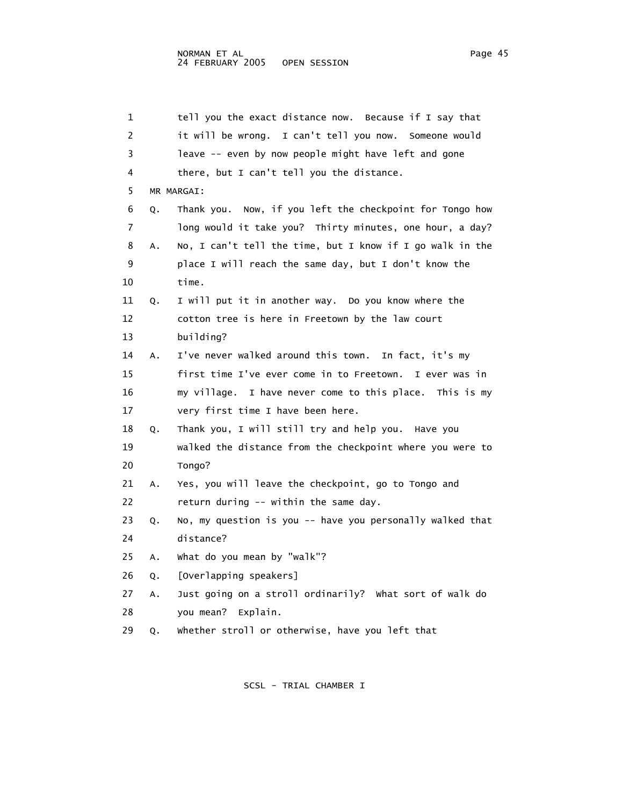| 1  |    | tell you the exact distance now. Because if I say that    |
|----|----|-----------------------------------------------------------|
| 2  |    | it will be wrong. I can't tell you now. Someone would     |
| 3  |    | leave -- even by now people might have left and gone      |
| 4  |    | there, but I can't tell you the distance.                 |
| 5  |    | MR MARGAI:                                                |
| 6  | Q. | Thank you. Now, if you left the checkpoint for Tongo how  |
| 7  |    | long would it take you? Thirty minutes, one hour, a day?  |
| 8  | Α. | No, I can't tell the time, but I know if I go walk in the |
| 9  |    | place I will reach the same day, but I don't know the     |
| 10 |    | time.                                                     |
| 11 | Q. | I will put it in another way. Do you know where the       |
| 12 |    | cotton tree is here in Freetown by the law court          |
| 13 |    | building?                                                 |
| 14 | А. | I've never walked around this town. In fact, it's my      |
| 15 |    | first time I've ever come in to Freetown. I ever was in   |
| 16 |    | my village. I have never come to this place. This is my   |
| 17 |    | very first time I have been here.                         |
| 18 | Q. | Thank you, I will still try and help you. Have you        |
| 19 |    | walked the distance from the checkpoint where you were to |
| 20 |    | Tongo?                                                    |
| 21 | Α. | Yes, you will leave the checkpoint, go to Tongo and       |
| 22 |    | return during -- within the same day.                     |
| 23 | Q. | No, my question is you -- have you personally walked that |
| 24 |    | distance?                                                 |
| 25 | А. | what do you mean by "walk"?                               |
| 26 | Q. | [Overlapping speakers]                                    |
| 27 | Α. | Just going on a stroll ordinarily? What sort of walk do   |
| 28 |    | you mean?<br>Explain.                                     |
| 29 | Q. | whether stroll or otherwise, have you left that           |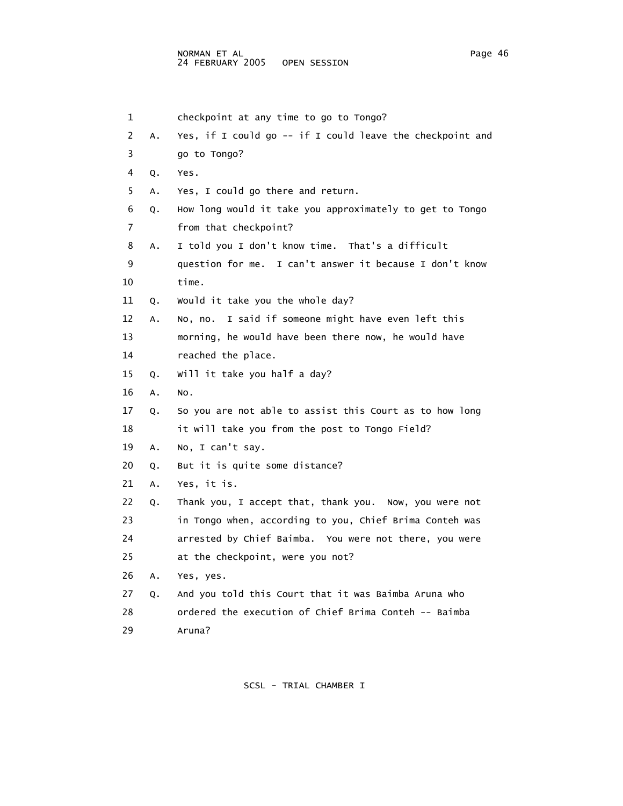1 checkpoint at any time to go to Tongo? 2 A. Yes, if I could go -- if I could leave the checkpoint and 3 go to Tongo? 4 Q. Yes. 5 A. Yes, I could go there and return. 6 Q. How long would it take you approximately to get to Tongo 7 from that checkpoint? 8 A. I told you I don't know time. That's a difficult 9 question for me. I can't answer it because I don't know 10 time. 11 Q. Would it take you the whole day? 12 A. No, no. I said if someone might have even left this 13 morning, he would have been there now, he would have 14 reached the place. 15 Q. Will it take you half a day? 16 A. No. 17 Q. So you are not able to assist this Court as to how long 18 it will take you from the post to Tongo Field? 19 A. No, I can't say. 20 Q. But it is quite some distance? 21 A. Yes, it is. 22 Q. Thank you, I accept that, thank you. Now, you were not 23 in Tongo when, according to you, Chief Brima Conteh was 24 arrested by Chief Baimba. You were not there, you were 25 at the checkpoint, were you not? 26 A. Yes, yes. 27 Q. And you told this Court that it was Baimba Aruna who 28 ordered the execution of Chief Brima Conteh -- Baimba 29 Aruna?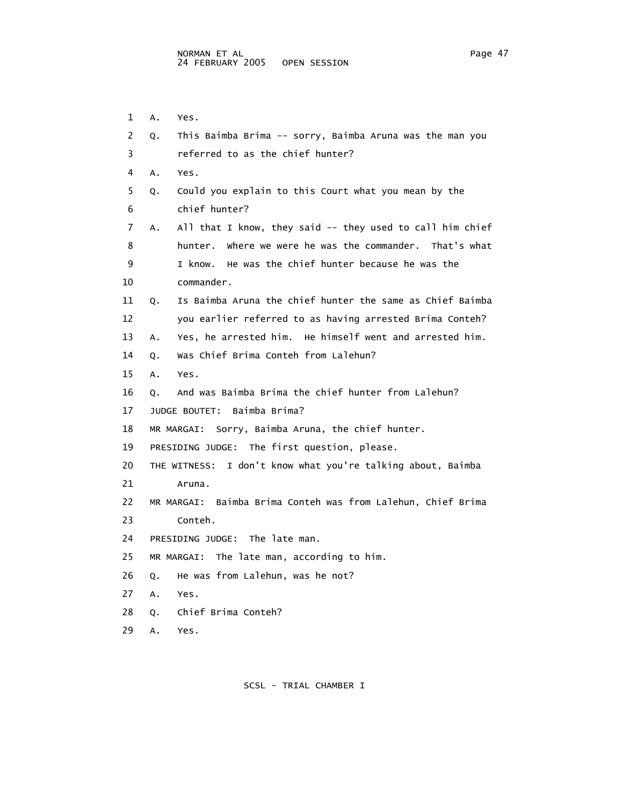1 A. Yes. 2 Q. This Baimba Brima -- sorry, Baimba Aruna was the man you 3 referred to as the chief hunter? 4 A. Yes. 5 Q. Could you explain to this Court what you mean by the 6 chief hunter? 7 A. All that I know, they said -- they used to call him chief 8 hunter. Where we were he was the commander. That's what 9 I know. He was the chief hunter because he was the 10 commander. 11 Q. Is Baimba Aruna the chief hunter the same as Chief Baimba 12 you earlier referred to as having arrested Brima Conteh? 13 A. Yes, he arrested him. He himself went and arrested him. 14 Q. Was Chief Brima Conteh from Lalehun? 15 A. Yes. 16 Q. And was Baimba Brima the chief hunter from Lalehun? 17 JUDGE BOUTET: Baimba Brima? 18 MR MARGAI: Sorry, Baimba Aruna, the chief hunter. 19 PRESIDING JUDGE: The first question, please. 20 THE WITNESS: I don't know what you're talking about, Baimba 21 Aruna. 22 MR MARGAI: Baimba Brima Conteh was from Lalehun, Chief Brima 23 Conteh. 24 PRESIDING JUDGE: The late man. 25 MR MARGAI: The late man, according to him. 26 Q. He was from Lalehun, was he not? 27 A. Yes. 28 Q. Chief Brima Conteh?

SCSL - TRIAL CHAMBER I

29 A. Yes.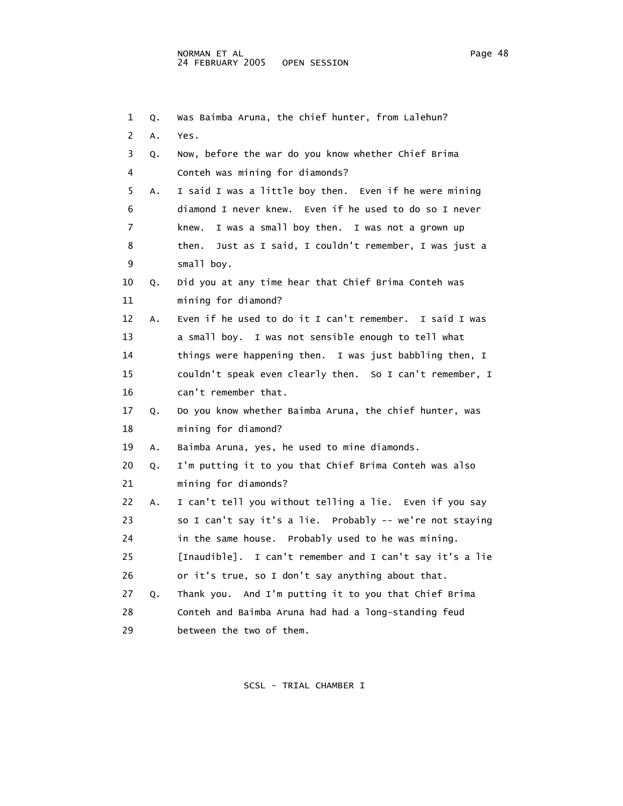| 1  | Q. | Was Baimba Aruna, the chief hunter, from Lalehun?          |
|----|----|------------------------------------------------------------|
| 2  | Α. | Yes.                                                       |
| 3  | Q. | Now, before the war do you know whether Chief Brima        |
| 4  |    | Conteh was mining for diamonds?                            |
| 5  | A. | I said I was a little boy then. Even if he were mining     |
| 6  |    | diamond I never knew. Even if he used to do so I never     |
| 7  |    | I was a small boy then. I was not a grown up<br>knew.      |
| 8  |    | Just as I said, I couldn't remember, I was just a<br>then. |
| 9  |    | small boy.                                                 |
| 10 | Q. | Did you at any time hear that Chief Brima Conteh was       |
| 11 |    | mining for diamond?                                        |
| 12 | Α. | Even if he used to do it I can't remember. I said I was    |
| 13 |    | a small boy. I was not sensible enough to tell what        |
| 14 |    | things were happening then. I was just babbling then, I    |
| 15 |    | couldn't speak even clearly then. So I can't remember, I   |
| 16 |    | can't remember that.                                       |
| 17 | Q. | Do you know whether Baimba Aruna, the chief hunter, was    |
| 18 |    | mining for diamond?                                        |
| 19 | Α. | Baimba Aruna, yes, he used to mine diamonds.               |
| 20 | Q. | I'm putting it to you that Chief Brima Conteh was also     |
| 21 |    | mining for diamonds?                                       |
| 22 | Α. | I can't tell you without telling a lie. Even if you say    |
| 23 |    | so I can't say it's a lie. Probably -- we're not staying   |
| 24 |    | in the same house. Probably used to he was mining.         |
| 25 |    | [Inaudible]. I can't remember and I can't say it's a lie   |
| 26 |    | or it's true, so I don't say anything about that.          |
| 27 | Q. | Thank you. And I'm putting it to you that Chief Brima      |
| 28 |    | Conteh and Baimba Aruna had had a long-standing feud       |
| 29 |    | between the two of them.                                   |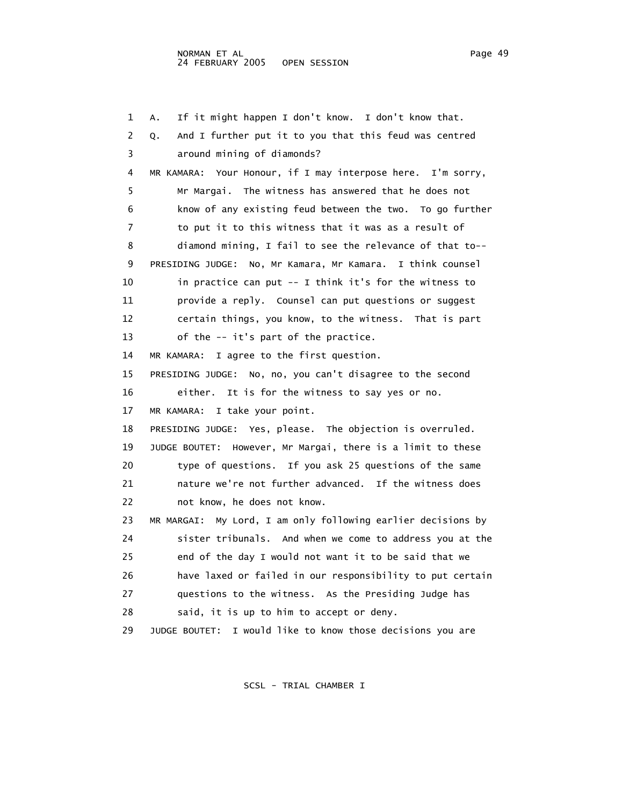1 A. If it might happen I don't know. I don't know that. 2 Q. And I further put it to you that this feud was centred 3 around mining of diamonds? 4 MR KAMARA: Your Honour, if I may interpose here. I'm sorry, 5 Mr Margai. The witness has answered that he does not 6 know of any existing feud between the two. To go further 7 to put it to this witness that it was as a result of 8 diamond mining, I fail to see the relevance of that to-- 9 PRESIDING JUDGE: No, Mr Kamara, Mr Kamara. I think counsel 10 in practice can put -- I think it's for the witness to 11 provide a reply. Counsel can put questions or suggest 12 certain things, you know, to the witness. That is part 13 of the -- it's part of the practice. 14 MR KAMARA: I agree to the first question. 15 PRESIDING JUDGE: No, no, you can't disagree to the second 16 either. It is for the witness to say yes or no. 17 MR KAMARA: I take your point. 18 PRESIDING JUDGE: Yes, please. The objection is overruled. 19 JUDGE BOUTET: However, Mr Margai, there is a limit to these 20 type of questions. If you ask 25 questions of the same 21 nature we're not further advanced. If the witness does 22 not know, he does not know. 23 MR MARGAI: My Lord, I am only following earlier decisions by 24 sister tribunals. And when we come to address you at the 25 end of the day I would not want it to be said that we 26 have laxed or failed in our responsibility to put certain 27 questions to the witness. As the Presiding Judge has 28 said, it is up to him to accept or deny. 29 JUDGE BOUTET: I would like to know those decisions you are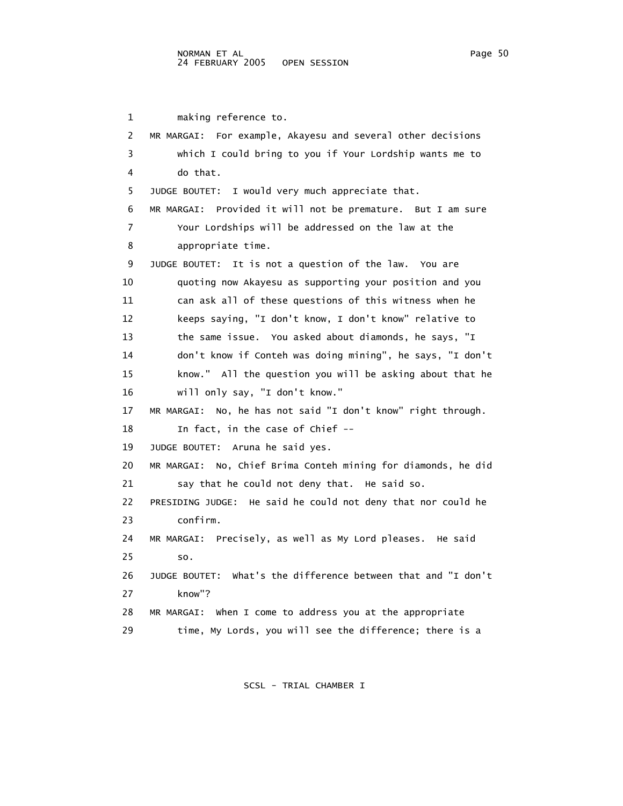1 making reference to. 2 MR MARGAI: For example, Akayesu and several other decisions 3 which I could bring to you if Your Lordship wants me to 4 do that. 5 JUDGE BOUTET: I would very much appreciate that. 6 MR MARGAI: Provided it will not be premature. But I am sure 7 Your Lordships will be addressed on the law at the 8 appropriate time. 9 JUDGE BOUTET: It is not a question of the law. You are 10 quoting now Akayesu as supporting your position and you 11 can ask all of these questions of this witness when he 12 keeps saying, "I don't know, I don't know" relative to 13 the same issue. You asked about diamonds, he says, "I 14 don't know if Conteh was doing mining", he says, "I don't 15 know." All the question you will be asking about that he 16 will only say, "I don't know." 17 MR MARGAI: No, he has not said "I don't know" right through. 18 In fact, in the case of Chief -- 19 JUDGE BOUTET: Aruna he said yes. 20 MR MARGAI: No, Chief Brima Conteh mining for diamonds, he did 21 say that he could not deny that. He said so. 22 PRESIDING JUDGE: He said he could not deny that nor could he 23 confirm. 24 MR MARGAI: Precisely, as well as My Lord pleases. He said 25 so. 26 JUDGE BOUTET: What's the difference between that and "I don't 27 know"? 28 MR MARGAI: When I come to address you at the appropriate 29 time, My Lords, you will see the difference; there is a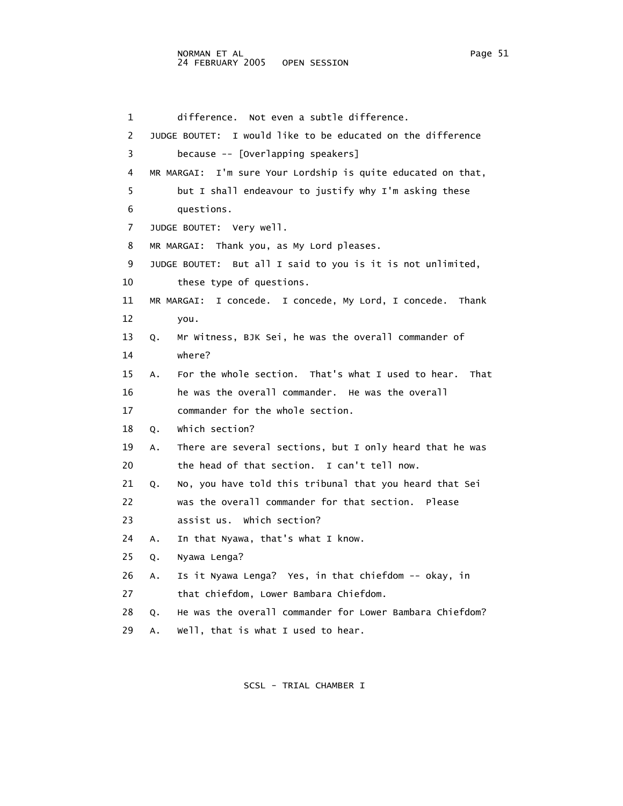1 difference. Not even a subtle difference. 2 JUDGE BOUTET: I would like to be educated on the difference 3 because -- [Overlapping speakers] 4 MR MARGAI: I'm sure Your Lordship is quite educated on that, 5 but I shall endeavour to justify why I'm asking these 6 questions. 7 JUDGE BOUTET: Very well. 8 MR MARGAI: Thank you, as My Lord pleases. 9 JUDGE BOUTET: But all I said to you is it is not unlimited, 10 these type of questions. 11 MR MARGAI: I concede. I concede, My Lord, I concede. Thank 12 you. 13 Q. Mr Witness, BJK Sei, he was the overall commander of 14 where? 15 A. For the whole section. That's what I used to hear. That 16 he was the overall commander. He was the overall 17 commander for the whole section. 18 Q. Which section? 19 A. There are several sections, but I only heard that he was 20 the head of that section. I can't tell now. 21 Q. No, you have told this tribunal that you heard that Sei 22 was the overall commander for that section. Please 23 assist us. Which section? 24 A. In that Nyawa, that's what I know. 25 Q. Nyawa Lenga? 26 A. Is it Nyawa Lenga? Yes, in that chiefdom -- okay, in 27 that chiefdom, Lower Bambara Chiefdom. 28 Q. He was the overall commander for Lower Bambara Chiefdom? 29 A. Well, that is what I used to hear.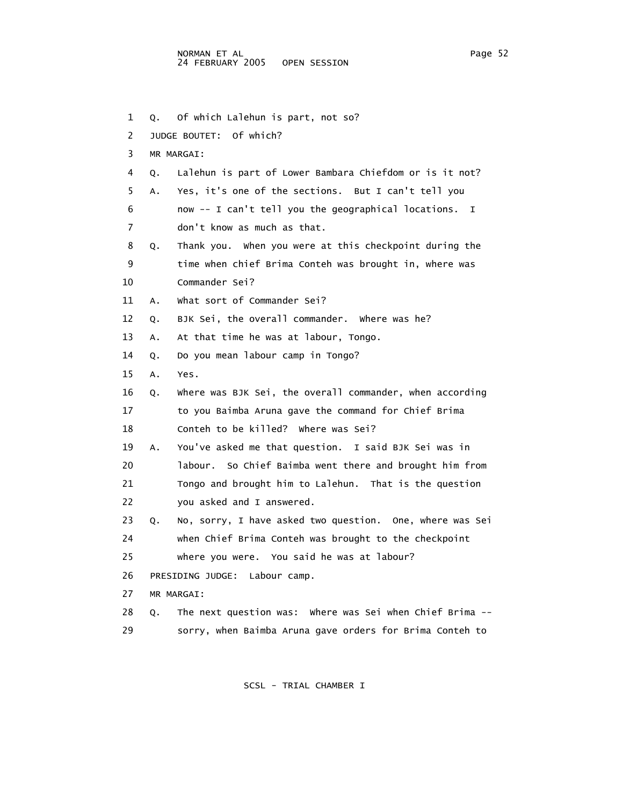1 Q. Of which Lalehun is part, not so? 2 JUDGE BOUTET: Of which? 3 MR MARGAI: 4 Q. Lalehun is part of Lower Bambara Chiefdom or is it not? 5 A. Yes, it's one of the sections. But I can't tell you 6 now -- I can't tell you the geographical locations. I 7 don't know as much as that. 8 Q. Thank you. When you were at this checkpoint during the 9 time when chief Brima Conteh was brought in, where was 10 Commander Sei? 11 A. What sort of Commander Sei? 12 Q. BJK Sei, the overall commander. Where was he? 13 A. At that time he was at labour, Tongo. 14 Q. Do you mean labour camp in Tongo? 15 A. Yes. 16 Q. Where was BJK Sei, the overall commander, when according 17 to you Baimba Aruna gave the command for Chief Brima 18 Conteh to be killed? Where was Sei? 19 A. You've asked me that question. I said BJK Sei was in 20 labour. So Chief Baimba went there and brought him from 21 Tongo and brought him to Lalehun. That is the question 22 you asked and I answered. 23 Q. No, sorry, I have asked two question. One, where was Sei 24 when Chief Brima Conteh was brought to the checkpoint 25 where you were. You said he was at labour? 26 PRESIDING JUDGE: Labour camp. 27 MR MARGAI: 28 Q. The next question was: Where was Sei when Chief Brima -- 29 sorry, when Baimba Aruna gave orders for Brima Conteh to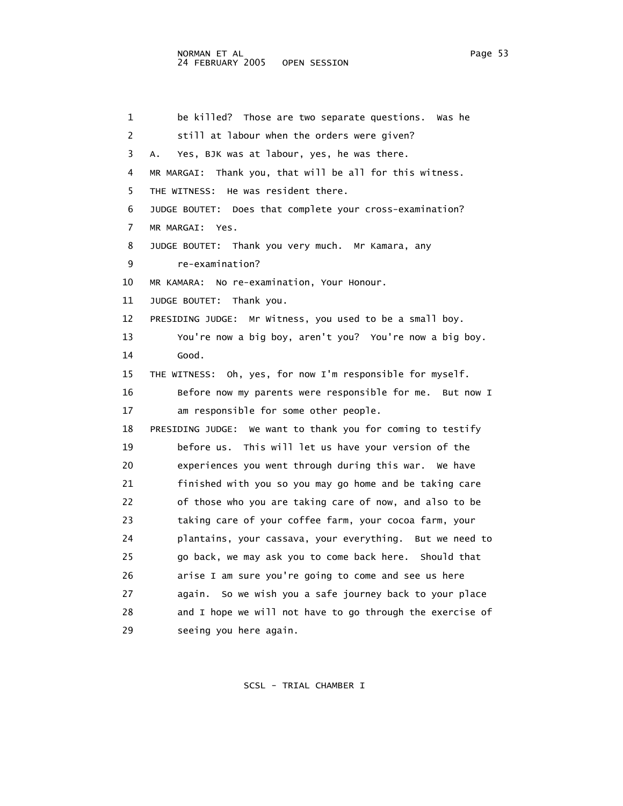| 1  | be killed? Those are two separate questions.<br>was he      |
|----|-------------------------------------------------------------|
| 2  | still at labour when the orders were given?                 |
| 3  | Yes, BJK was at labour, yes, he was there.<br>А.            |
| 4  | MR MARGAI: Thank you, that will be all for this witness.    |
| 5  | THE WITNESS:<br>He was resident there.                      |
| 6  | JUDGE BOUTET: Does that complete your cross-examination?    |
| 7  | MR MARGAI:<br>Yes.                                          |
| 8  | JUDGE BOUTET: Thank you very much. Mr Kamara, any           |
| 9  | re-examination?                                             |
| 10 | MR KAMARA: No re-examination, Your Honour.                  |
| 11 | JUDGE BOUTET:<br>Thank you.                                 |
| 12 | Mr Witness, you used to be a small boy.<br>PRESIDING JUDGE: |
| 13 | You're now a big boy, aren't you? You're now a big boy.     |
| 14 | Good.                                                       |
| 15 | THE WITNESS: Oh, yes, for now I'm responsible for myself.   |
| 16 | Before now my parents were responsible for me. But now I    |
| 17 | am responsible for some other people.                       |
| 18 | PRESIDING JUDGE: We want to thank you for coming to testify |
| 19 | before us. This will let us have your version of the        |
| 20 | experiences you went through during this war. We have       |
| 21 | finished with you so you may go home and be taking care     |
| 22 | of those who you are taking care of now, and also to be     |
| 23 | taking care of your coffee farm, your cocoa farm, your      |
| 24 | plantains, your cassava, your everything. But we need to    |
| 25 | go back, we may ask you to come back here. Should that      |
| 26 | arise I am sure you're going to come and see us here        |
| 27 | again. So we wish you a safe journey back to your place     |
| 28 | and I hope we will not have to go through the exercise of   |
| 29 | seeing you here again.                                      |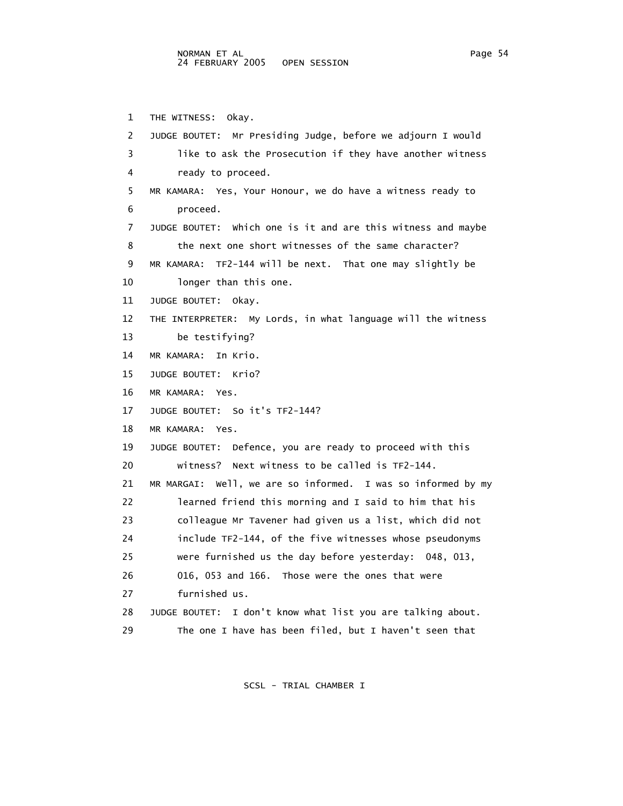1 THE WITNESS: Okay. 2 JUDGE BOUTET: Mr Presiding Judge, before we adjourn I would 3 like to ask the Prosecution if they have another witness 4 ready to proceed. 5 MR KAMARA: Yes, Your Honour, we do have a witness ready to 6 proceed. 7 JUDGE BOUTET: Which one is it and are this witness and maybe 8 the next one short witnesses of the same character? 9 MR KAMARA: TF2-144 will be next. That one may slightly be 10 longer than this one. 11 JUDGE BOUTET: Okay. 12 THE INTERPRETER: My Lords, in what language will the witness 13 be testifying? 14 MR KAMARA: In Krio. 15 JUDGE BOUTET: Krio? 16 MR KAMARA: Yes. 17 JUDGE BOUTET: So it's TF2-144? 18 MR KAMARA: Yes. 19 JUDGE BOUTET: Defence, you are ready to proceed with this 20 witness? Next witness to be called is TF2-144. 21 MR MARGAI: Well, we are so informed. I was so informed by my 22 learned friend this morning and I said to him that his 23 colleague Mr Tavener had given us a list, which did not 24 include TF2-144, of the five witnesses whose pseudonyms 25 were furnished us the day before yesterday: 048, 013, 26 016, 053 and 166. Those were the ones that were 27 furnished us. 28 JUDGE BOUTET: I don't know what list you are talking about. 29 The one I have has been filed, but I haven't seen that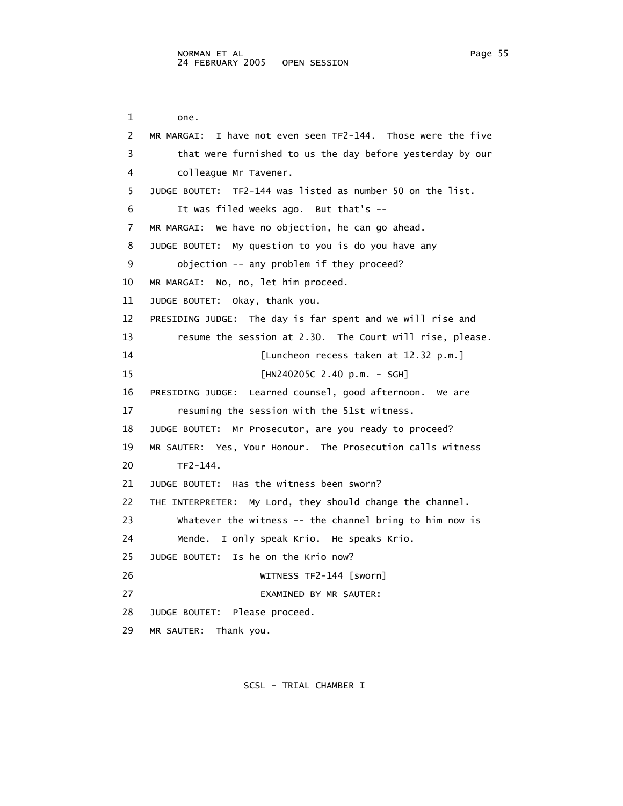1 one. 2 MR MARGAI: I have not even seen TF2-144. Those were the five 3 that were furnished to us the day before yesterday by our 4 colleague Mr Tavener. 5 JUDGE BOUTET: TF2-144 was listed as number 50 on the list. 6 It was filed weeks ago. But that's -- 7 MR MARGAI: We have no objection, he can go ahead. 8 JUDGE BOUTET: My question to you is do you have any 9 objection -- any problem if they proceed? 10 MR MARGAI: No, no, let him proceed. 11 JUDGE BOUTET: Okay, thank you. 12 PRESIDING JUDGE: The day is far spent and we will rise and 13 resume the session at 2.30. The Court will rise, please. 14 [Luncheon recess taken at 12.32 p.m.] 15 [HN240205C 2.40 p.m. - SGH] 16 PRESIDING JUDGE: Learned counsel, good afternoon. We are 17 resuming the session with the 51st witness. 18 JUDGE BOUTET: Mr Prosecutor, are you ready to proceed? 19 MR SAUTER: Yes, Your Honour. The Prosecution calls witness 20 TF2-144. 21 JUDGE BOUTET: Has the witness been sworn? 22 THE INTERPRETER: My Lord, they should change the channel. 23 Whatever the witness -- the channel bring to him now is 24 Mende. I only speak Krio. He speaks Krio. 25 JUDGE BOUTET: Is he on the Krio now? 26 WITNESS TF2-144 [sworn] 27 EXAMINED BY MR SAUTER: 28 JUDGE BOUTET: Please proceed. 29 MR SAUTER: Thank you.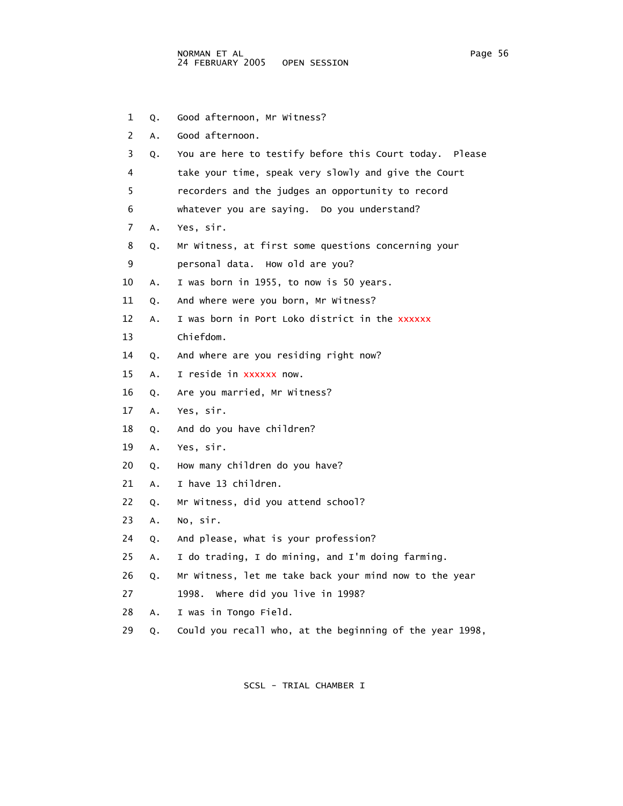| 1              | Q. | Good afternoon, Mr Witness?                              |
|----------------|----|----------------------------------------------------------|
| $\overline{2}$ | Α. | Good afternoon.                                          |
| 3              | Q. | You are here to testify before this Court today. Please  |
| 4              |    | take your time, speak very slowly and give the Court     |
| 5              |    | recorders and the judges an opportunity to record        |
| 6              |    | whatever you are saying. Do you understand?              |
| 7              | Α. | Yes, sir.                                                |
| 8              | Q. | Mr Witness, at first some questions concerning your      |
| 9              |    | personal data. How old are you?                          |
| 10             | Α. | I was born in 1955, to now is 50 years.                  |
| 11             | Q. | And where were you born, Mr Witness?                     |
| 12             | Α. | I was born in Port Loko district in the xxxxxx           |
| 13             |    | Chiefdom.                                                |
| 14             | Q. | And where are you residing right now?                    |
| 15             | Α. | I reside in xxxxxx now.                                  |
| 16             | Q. | Are you married, Mr Witness?                             |
| 17             | Α. | Yes, sir.                                                |
| 18             | Q. | And do you have children?                                |
| 19             | Α. | Yes, sir.                                                |
| 20             | Q. | How many children do you have?                           |
| 21             | Α. | I have 13 children.                                      |
| 22             | Q. | Mr Witness, did you attend school?                       |
| 23             | Α. | No, sir.                                                 |
| 24             | Q. | And please, what is your profession?                     |
| 25             | Α. | I do trading, I do mining, and I'm doing farming.        |
| 26             | Q. | Mr Witness, let me take back your mind now to the year   |
| 27             |    | 1998. Where did you live in 1998?                        |
| 28             | Α. | I was in Tongo Field.                                    |
| 29             | Q. | Could you recall who, at the beginning of the year 1998, |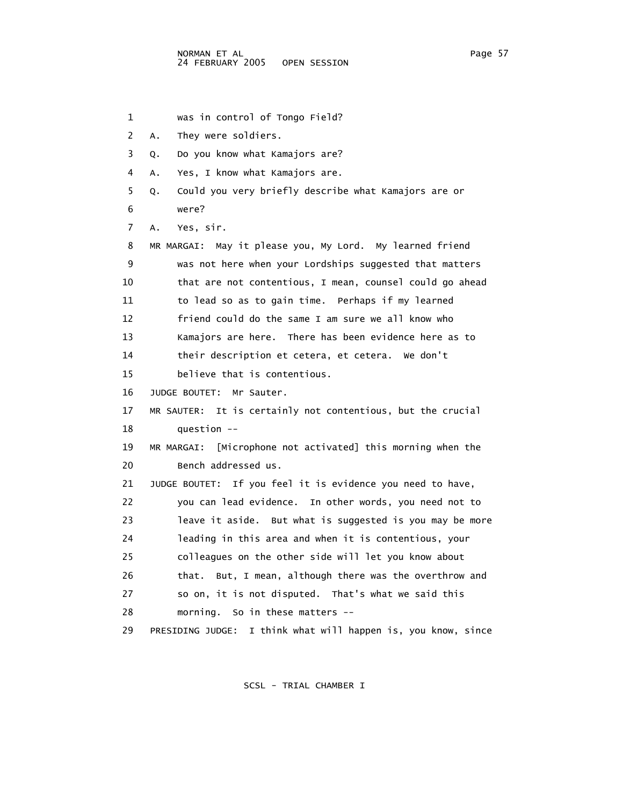1 was in control of Tongo Field? 2 A. They were soldiers. 3 Q. Do you know what Kamajors are? 4 A. Yes, I know what Kamajors are. 5 Q. Could you very briefly describe what Kamajors are or 6 were? 7 A. Yes, sir. 8 MR MARGAI: May it please you, My Lord. My learned friend 9 was not here when your Lordships suggested that matters 10 that are not contentious, I mean, counsel could go ahead 11 to lead so as to gain time. Perhaps if my learned 12 friend could do the same I am sure we all know who 13 Kamajors are here. There has been evidence here as to 14 their description et cetera, et cetera. We don't 15 believe that is contentious. 16 JUDGE BOUTET: Mr Sauter. 17 MR SAUTER: It is certainly not contentious, but the crucial 18 question -- 19 MR MARGAI: [Microphone not activated] this morning when the 20 Bench addressed us. 21 JUDGE BOUTET: If you feel it is evidence you need to have, 22 you can lead evidence. In other words, you need not to 23 leave it aside. But what is suggested is you may be more 24 leading in this area and when it is contentious, your 25 colleagues on the other side will let you know about 26 that. But, I mean, although there was the overthrow and 27 so on, it is not disputed. That's what we said this 28 morning. So in these matters -- 29 PRESIDING JUDGE: I think what will happen is, you know, since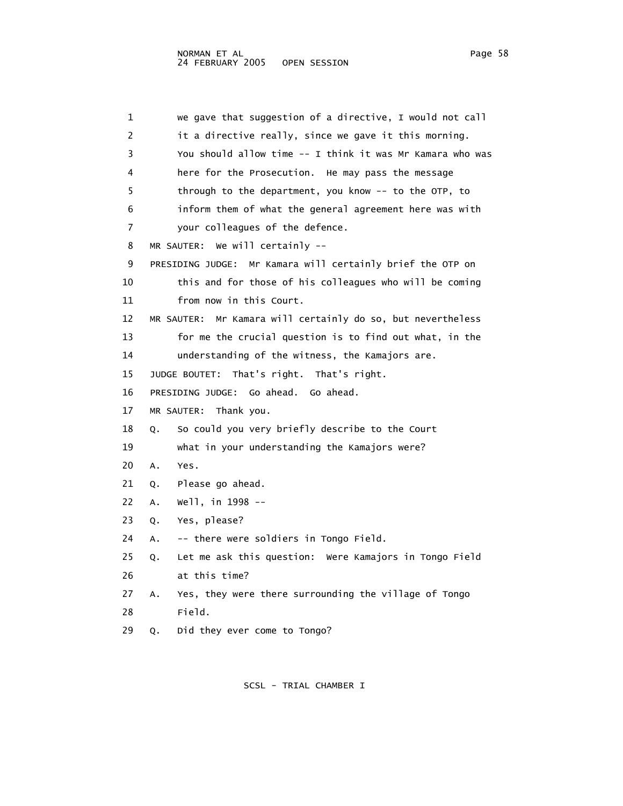1 we gave that suggestion of a directive, I would not call 2 it a directive really, since we gave it this morning. 3 You should allow time -- I think it was Mr Kamara who was 4 here for the Prosecution. He may pass the message 5 through to the department, you know -- to the OTP, to 6 inform them of what the general agreement here was with 7 your colleagues of the defence. 8 MR SAUTER: We will certainly -- 9 PRESIDING JUDGE: Mr Kamara will certainly brief the OTP on 10 this and for those of his colleagues who will be coming 11 from now in this Court. 12 MR SAUTER: Mr Kamara will certainly do so, but nevertheless 13 for me the crucial question is to find out what, in the 14 understanding of the witness, the Kamajors are. 15 JUDGE BOUTET: That's right. That's right. 16 PRESIDING JUDGE: Go ahead. Go ahead. 17 MR SAUTER: Thank you. 18 Q. So could you very briefly describe to the Court 19 what in your understanding the Kamajors were? 20 A. Yes. 21 Q. Please go ahead. 22 A. Well, in 1998 -- 23 Q. Yes, please? 24 A. -- there were soldiers in Tongo Field. 25 Q. Let me ask this question: Were Kamajors in Tongo Field 26 at this time? 27 A. Yes, they were there surrounding the village of Tongo 28 Field. 29 Q. Did they ever come to Tongo?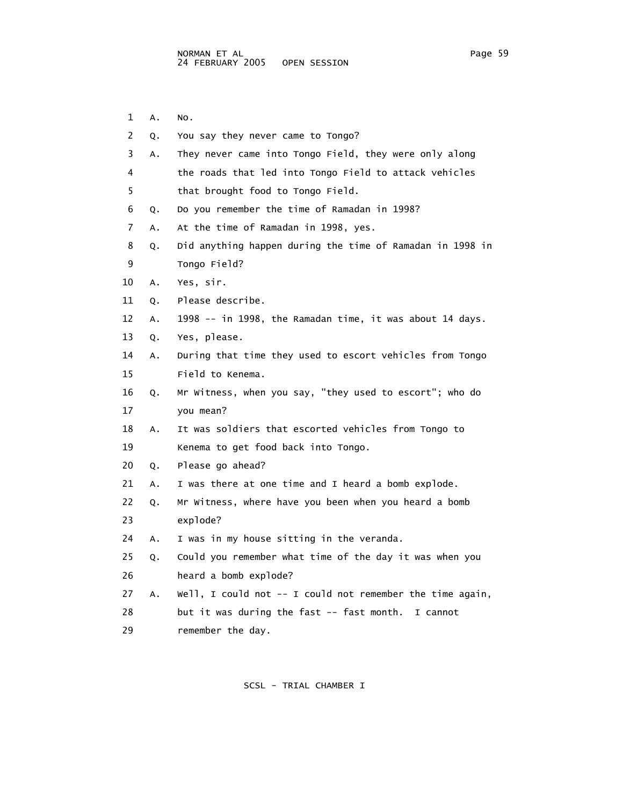- 2 Q. You say they never came to Tongo? 3 A. They never came into Tongo Field, they were only along 5 that brought food to Tongo Field. 6 Q. Do you remember the time of Ramadan in 1998? 7 A. At the time of Ramadan in 1998, yes. 9 Tongo Field? 10 A. Yes, sir. 11 Q. Please describe. 13 Q. Yes, please. 15 Field to Kenema. 17 you mean? 18 A. It was soldiers that escorted vehicles from Tongo to 19 Kenema to get food back into Tongo. 20 Q. Please go ahead? 21 A. I was there at one time and I heard a bomb explode. 23 explode? 24 A. I was in my house sitting in the veranda. 26 heard a bomb explode?
- 28 but it was during the fast -- fast month. I cannot
- 

- 1 A. No.
- 4 the roads that led into Tongo Field to attack vehicles
- 8 Q. Did anything happen during the time of Ramadan in 1998 in
- 12 A. 1998 -- in 1998, the Ramadan time, it was about 14 days.
- 14 A. During that time they used to escort vehicles from Tongo
- 16 Q. Mr Witness, when you say, "they used to escort"; who do
- 22 Q. Mr Witness, where have you been when you heard a bomb
- 25 Q. Could you remember what time of the day it was when you
- 27 A. Well, I could not -- I could not remember the time again,
- 29 remember the day.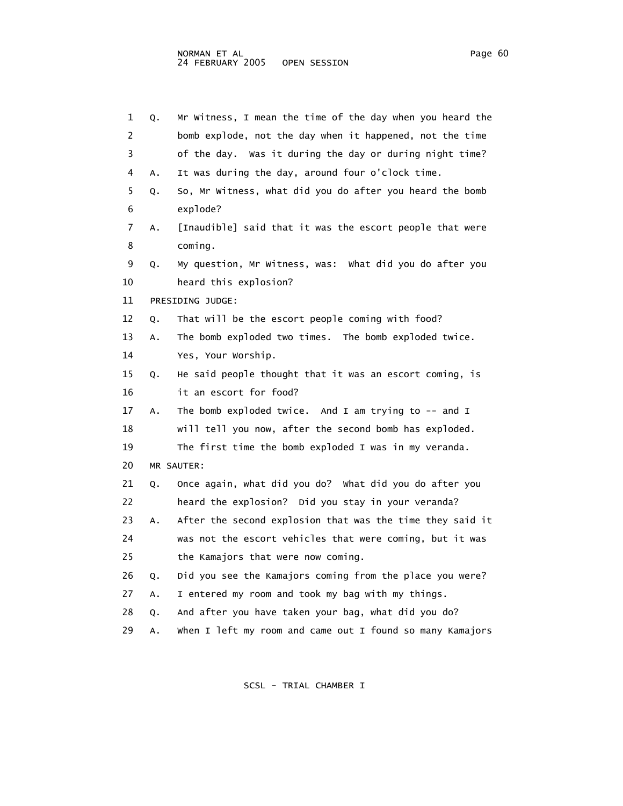| 1  | Q. | Mr Witness, I mean the time of the day when you heard the |
|----|----|-----------------------------------------------------------|
| 2  |    | bomb explode, not the day when it happened, not the time  |
| 3  |    | of the day. Was it during the day or during night time?   |
| 4  | Α. | It was during the day, around four o'clock time.          |
| 5  | Q. | So, Mr Witness, what did you do after you heard the bomb  |
| 6  |    | explode?                                                  |
| 7  | А. | [Inaudible] said that it was the escort people that were  |
| 8  |    | coming.                                                   |
| 9  | Q. | My question, Mr Witness, was: What did you do after you   |
| 10 |    | heard this explosion?                                     |
| 11 |    | PRESIDING JUDGE:                                          |
| 12 | Q. | That will be the escort people coming with food?          |
| 13 | Α. | The bomb exploded two times. The bomb exploded twice.     |
| 14 |    | Yes, Your Worship.                                        |
| 15 | Q. | He said people thought that it was an escort coming, is   |
| 16 |    | it an escort for food?                                    |
| 17 | Α. | The bomb exploded twice. And I am trying to $-$ and I     |
| 18 |    | will tell you now, after the second bomb has exploded.    |
| 19 |    | The first time the bomb exploded I was in my veranda.     |
| 20 |    | MR SAUTER:                                                |
| 21 | Q. | Once again, what did you do? What did you do after you    |
| 22 |    | heard the explosion? Did you stay in your veranda?        |
| 23 | А. | After the second explosion that was the time they said it |
| 24 |    | was not the escort vehicles that were coming, but it was  |
| 25 |    | the Kamajors that were now coming.                        |
| 26 | Q. | Did you see the Kamajors coming from the place you were?  |
| 27 | Α. | I entered my room and took my bag with my things.         |
| 28 | Q. | And after you have taken your bag, what did you do?       |
| 29 | А. | When I left my room and came out I found so many Kamajors |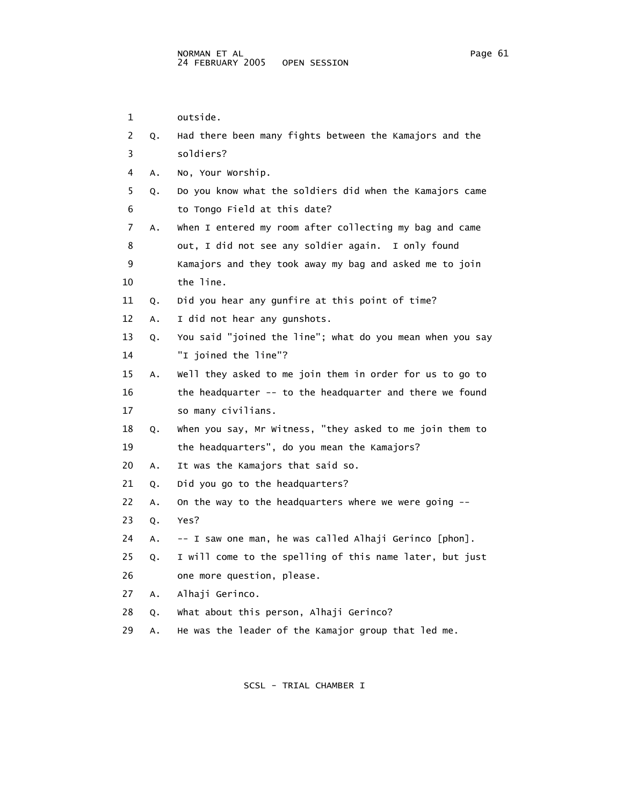| 1  |    | outside.                                                  |
|----|----|-----------------------------------------------------------|
| 2  | Q. | Had there been many fights between the Kamajors and the   |
| 3  |    | soldiers?                                                 |
| 4  | Α. | No, Your Worship.                                         |
| 5  | Q. | Do you know what the soldiers did when the Kamajors came  |
| 6  |    | to Tongo Field at this date?                              |
| 7  | Α. | When I entered my room after collecting my bag and came   |
| 8  |    | out, I did not see any soldier again. I only found        |
| 9  |    | Kamajors and they took away my bag and asked me to join   |
| 10 |    | the line.                                                 |
| 11 | Q. | Did you hear any gunfire at this point of time?           |
| 12 | Α. | I did not hear any gunshots.                              |
| 13 | Q. | You said "joined the line"; what do you mean when you say |
| 14 |    | "I joined the line"?                                      |
| 15 | Α. | Well they asked to me join them in order for us to go to  |
| 16 |    | the headquarter -- to the headquarter and there we found  |
| 17 |    | so many civilians.                                        |
| 18 | Q. | when you say, Mr Witness, "they asked to me join them to  |
| 19 |    | the headquarters", do you mean the Kamajors?              |
| 20 | Α. | It was the Kamajors that said so.                         |
| 21 | Q. | Did you go to the headquarters?                           |
| 22 | Α. | On the way to the headquarters where we were going --     |
| 23 | Q. | Yes?                                                      |
| 24 | А. | -- I saw one man, he was called Alhaji Gerinco [phon].    |
| 25 | Q. | I will come to the spelling of this name later, but just  |
| 26 |    | one more question, please.                                |
| 27 | Α. | Alhaji Gerinco.                                           |
| 28 | Q. | What about this person, Alhaji Gerinco?                   |
| 29 | А. | He was the leader of the Kamajor group that led me.       |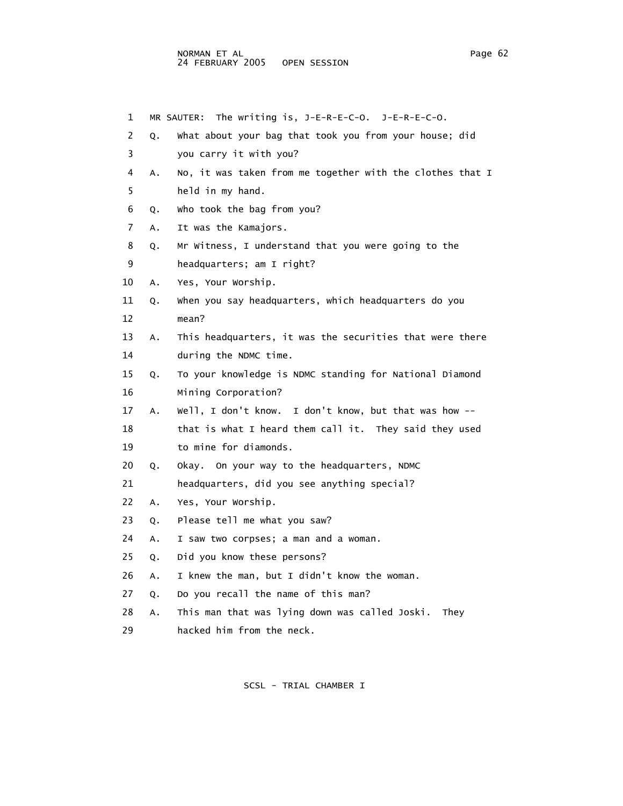## NORMAN ET AL Page 62 24 FEBRUARY 2005 OPEN SESSION

 1 MR SAUTER: The writing is, J-E-R-E-C-O. J-E-R-E-C-O. 2 Q. What about your bag that took you from your house; did 3 you carry it with you? 4 A. No, it was taken from me together with the clothes that I 5 held in my hand. 6 Q. Who took the bag from you? 7 A. It was the Kamajors. 8 Q. Mr Witness, I understand that you were going to the 9 headquarters; am I right? 10 A. Yes, Your Worship. 11 Q. When you say headquarters, which headquarters do you 12 mean? 13 A. This headquarters, it was the securities that were there 14 during the NDMC time. 15 Q. To your knowledge is NDMC standing for National Diamond 16 Mining Corporation? 17 A. Well, I don't know. I don't know, but that was how -- 18 that is what I heard them call it. They said they used 19 to mine for diamonds. 20 Q. Okay. On your way to the headquarters, NDMC 21 headquarters, did you see anything special? 22 A. Yes, Your Worship. 23 Q. Please tell me what you saw? 24 A. I saw two corpses; a man and a woman. 25 Q. Did you know these persons? 26 A. I knew the man, but I didn't know the woman. 27 Q. Do you recall the name of this man? 28 A. This man that was lying down was called Joski. They 29 hacked him from the neck.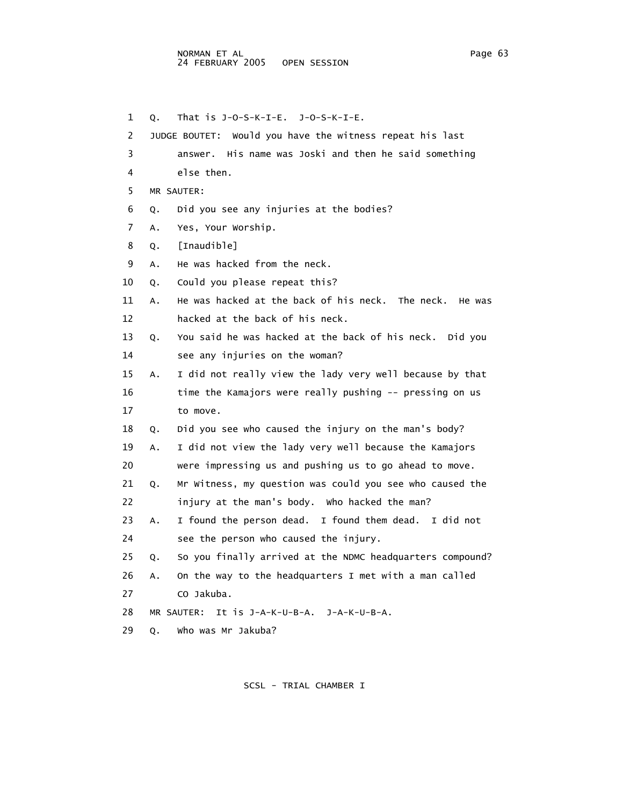1 Q. That is J-O-S-K-I-E. J-O-S-K-I-E. 2 JUDGE BOUTET: Would you have the witness repeat his last 3 answer. His name was Joski and then he said something 4 else then. 5 MR SAUTER: 6 Q. Did you see any injuries at the bodies? 7 A. Yes, Your Worship. 8 Q. [Inaudible] 9 A. He was hacked from the neck. 10 Q. Could you please repeat this? 11 A. He was hacked at the back of his neck. The neck. He was 12 hacked at the back of his neck. 13 Q. You said he was hacked at the back of his neck. Did you 14 see any injuries on the woman? 15 A. I did not really view the lady very well because by that 16 time the Kamajors were really pushing -- pressing on us 17 to move. 18 Q. Did you see who caused the injury on the man's body? 19 A. I did not view the lady very well because the Kamajors 20 were impressing us and pushing us to go ahead to move. 21 Q. Mr Witness, my question was could you see who caused the 22 injury at the man's body. Who hacked the man? 23 A. I found the person dead. I found them dead. I did not 24 see the person who caused the injury. 25 Q. So you finally arrived at the NDMC headquarters compound? 26 A. On the way to the headquarters I met with a man called 27 CO Jakuba. 28 MR SAUTER: It is J-A-K-U-B-A. J-A-K-U-B-A. 29 Q. Who was Mr Jakuba?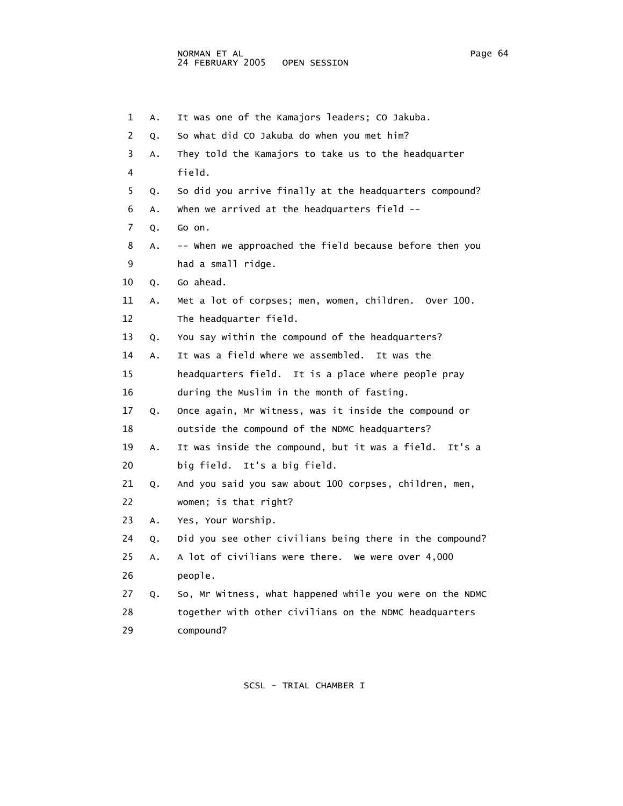| 1              | Α. | It was one of the Kamajors leaders; CO Jakuba.           |
|----------------|----|----------------------------------------------------------|
| $\overline{2}$ | Q. | So what did CO Jakuba do when you met him?               |
| 3              | Α. | They told the Kamajors to take us to the headquarter     |
| 4              |    | field.                                                   |
| 5              | Q. | So did you arrive finally at the headquarters compound?  |
| 6              | Α. | when we arrived at the headquarters field --             |
| 7              | Q. | Go on.                                                   |
| 8              | А. | -- when we approached the field because before then you  |
| 9              |    | had a small ridge.                                       |
| 10             | Q. | Go ahead.                                                |
| 11             | А. | Met a lot of corpses; men, women, children. Over 100.    |
| 12             |    | The headquarter field.                                   |
| 13             | Q. | You say within the compound of the headquarters?         |
| 14             | А. | It was a field where we assembled. It was the            |
| 15             |    | headquarters field.<br>It is a place where people pray   |
| 16             |    | during the Muslim in the month of fasting.               |
| 17             | Q. | Once again, Mr Witness, was it inside the compound or    |
| 18             |    | outside the compound of the NDMC headquarters?           |
| 19             | А. | It was inside the compound, but it was a field. It's a   |
| 20             |    | big field. It's a big field.                             |
| 21             | Q. | And you said you saw about 100 corpses, children, men,   |
| 22             |    | women; is that right?                                    |
| 23             | Α. | Yes, Your Worship.                                       |
| 24             | Q. | Did you see other civilians being there in the compound? |
| 25             | Α. | A lot of civilians were there. We were over 4,000        |
| 26             |    | people.                                                  |
| 27             | Q. | So, Mr Witness, what happened while you were on the NDMC |
| 28             |    | together with other civilians on the NDMC headquarters   |
| 29             |    | compound?                                                |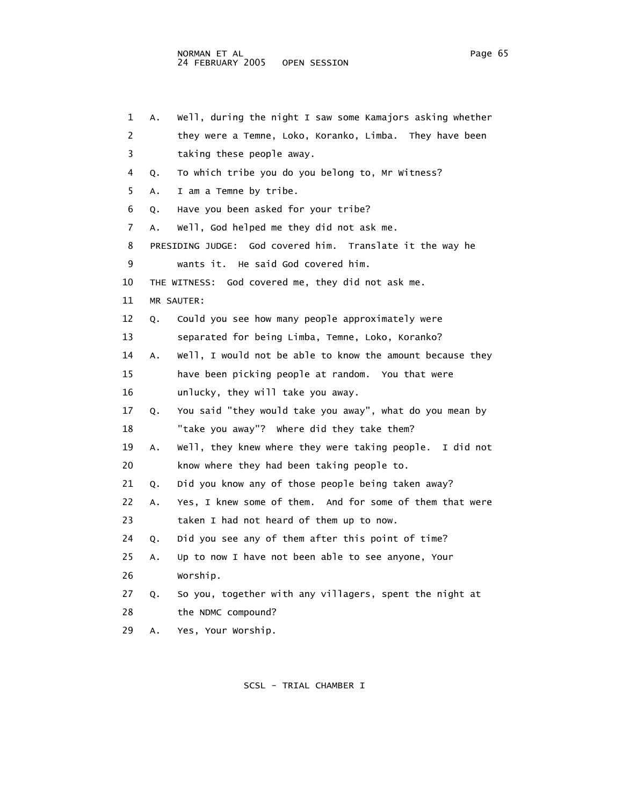| 1  | Α. | Well, during the night I saw some Kamajors asking whether |
|----|----|-----------------------------------------------------------|
| 2  |    | they were a Temne, Loko, Koranko, Limba. They have been   |
| 3  |    | taking these people away.                                 |
| 4  | Q. | To which tribe you do you belong to, Mr Witness?          |
| 5  | A. | I am a Temne by tribe.                                    |
| 6  | Q. | Have you been asked for your tribe?                       |
| 7  | Α. | well, God helped me they did not ask me.                  |
| 8  |    | PRESIDING JUDGE: God covered him. Translate it the way he |
| 9  |    | wants it. He said God covered him.                        |
| 10 |    | THE WITNESS: God covered me, they did not ask me.         |
| 11 |    | MR SAUTER:                                                |
| 12 | Q. | Could you see how many people approximately were          |
| 13 |    | separated for being Limba, Temne, Loko, Koranko?          |
| 14 | Α. | Well, I would not be able to know the amount because they |
| 15 |    | have been picking people at random. You that were         |
| 16 |    | unlucky, they will take you away.                         |
| 17 | Q. | You said "they would take you away", what do you mean by  |
| 18 |    | "take you away"? Where did they take them?                |
| 19 | Α. | Well, they knew where they were taking people. I did not  |
| 20 |    | know where they had been taking people to.                |
| 21 | Q. | Did you know any of those people being taken away?        |
| 22 | Α. | Yes, I knew some of them. And for some of them that were  |
| 23 |    | taken I had not heard of them up to now.                  |
| 24 | Q. | Did you see any of them after this point of time?         |
| 25 | Α. | Up to now I have not been able to see anyone, Your        |
| 26 |    | Worship.                                                  |
| 27 | Q. | So you, together with any villagers, spent the night at   |
| 28 |    | the NDMC compound?                                        |
| 29 | Α. | Yes, Your Worship.                                        |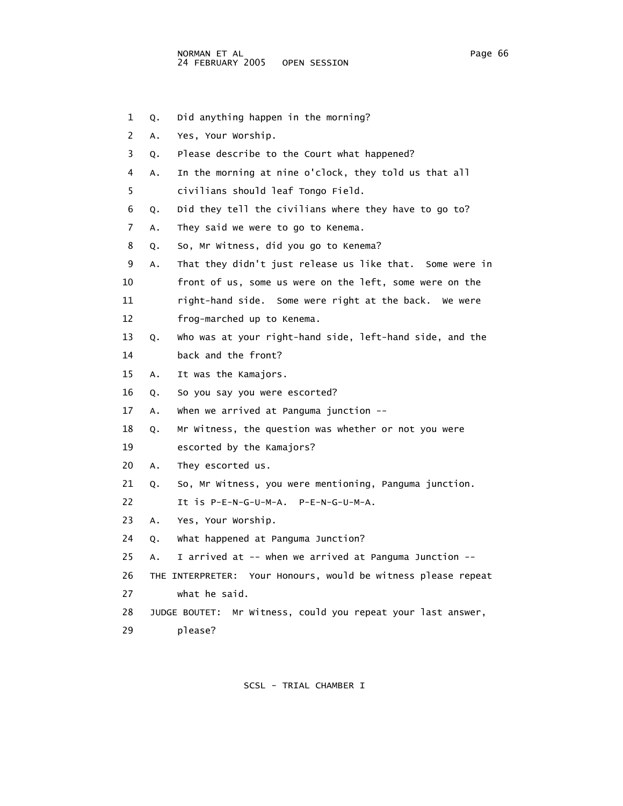- 1 Q. Did anything happen in the morning?
- 2 A. Yes, Your Worship.
- 3 Q. Please describe to the Court what happened?
- 4 A. In the morning at nine o'clock, they told us that all
- 5 civilians should leaf Tongo Field.
- 6 Q. Did they tell the civilians where they have to go to?
- 7 A. They said we were to go to Kenema.
- 8 Q. So, Mr Witness, did you go to Kenema?
- 9 A. That they didn't just release us like that. Some were in
- 10 front of us, some us were on the left, some were on the
- 11 right-hand side. Some were right at the back. We were
- 12 frog-marched up to Kenema.
- 13 Q. Who was at your right-hand side, left-hand side, and the 14 back and the front?
- 15 A. It was the Kamajors.
- 16 Q. So you say you were escorted?
- 17 A. When we arrived at Panguma junction --
- 18 Q. Mr Witness, the question was whether or not you were
- 19 escorted by the Kamajors?
- 20 A. They escorted us.
- 21 Q. So, Mr Witness, you were mentioning, Panguma junction.
- 22 It is P-E-N-G-U-M-A. P-E-N-G-U-M-A.
- 23 A. Yes, Your Worship.
- 24 Q. What happened at Panguma Junction?
- 25 A. I arrived at -- when we arrived at Panguma Junction --
- 26 THE INTERPRETER: Your Honours, would be witness please repeat 27 what he said.
- 28 JUDGE BOUTET: Mr Witness, could you repeat your last answer,
- 29 please?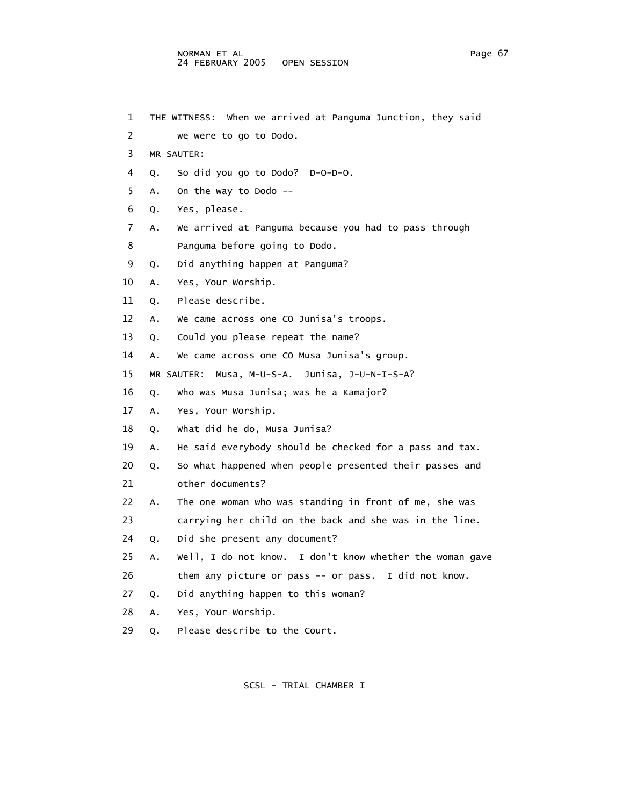1 THE WITNESS: When we arrived at Panguma Junction, they said 2 we were to go to Dodo. 3 MR SAUTER: 4 Q. So did you go to Dodo? D-O-D-O. 5 A. On the way to Dodo -- 6 Q. Yes, please. 7 A. We arrived at Panguma because you had to pass through 8 Panguma before going to Dodo. 9 Q. Did anything happen at Panguma? 10 A. Yes, Your Worship. 11 Q. Please describe. 12 A. We came across one CO Junisa's troops. 13 Q. Could you please repeat the name? 14 A. We came across one CO Musa Junisa's group. 15 MR SAUTER: Musa, M-U-S-A. Junisa, J-U-N-I-S-A? 16 Q. Who was Musa Junisa; was he a Kamajor? 17 A. Yes, Your Worship. 18 Q. What did he do, Musa Junisa? 19 A. He said everybody should be checked for a pass and tax. 20 Q. So what happened when people presented their passes and 21 other documents? 22 A. The one woman who was standing in front of me, she was 23 carrying her child on the back and she was in the line. 24 Q. Did she present any document? 25 A. Well, I do not know. I don't know whether the woman gave 26 them any picture or pass -- or pass. I did not know. 27 Q. Did anything happen to this woman? 28 A. Yes, Your Worship. 29 Q. Please describe to the Court.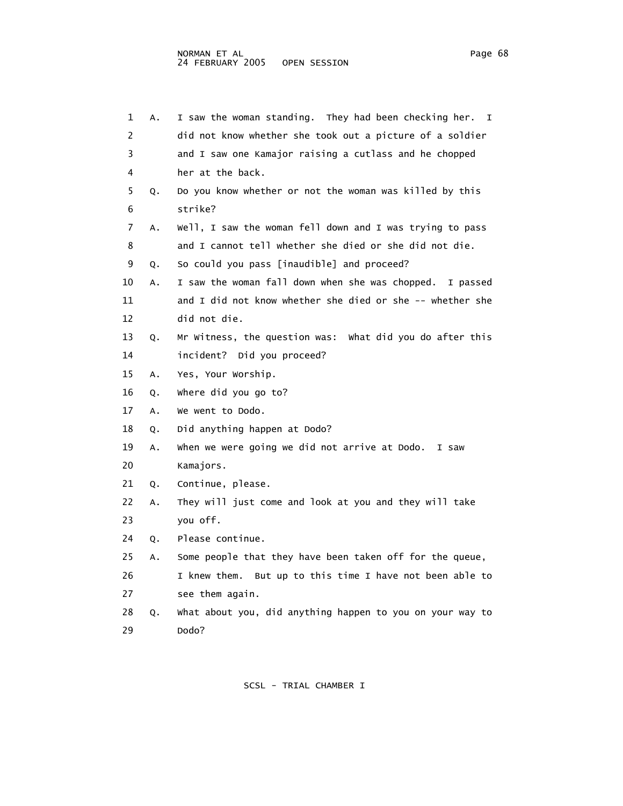|    | 1<br>Α. | I saw the woman standing. They had been checking her.<br>$\mathbf{I}$ |
|----|---------|-----------------------------------------------------------------------|
|    | 2       | did not know whether she took out a picture of a soldier              |
|    | 3       | and I saw one Kamajor raising a cutlass and he chopped                |
|    | 4       | her at the back.                                                      |
|    | 5<br>Q. | Do you know whether or not the woman was killed by this               |
|    | 6       | strike?                                                               |
|    | 7<br>Α. | Well, I saw the woman fell down and I was trying to pass              |
|    | 8       | and I cannot tell whether she died or she did not die.                |
|    | 9<br>Q. | So could you pass [inaudible] and proceed?                            |
| 10 | Α.      | I saw the woman fall down when she was chopped. I passed              |
| 11 |         | and I did not know whether she died or she -- whether she             |
| 12 |         | did not die.                                                          |
| 13 | Q.      | Mr Witness, the question was: What did you do after this              |
| 14 |         | incident? Did you proceed?                                            |
| 15 | Α.      | Yes, Your Worship.                                                    |
| 16 | Q.      | where did you go to?                                                  |
| 17 | Α.      | We went to Dodo.                                                      |
| 18 | Q.      | Did anything happen at Dodo?                                          |
| 19 | Α.      | When we were going we did not arrive at Dodo. I saw                   |
| 20 |         | Kamajors.                                                             |
| 21 | Q.      | Continue, please.                                                     |
| 22 | Α.      | They will just come and look at you and they will take                |
| 23 |         | you off.                                                              |
| 24 | Q.      | Please continue.                                                      |
| 25 | Α.      | Some people that they have been taken off for the queue,              |
| 26 |         | I knew them. But up to this time I have not been able to              |
| 27 |         | see them again.                                                       |
| 28 | Q.      | What about you, did anything happen to you on your way to             |
| 29 |         | Dodo?                                                                 |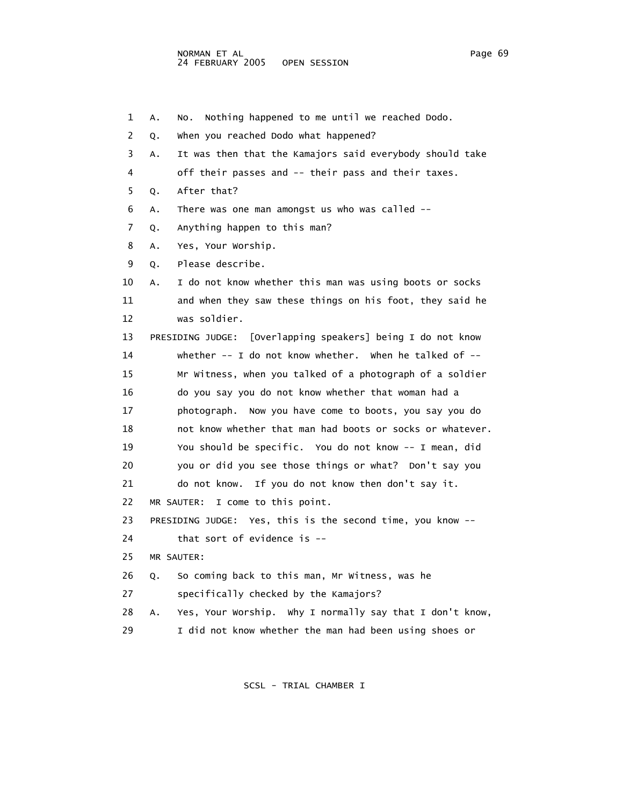1 A. No. Nothing happened to me until we reached Dodo. 2 Q. When you reached Dodo what happened? 3 A. It was then that the Kamajors said everybody should take 4 off their passes and -- their pass and their taxes. 5 Q. After that? 6 A. There was one man amongst us who was called -- 7 Q. Anything happen to this man? 8 A. Yes, Your Worship. 9 Q. Please describe. 10 A. I do not know whether this man was using boots or socks 11 and when they saw these things on his foot, they said he 12 was soldier. 13 PRESIDING JUDGE: [Overlapping speakers] being I do not know 14 whether -- I do not know whether. When he talked of -- 15 Mr Witness, when you talked of a photograph of a soldier 16 do you say you do not know whether that woman had a 17 photograph. Now you have come to boots, you say you do 18 not know whether that man had boots or socks or whatever. 19 You should be specific. You do not know -- I mean, did 20 you or did you see those things or what? Don't say you 21 do not know. If you do not know then don't say it. 22 MR SAUTER: I come to this point. 23 PRESIDING JUDGE: Yes, this is the second time, you know -- 24 that sort of evidence is -- 25 MR SAUTER: 26 Q. So coming back to this man, Mr Witness, was he 27 specifically checked by the Kamajors? 28 A. Yes, Your Worship. Why I normally say that I don't know, 29 I did not know whether the man had been using shoes or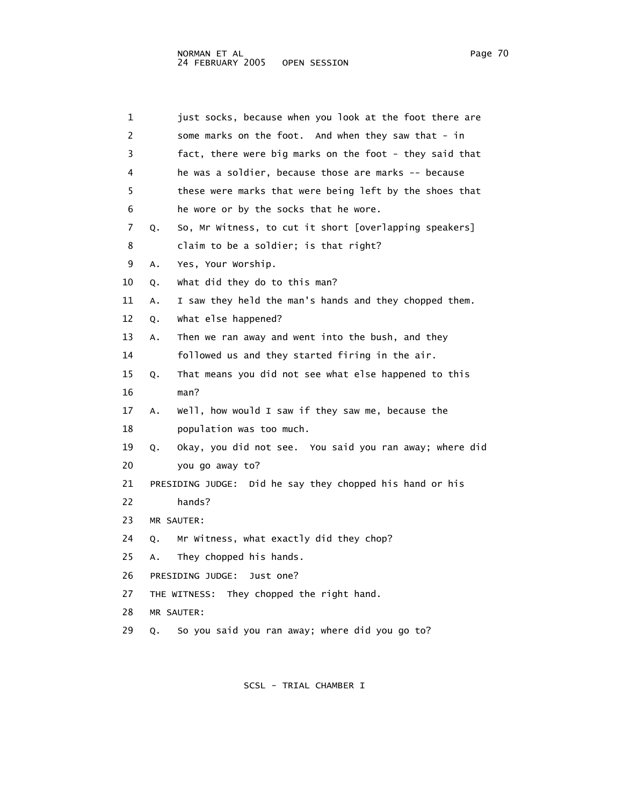| 1              | just socks, because when you look at the foot there are       |
|----------------|---------------------------------------------------------------|
| $\overline{2}$ | some marks on the foot. And when they saw that - in           |
| 3              | fact, there were big marks on the foot - they said that       |
| 4              | he was a soldier, because those are marks -- because          |
| 5              | these were marks that were being left by the shoes that       |
| 6              | he wore or by the socks that he wore.                         |
| 7              | So, Mr Witness, to cut it short [overlapping speakers]<br>Q.  |
| 8              | claim to be a soldier; is that right?                         |
| 9              | Yes, Your Worship.<br>Α.                                      |
| 10             | what did they do to this man?<br>Q.                           |
| 11             | I saw they held the man's hands and they chopped them.<br>Α.  |
| 12             | what else happened?<br>Q.                                     |
| 13             | Then we ran away and went into the bush, and they<br>Α.       |
| 14             | followed us and they started firing in the air.               |
| 15             | That means you did not see what else happened to this<br>Q.   |
| 16             | man?                                                          |
| 17             | Well, how would I saw if they saw me, because the<br>Α.       |
| 18             | population was too much.                                      |
| 19             | Okay, you did not see. You said you ran away; where did<br>Q. |
| 20             | you go away to?                                               |
| 21             | PRESIDING JUDGE: Did he say they chopped his hand or his      |
| 22             | hands?                                                        |
| 23             | MR SAUTER:                                                    |
| 24             | Mr Witness, what exactly did they chop?<br>Q.                 |
| 25             | They chopped his hands.<br>Α.                                 |
| 26             | PRESIDING JUDGE:<br>Just one?                                 |
| 27             | THE WITNESS: They chopped the right hand.                     |
| 28             | MR SAUTER:                                                    |
| 29             | So you said you ran away; where did you go to?<br>Q.          |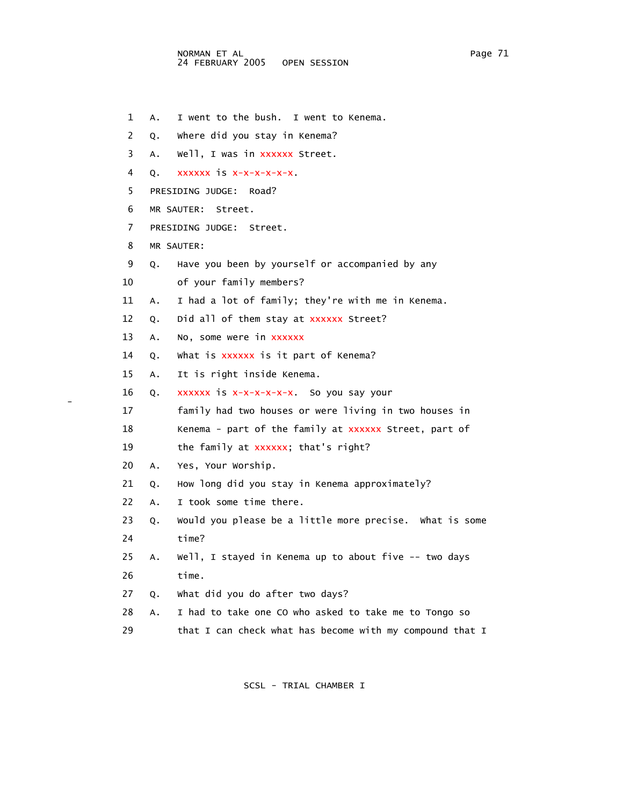1 A. I went to the bush. I went to Kenema.

2 Q. Where did you stay in Kenema?

3 A. Well, I was in xxxxxx Street.

4 Q. xxxxxx is x-x-x-x-x-x.

5 PRESIDING JUDGE: Road?

6 MR SAUTER: Street.

7 PRESIDING JUDGE: Street.

8 MR SAUTER:

9 Q. Have you been by yourself or accompanied by any

10 of your family members?

11 A. I had a lot of family; they're with me in Kenema.

12 Q. Did all of them stay at xxxxxx Street?

13 A. No, some were in xxxxxx

14 Q. What is xxxxxx is it part of Kenema?

15 A. It is right inside Kenema.

16 Q. xxxxxx is x-x-x-x-x-x. So you say your

17 family had two houses or were living in two houses in

18 Kenema - part of the family at xxxxxx Street, part of

19 the family at xxxxxx; that's right?

20 A. Yes, Your Worship.

21 Q. How long did you stay in Kenema approximately?

22 A. I took some time there.

 23 Q. Would you please be a little more precise. What is some 24 time?

25 A. Well, I stayed in Kenema up to about five -- two days

26 time.

-

27 Q. What did you do after two days?

28 A. I had to take one CO who asked to take me to Tongo so

29 that I can check what has become with my compound that I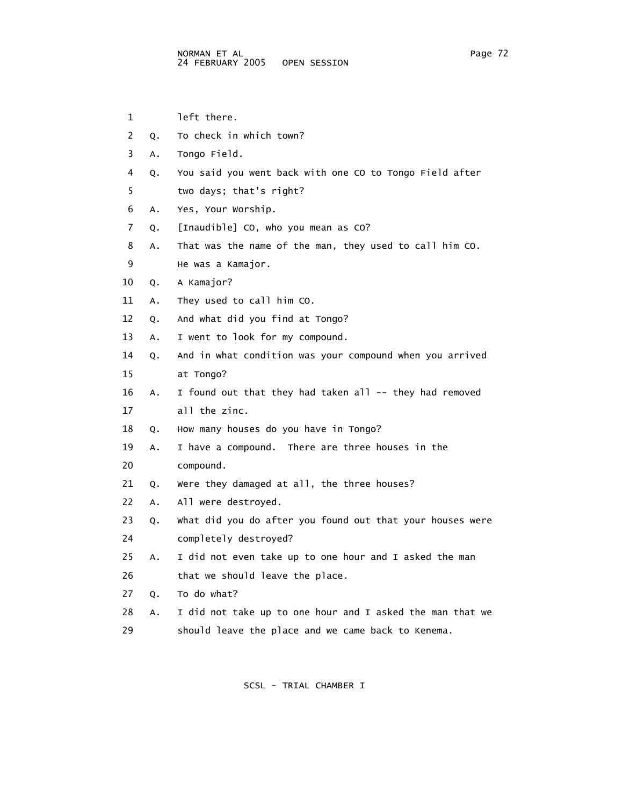1 left there.

 2 Q. To check in which town? 3 A. Tongo Field. 4 Q. You said you went back with one CO to Tongo Field after 5 two days; that's right? 6 A. Yes, Your Worship. 7 Q. [Inaudible] CO, who you mean as CO? 8 A. That was the name of the man, they used to call him CO. 9 He was a Kamajor. 10 Q. A Kamajor? 11 A. They used to call him CO. 12 Q. And what did you find at Tongo? 13 A. I went to look for my compound. 14 Q. And in what condition was your compound when you arrived 15 at Tongo? 16 A. I found out that they had taken all -- they had removed 17 all the zinc. 18 Q. How many houses do you have in Tongo? 19 A. I have a compound. There are three houses in the 20 compound. 21 Q. Were they damaged at all, the three houses? 22 A. All were destroyed. 23 Q. What did you do after you found out that your houses were 24 completely destroyed? 25 A. I did not even take up to one hour and I asked the man 26 that we should leave the place. 27 Q. To do what? 28 A. I did not take up to one hour and I asked the man that we 29 should leave the place and we came back to Kenema.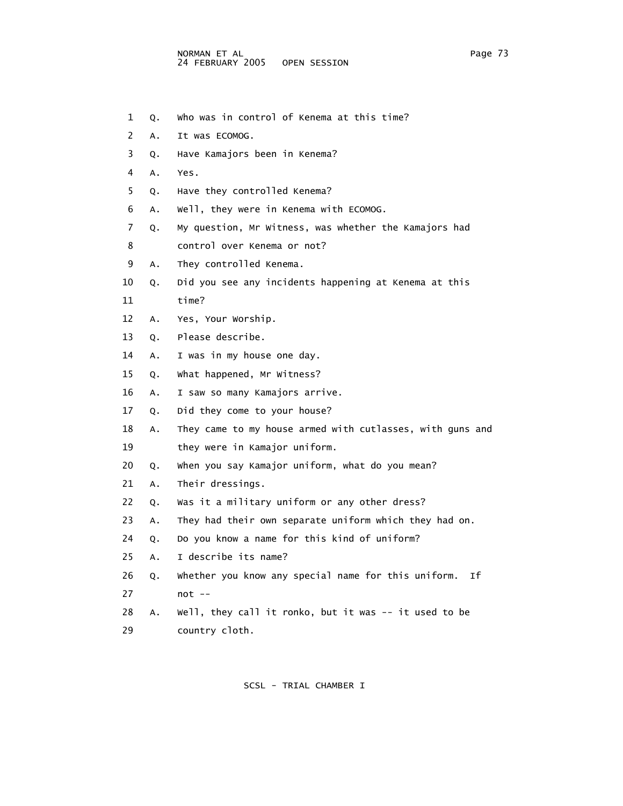- 1 Q. Who was in control of Kenema at this time?
- 2 A. It was ECOMOG.
- 3 Q. Have Kamajors been in Kenema?
- 4 A. Yes.
- 5 Q. Have they controlled Kenema?
- 6 A. Well, they were in Kenema with ECOMOG.
- 7 Q. My question, Mr Witness, was whether the Kamajors had
- 8 control over Kenema or not?
- 9 A. They controlled Kenema.
- 10 Q. Did you see any incidents happening at Kenema at this
- 11 time?
- 12 A. Yes, Your Worship.
- 13 Q. Please describe.
- 14 A. I was in my house one day.
- 15 Q. What happened, Mr Witness?
- 16 A. I saw so many Kamajors arrive.
- 17 Q. Did they come to your house?
- 18 A. They came to my house armed with cutlasses, with guns and
- 19 they were in Kamajor uniform.
- 20 Q. When you say Kamajor uniform, what do you mean?
- 21 A. Their dressings.
- 22 Q. Was it a military uniform or any other dress?
- 23 A. They had their own separate uniform which they had on.
- 24 Q. Do you know a name for this kind of uniform?
- 25 A. I describe its name?
- 26 Q. Whether you know any special name for this uniform. If 27 not --
- 28 A. Well, they call it ronko, but it was -- it used to be 29 country cloth.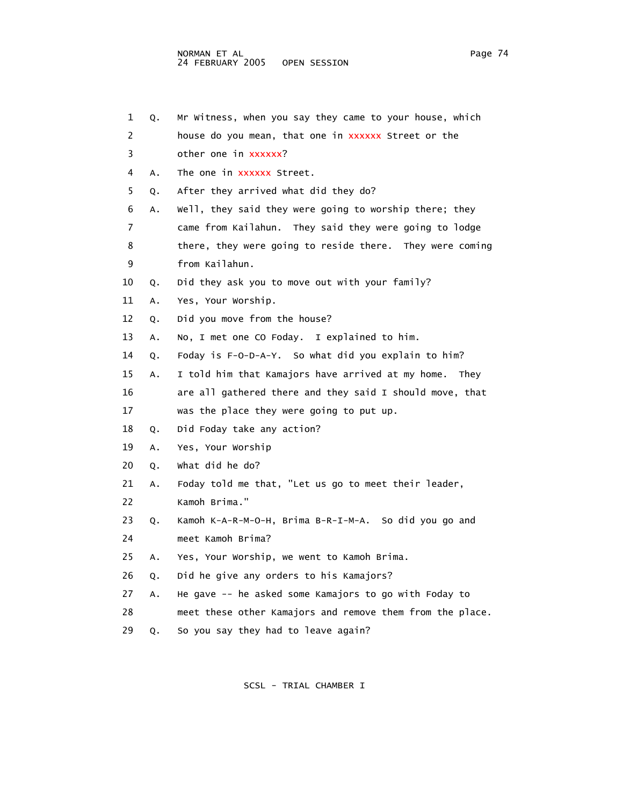| 1  | Q. | Mr Witness, when you say they came to your house, which   |
|----|----|-----------------------------------------------------------|
| 2  |    | house do you mean, that one in xxxxxx Street or the       |
| 3  |    | other one in xxxxxx?                                      |
| 4  | Α. | The one in xxxxxx Street.                                 |
| 5  | Q. | After they arrived what did they do?                      |
| 6  | А. | Well, they said they were going to worship there; they    |
| 7  |    | came from Kailahun. They said they were going to lodge    |
| 8  |    | there, they were going to reside there. They were coming  |
| 9  |    | from Kailahun.                                            |
| 10 | Q. | Did they ask you to move out with your family?            |
| 11 | Α. | Yes, Your Worship.                                        |
| 12 | Q. | Did you move from the house?                              |
| 13 | Α. | No, I met one CO Foday. I explained to him.               |
| 14 | Q. | Foday is F-O-D-A-Y. So what did you explain to him?       |
| 15 | Α. | I told him that Kamajors have arrived at my home.<br>They |
| 16 |    | are all gathered there and they said I should move, that  |
| 17 |    | was the place they were going to put up.                  |
| 18 | Q. | Did Foday take any action?                                |
| 19 | Α. | Yes, Your Worship                                         |
| 20 | Q. | what did he do?                                           |
| 21 | Α. | Foday told me that, "Let us go to meet their leader,      |
| 22 |    | Kamoh Brima."                                             |
| 23 | Q. | Kamoh K-A-R-M-O-H, Brima B-R-I-M-A. So did you go and     |
| 24 |    | meet Kamoh Brima?                                         |
| 25 | А. | Yes, Your Worship, we went to Kamoh Brima.                |
| 26 | Q. | Did he give any orders to his Kamajors?                   |
| 27 | Α. | He gave -- he asked some Kamajors to go with Foday to     |
| 28 |    | meet these other Kamajors and remove them from the place. |
| 29 | Q. | So you say they had to leave again?                       |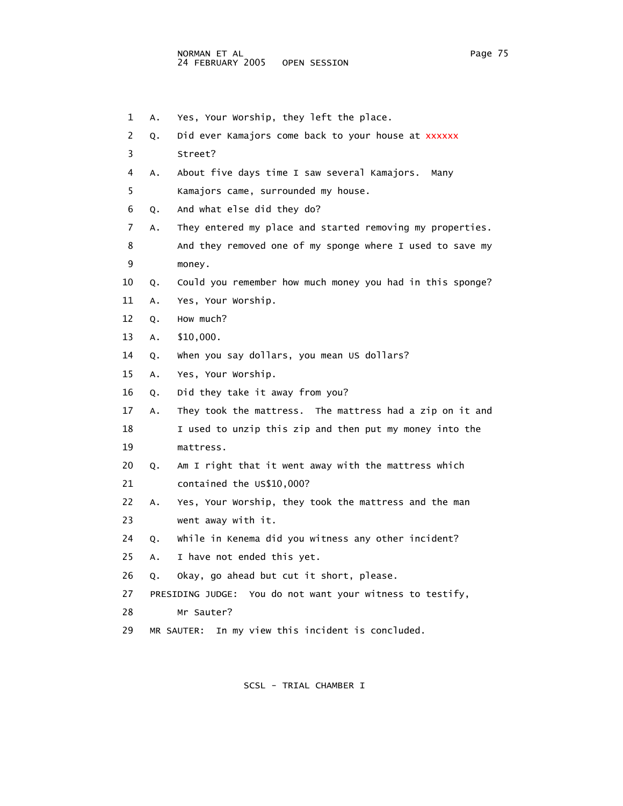- 1 A. Yes, Your Worship, they left the place. 2 Q. Did ever Kamajors come back to your house at xxxxxx 3 Street? 4 A. About five days time I saw several Kamajors. Many
- 5 Kamajors came, surrounded my house.
- 6 Q. And what else did they do?
- 7 A. They entered my place and started removing my properties.
- 8 And they removed one of my sponge where I used to save my 9 money.
- 10 Q. Could you remember how much money you had in this sponge?
- 11 A. Yes, Your Worship.
- 12 Q. How much?
- 13 A. \$10,000.
- 14 Q. When you say dollars, you mean US dollars?
- 15 A. Yes, Your Worship.
- 16 Q. Did they take it away from you?
- 17 A. They took the mattress. The mattress had a zip on it and
- 18 I used to unzip this zip and then put my money into the 19 mattress.
- 20 Q. Am I right that it went away with the mattress which 21 contained the US\$10,000?
- 22 A. Yes, Your Worship, they took the mattress and the man 23 went away with it.
- 24 Q. While in Kenema did you witness any other incident?
- 25 A. I have not ended this yet.
- 26 Q. Okay, go ahead but cut it short, please.
- 27 PRESIDING JUDGE: You do not want your witness to testify,
- 28 Mr Sauter?
- 29 MR SAUTER: In my view this incident is concluded.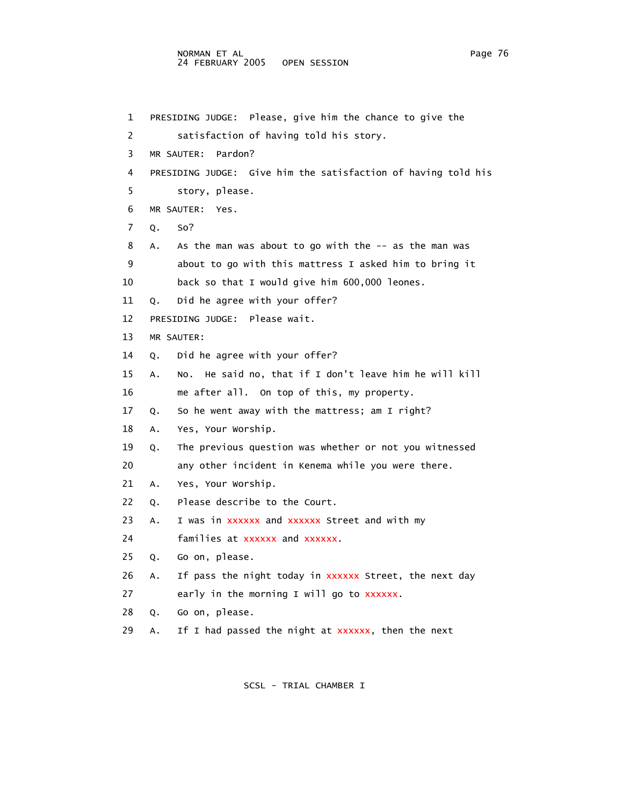## NORMAN ET AL Page 76 24 FEBRUARY 2005 OPEN SESSION

 1 PRESIDING JUDGE: Please, give him the chance to give the 2 satisfaction of having told his story. 3 MR SAUTER: Pardon? 4 PRESIDING JUDGE: Give him the satisfaction of having told his 5 story, please. 6 MR SAUTER: Yes. 7 Q. So? 8 A. As the man was about to go with the -- as the man was 9 about to go with this mattress I asked him to bring it 10 back so that I would give him 600,000 leones. 11 Q. Did he agree with your offer? 12 PRESIDING JUDGE: Please wait. 13 MR SAUTER: 14 Q. Did he agree with your offer? 15 A. No. He said no, that if I don't leave him he will kill 16 me after all. On top of this, my property. 17 Q. So he went away with the mattress; am I right? 18 A. Yes, Your Worship. 19 Q. The previous question was whether or not you witnessed 20 any other incident in Kenema while you were there. 21 A. Yes, Your Worship. 22 Q. Please describe to the Court. 23 A. I was in xxxxxx and xxxxxx Street and with my 24 **families at xxxxxx and xxxxxx.**  25 Q. Go on, please. 26 A. If pass the night today in xxxxxx Street, the next day 27 early in the morning I will go to xxxxxx. 28 Q. Go on, please. 29 A. If I had passed the night at  $xxxxxx$ , then the next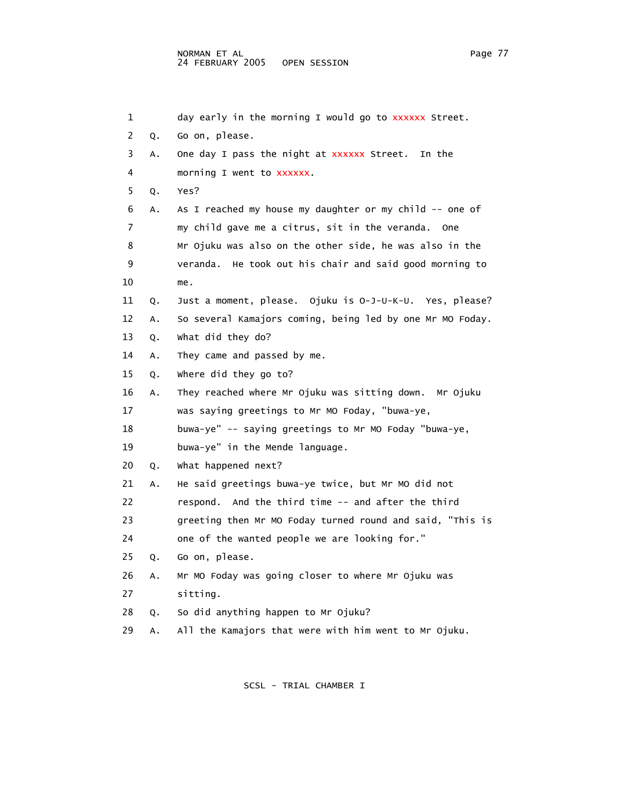| 1  |    | day early in the morning I would go to xxxxxx Street.     |
|----|----|-----------------------------------------------------------|
| 2  | Q. | Go on, please.                                            |
| 3  | Α. | One day I pass the night at xxxxxx Street.<br>In the      |
| 4  |    | morning I went to xxxxxx.                                 |
| 5  | Q. | Yes?                                                      |
| 6  | А. | As I reached my house my daughter or my child -- one of   |
| 7  |    | my child gave me a citrus, sit in the veranda. One        |
| 8  |    | Mr Ojuku was also on the other side, he was also in the   |
| 9  |    | veranda. He took out his chair and said good morning to   |
| 10 |    | me.                                                       |
| 11 | Q. | Just a moment, please. Ojuku is 0-J-U-K-U. Yes, please?   |
| 12 | Α. | So several Kamajors coming, being led by one Mr MO Foday. |
| 13 | Q. | what did they do?                                         |
| 14 | Α. | They came and passed by me.                               |
| 15 | Q. | where did they go to?                                     |
| 16 | Α. | They reached where Mr Ojuku was sitting down. Mr Ojuku    |
| 17 |    | was saying greetings to Mr MO Foday, "buwa-ye,            |
| 18 |    | buwa-ye" -- saying greetings to Mr MO Foday "buwa-ye,     |
| 19 |    | buwa-ye" in the Mende language.                           |
| 20 | Q. | what happened next?                                       |
| 21 | Α. | He said greetings buwa-ye twice, but Mr MO did not        |
| 22 |    | respond. And the third time -- and after the third        |
| 23 |    | greeting then Mr MO Foday turned round and said, "This is |
| 24 |    | one of the wanted people we are looking for."             |
| 25 | Q. | Go on, please.                                            |
| 26 | Α. | Mr MO Foday was going closer to where Mr Ojuku was        |
| 27 |    | sitting.                                                  |
| 28 | Q. | So did anything happen to Mr Ojuku?                       |
|    |    |                                                           |

29 A. All the Kamajors that were with him went to Mr Ojuku.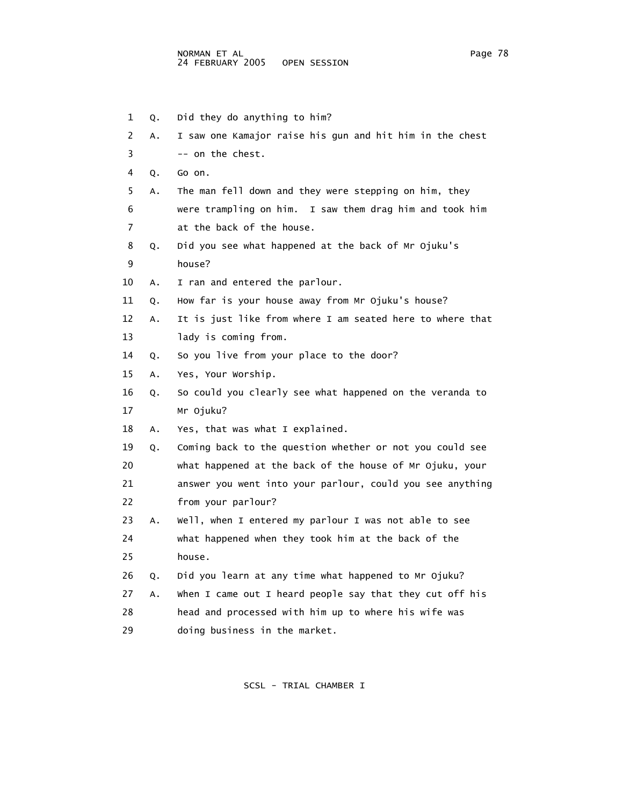| 1  | Q. | Did they do anything to him?                              |
|----|----|-----------------------------------------------------------|
| 2  | Α. | I saw one Kamajor raise his gun and hit him in the chest  |
| 3  |    | -- on the chest.                                          |
| 4  | Q. | Go on.                                                    |
| 5  | Α. | The man fell down and they were stepping on him, they     |
| 6  |    | were trampling on him. I saw them drag him and took him   |
| 7  |    | at the back of the house.                                 |
| 8  | Q. | Did you see what happened at the back of Mr Ojuku's       |
| 9  |    | house?                                                    |
| 10 | Α. | I ran and entered the parlour.                            |
| 11 | Q. | How far is your house away from Mr Ojuku's house?         |
| 12 | Α. | It is just like from where I am seated here to where that |
| 13 |    | lady is coming from.                                      |
| 14 | Q. | So you live from your place to the door?                  |
| 15 | Α. | Yes, Your Worship.                                        |
| 16 | Q. | So could you clearly see what happened on the veranda to  |
| 17 |    | Mr Ojuku?                                                 |
| 18 | А. | Yes, that was what I explained.                           |
| 19 | Q. | Coming back to the question whether or not you could see  |
| 20 |    | what happened at the back of the house of Mr Ojuku, your  |
| 21 |    | answer you went into your parlour, could you see anything |
| 22 |    | from your parlour?                                        |
| 23 | Α. | Well, when I entered my parlour I was not able to see     |
| 24 |    | what happened when they took him at the back of the       |
| 25 |    | house.                                                    |
| 26 | Q. | Did you learn at any time what happened to Mr Ojuku?      |
| 27 | Α. | when I came out I heard people say that they cut off his  |
| 28 |    | head and processed with him up to where his wife was      |
| 29 |    | doing business in the market.                             |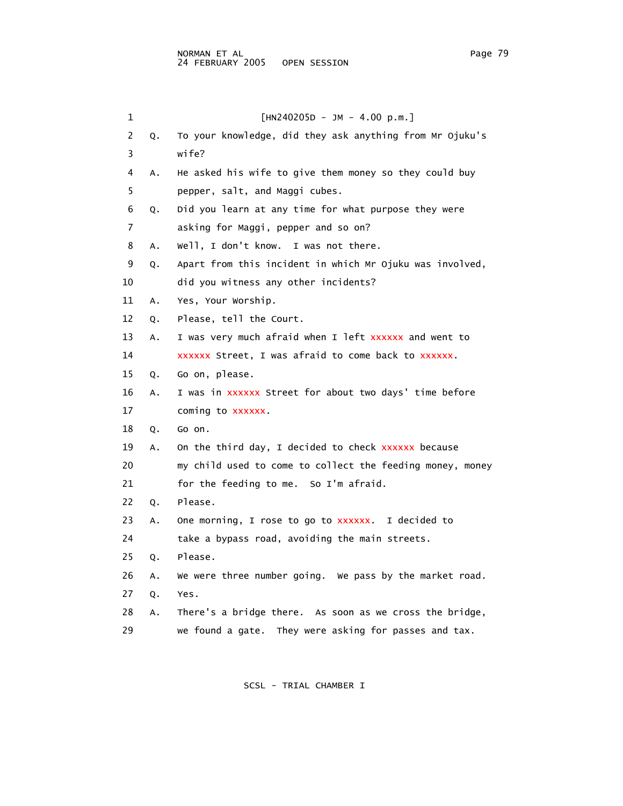| 1             |    | $[HN240205D - JM - 4.00 p.m.]$                            |
|---------------|----|-----------------------------------------------------------|
| $\mathcal{P}$ | Q. | To your knowledge, did they ask anything from Mr Ojuku's  |
| 3             |    | wife?                                                     |
| 4             |    | A. He asked his wife to give them money so they could buy |
| 5             |    | pepper, salt, and Maggi cubes.                            |
| 6             |    | Q. Did you learn at any time for what purpose they were   |
|               |    | asking for Maggi, pepper and so on?                       |
|               | А. | Well, I don't know. I was not there.                      |

9 Q. Apart from this incident in which Mr Ojuku was involved,

10 did you witness any other incidents?

11 A. Yes, Your Worship.

12 Q. Please, tell the Court.

13 A. I was very much afraid when I left xxxxxx and went to

14 xxxxxx Street, I was afraid to come back to xxxxxx.

15 Q. Go on, please.

16 A. I was in xxxxxx Street for about two days' time before 17 coming to xxxxxx.

18 Q. Go on.

19 A. On the third day, I decided to check xxxxxx because

20 my child used to come to collect the feeding money, money

21 for the feeding to me. So I'm afraid.

22 Q. Please.

23 A. One morning, I rose to go to XXXXXX. I decided to

24 take a bypass road, avoiding the main streets.

25 Q. Please.

26 A. We were three number going. We pass by the market road.

27 Q. Yes.

28 A. There's a bridge there. As soon as we cross the bridge,

29 we found a gate. They were asking for passes and tax.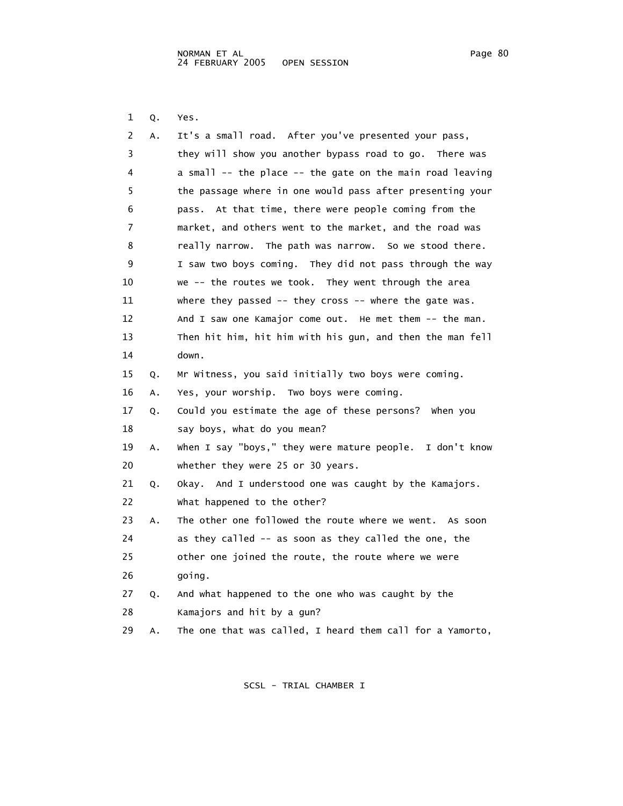1 Q. Yes.

| 2  | А. | It's a small road. After you've presented your pass,            |
|----|----|-----------------------------------------------------------------|
| 3  |    | they will show you another bypass road to go. There was         |
| 4  |    | a small $-$ - the place $-$ - the gate on the main road leaving |
| 5  |    | the passage where in one would pass after presenting your       |
| 6  |    | pass. At that time, there were people coming from the           |
| 7  |    | market, and others went to the market, and the road was         |
| 8  |    | really narrow. The path was narrow. So we stood there.          |
| 9  |    | I saw two boys coming. They did not pass through the way        |
| 10 |    | we -- the routes we took. They went through the area            |
| 11 |    | where they passed -- they cross -- where the gate was.          |
| 12 |    | And I saw one Kamajor come out. He met them -- the man.         |
| 13 |    | Then hit him, hit him with his gun, and then the man fell       |
| 14 |    | down.                                                           |
| 15 | Q. | Mr Witness, you said initially two boys were coming.            |
| 16 | Α. | Yes, your worship. Two boys were coming.                        |
| 17 | Q. | Could you estimate the age of these persons? When you           |
| 18 |    | say boys, what do you mean?                                     |
| 19 | Α. | when I say "boys," they were mature people. I don't know        |
| 20 |    | whether they were 25 or 30 years.                               |
| 21 | Q. | Okay. And I understood one was caught by the Kamajors.          |
| 22 |    | what happened to the other?                                     |
| 23 | Α. | The other one followed the route where we went. As soon         |
| 24 |    | as they called -- as soon as they called the one, the           |
| 25 |    | other one joined the route, the route where we were             |
| 26 |    | going.                                                          |
| 27 | Q. | And what happened to the one who was caught by the              |
| 28 |    | Kamajors and hit by a gun?                                      |
| 29 | Α. | The one that was called, I heard them call for a Yamorto,       |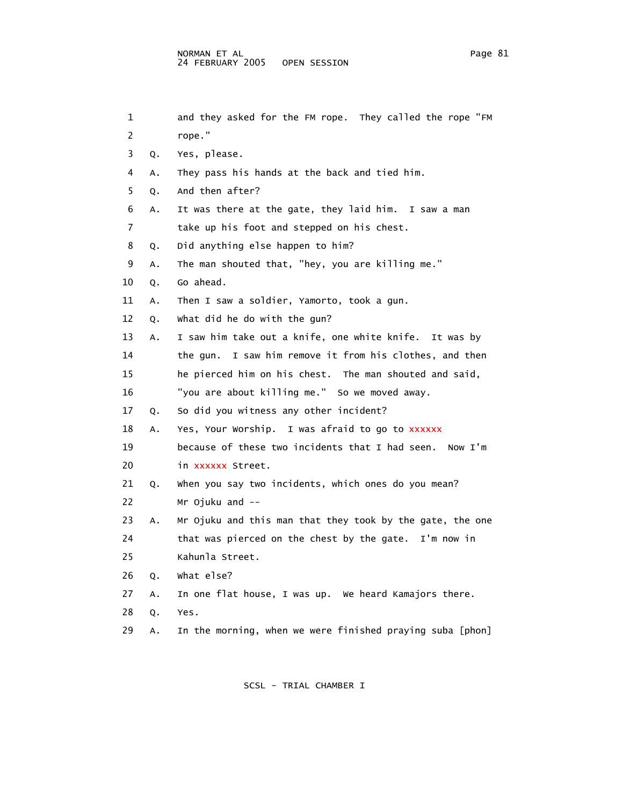| 1  |    | and they asked for the FM rope. They called the rope "FM  |
|----|----|-----------------------------------------------------------|
| 2  |    | rope."                                                    |
| 3  | Q. | Yes, please.                                              |
| 4  | А. | They pass his hands at the back and tied him.             |
| 5  | О. | And then after?                                           |
| 6  | А. | It was there at the gate, they laid him. I saw a man      |
| 7  |    | take up his foot and stepped on his chest.                |
| 8  | Q. | Did anything else happen to him?                          |
| 9  | А. | The man shouted that, "hey, you are killing me."          |
| 10 | Q. | Go ahead.                                                 |
| 11 | А. | Then I saw a soldier, Yamorto, took a gun.                |
| 12 | Q. | what did he do with the gun?                              |
| 13 | Α. | I saw him take out a knife, one white knife. It was by    |
| 14 |    | the gun. I saw him remove it from his clothes, and then   |
| 15 |    | he pierced him on his chest. The man shouted and said,    |
| 16 |    | "you are about killing me." So we moved away.             |
| 17 | Q. | So did you witness any other incident?                    |
| 18 | А. | Yes, Your Worship. I was afraid to go to XXXXXX           |
| 19 |    | because of these two incidents that I had seen.  Now I'm  |
| 20 |    | in xxxxxx Street.                                         |
| 21 | Q. | when you say two incidents, which ones do you mean?       |
| 22 |    | Mr Ojuku and --                                           |
| 23 | Α. | Mr Ojuku and this man that they took by the gate, the one |
| 24 |    | that was pierced on the chest by the gate. I'm now in     |
| 25 |    | Kahunla Street.                                           |
| 26 | Q. | what else?                                                |
| 27 | Α. | In one flat house, I was up. We heard Kamajors there.     |
| 28 | Q. | Yes.                                                      |
| 29 | Α. | In the morning, when we were finished praying suba [phon] |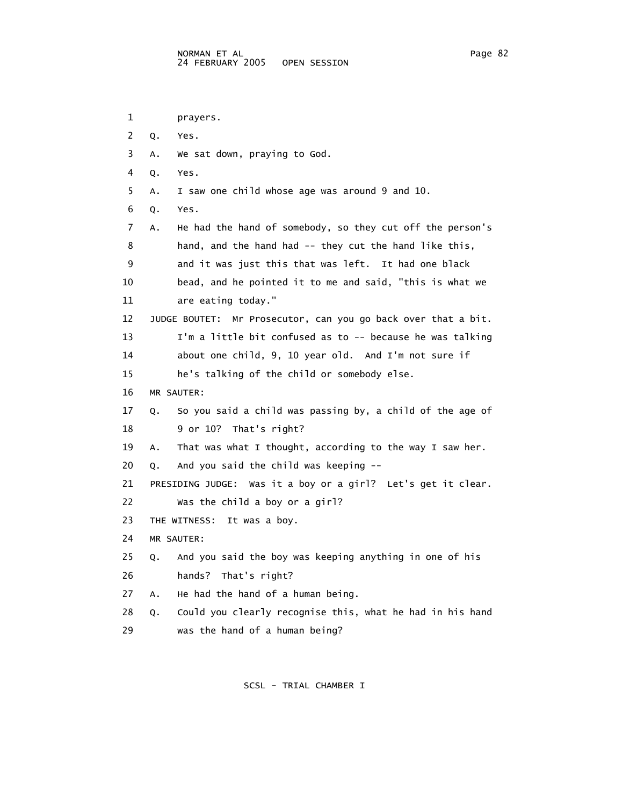```
 1 prayers. 
 2 Q. Yes. 
 3 A. We sat down, praying to God. 
 4 Q. Yes. 
  5 A. I saw one child whose age was around 9 and 10. 
 6 Q. Yes. 
 7 A. He had the hand of somebody, so they cut off the person's 
 8 hand, and the hand had -- they cut the hand like this, 
 9 and it was just this that was left. It had one black 
 10 bead, and he pointed it to me and said, "this is what we 
 11 are eating today." 
 12 JUDGE BOUTET: Mr Prosecutor, can you go back over that a bit. 
 13 I'm a little bit confused as to -- because he was talking 
 14 about one child, 9, 10 year old. And I'm not sure if 
 15 he's talking of the child or somebody else. 
 16 MR SAUTER: 
 17 Q. So you said a child was passing by, a child of the age of 
 18 9 or 10? That's right? 
 19 A. That was what I thought, according to the way I saw her. 
 20 Q. And you said the child was keeping -- 
 21 PRESIDING JUDGE: Was it a boy or a girl? Let's get it clear. 
 22 Was the child a boy or a girl? 
23 THE WITNESS: It was a boy.
 24 MR SAUTER: 
 25 Q. And you said the boy was keeping anything in one of his 
 26 hands? That's right? 
 27 A. He had the hand of a human being. 
 28 Q. Could you clearly recognise this, what he had in his hand 
 29 was the hand of a human being?
```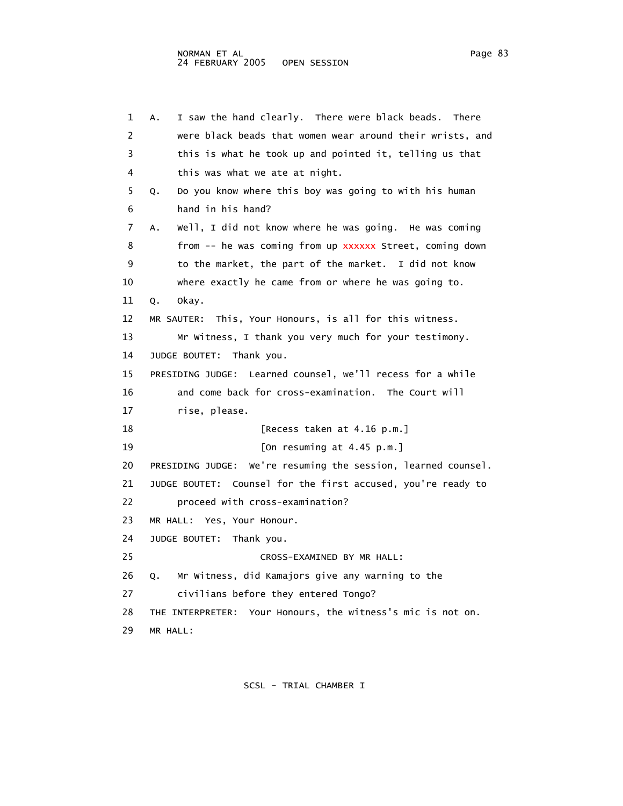1 A. I saw the hand clearly. There were black beads. There 2 were black beads that women wear around their wrists, and 3 this is what he took up and pointed it, telling us that 4 this was what we ate at night. 5 Q. Do you know where this boy was going to with his human 6 hand in his hand? 7 A. Well, I did not know where he was going. He was coming 8 from -- he was coming from up xxxxxx Street, coming down 9 to the market, the part of the market. I did not know 10 where exactly he came from or where he was going to. 11 Q. Okay. 12 MR SAUTER: This, Your Honours, is all for this witness. 13 Mr Witness, I thank you very much for your testimony. 14 JUDGE BOUTET: Thank you. 15 PRESIDING JUDGE: Learned counsel, we'll recess for a while 16 and come back for cross-examination. The Court will 17 rise, please. 18 **IS** [Recess taken at 4.16 p.m.] 19 [On resuming at 4.45 p.m.] 20 PRESIDING JUDGE: We're resuming the session, learned counsel. 21 JUDGE BOUTET: Counsel for the first accused, you're ready to 22 proceed with cross-examination? 23 MR HALL: Yes, Your Honour. 24 JUDGE BOUTET: Thank you. 25 CROSS-EXAMINED BY MR HALL: 26 Q. Mr Witness, did Kamajors give any warning to the 27 civilians before they entered Tongo? 28 THE INTERPRETER: Your Honours, the witness's mic is not on. 29 MR HALL: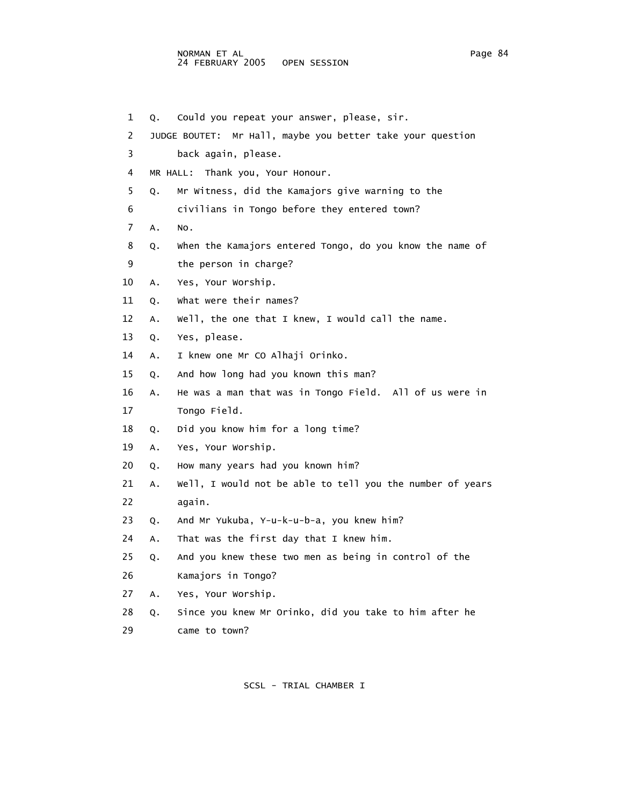## NORMAN ET AL Page 84 24 FEBRUARY 2005 OPEN SESSION

1 Q. Could you repeat your answer, please, sir.

 2 JUDGE BOUTET: Mr Hall, maybe you better take your question 3 back again, please. 4 MR HALL: Thank you, Your Honour. 5 Q. Mr Witness, did the Kamajors give warning to the 6 civilians in Tongo before they entered town? 7 A. No. 8 Q. When the Kamajors entered Tongo, do you know the name of 9 the person in charge? 10 A. Yes, Your Worship. 11 Q. What were their names? 12 A. Well, the one that I knew, I would call the name. 13 Q. Yes, please. 14 A. I knew one Mr CO Alhaji Orinko. 15 Q. And how long had you known this man? 16 A. He was a man that was in Tongo Field. All of us were in 17 Tongo Field. 18 Q. Did you know him for a long time? 19 A. Yes, Your Worship. 20 Q. How many years had you known him? 21 A. Well, I would not be able to tell you the number of years 22 again. 23 Q. And Mr Yukuba, Y-u-k-u-b-a, you knew him? 24 A. That was the first day that I knew him. 25 Q. And you knew these two men as being in control of the 26 Kamajors in Tongo? 27 A. Yes, Your Worship. 28 Q. Since you knew Mr Orinko, did you take to him after he 29 came to town?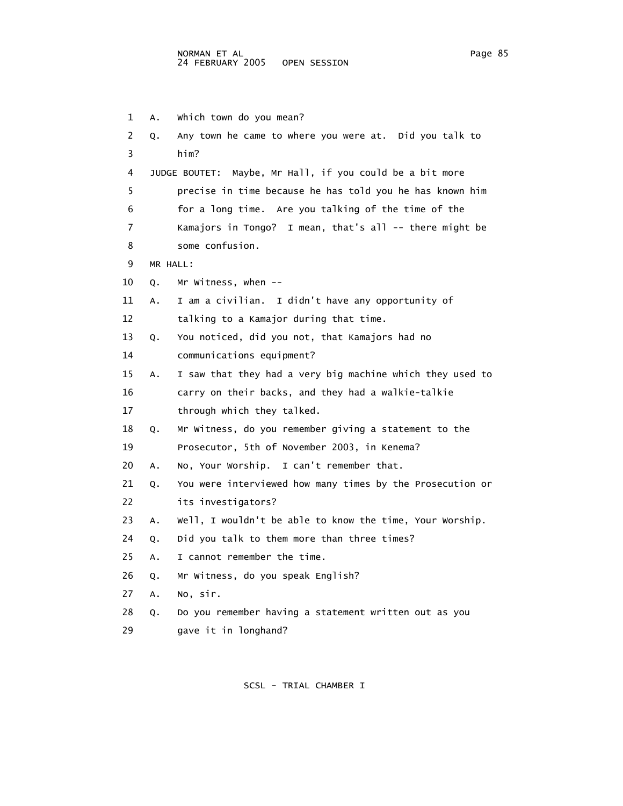1 A. Which town do you mean? 2 Q. Any town he came to where you were at. Did you talk to 3 him? 4 JUDGE BOUTET: Maybe, Mr Hall, if you could be a bit more 5 precise in time because he has told you he has known him 6 for a long time. Are you talking of the time of the 7 Kamajors in Tongo? I mean, that's all -- there might be 8 some confusion. 9 MR HALL: 10 Q. Mr Witness, when -- 11 A. I am a civilian. I didn't have any opportunity of 12 talking to a Kamajor during that time. 13 Q. You noticed, did you not, that Kamajors had no 14 communications equipment? 15 A. I saw that they had a very big machine which they used to 16 carry on their backs, and they had a walkie-talkie 17 through which they talked. 18 Q. Mr Witness, do you remember giving a statement to the 19 Prosecutor, 5th of November 2003, in Kenema? 20 A. No, Your Worship. I can't remember that. 21 Q. You were interviewed how many times by the Prosecution or 22 its investigators? 23 A. Well, I wouldn't be able to know the time, Your Worship. 24 Q. Did you talk to them more than three times? 25 A. I cannot remember the time. 26 Q. Mr Witness, do you speak English? 27 A. No, sir. 28 Q. Do you remember having a statement written out as you 29 gave it in longhand?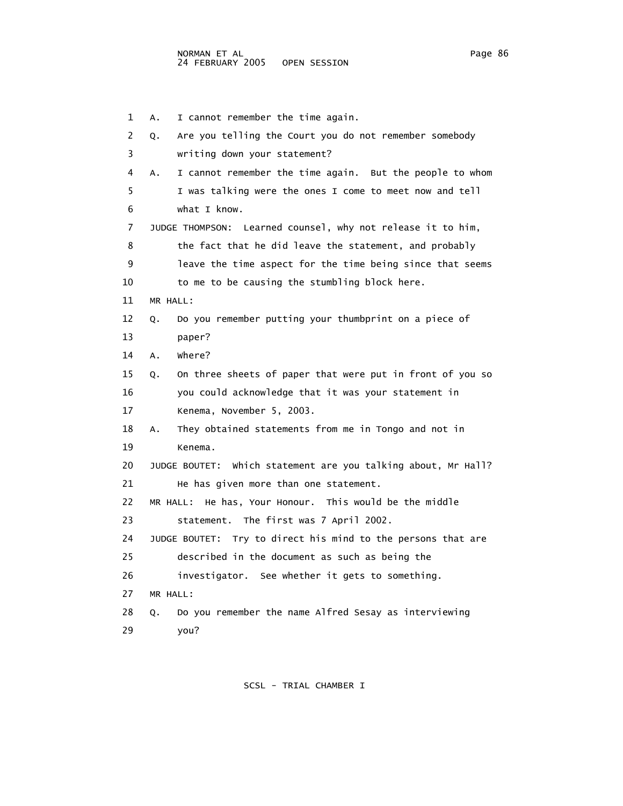1 A. I cannot remember the time again. 2 Q. Are you telling the Court you do not remember somebody 3 writing down your statement? 4 A. I cannot remember the time again. But the people to whom 5 I was talking were the ones I come to meet now and tell 6 what I know. 7 JUDGE THOMPSON: Learned counsel, why not release it to him, 8 the fact that he did leave the statement, and probably 9 leave the time aspect for the time being since that seems 10 to me to be causing the stumbling block here. 11 MR HALL: 12 Q. Do you remember putting your thumbprint on a piece of 13 paper? 14 A. Where? 15 Q. On three sheets of paper that were put in front of you so 16 you could acknowledge that it was your statement in 17 Kenema, November 5, 2003. 18 A. They obtained statements from me in Tongo and not in 19 Kenema. 20 JUDGE BOUTET: Which statement are you talking about, Mr Hall? 21 He has given more than one statement. 22 MR HALL: He has, Your Honour. This would be the middle 23 statement. The first was 7 April 2002. 24 JUDGE BOUTET: Try to direct his mind to the persons that are 25 described in the document as such as being the 26 investigator. See whether it gets to something. 27 MR HALL: 28 Q. Do you remember the name Alfred Sesay as interviewing 29 you?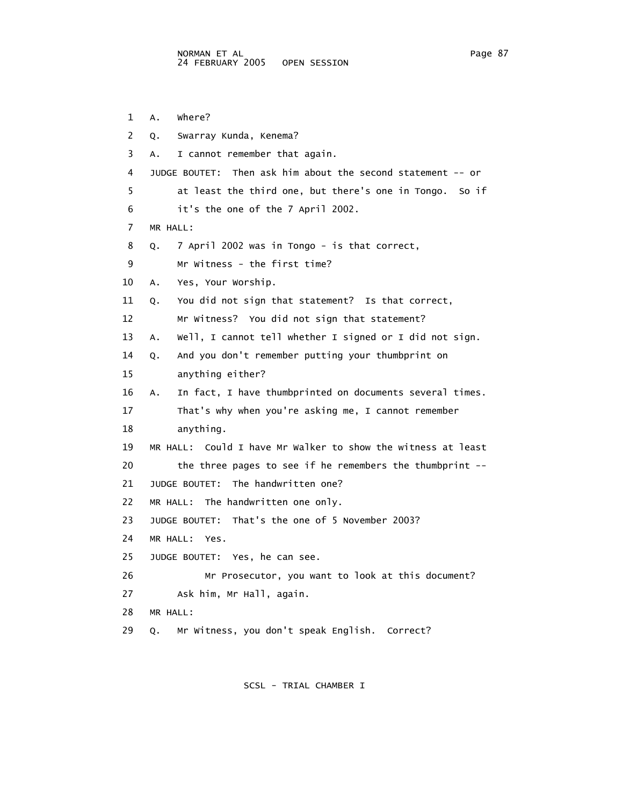1 A. Where? 2 Q. Swarray Kunda, Kenema? 3 A. I cannot remember that again. 4 JUDGE BOUTET: Then ask him about the second statement -- or 5 at least the third one, but there's one in Tongo. So if 6 it's the one of the 7 April 2002. 7 MR HALL: 8 Q. 7 April 2002 was in Tongo - is that correct, 9 Mr Witness - the first time? 10 A. Yes, Your Worship. 11 Q. You did not sign that statement? Is that correct, 12 Mr Witness? You did not sign that statement? 13 A. Well, I cannot tell whether I signed or I did not sign. 14 Q. And you don't remember putting your thumbprint on 15 anything either? 16 A. In fact, I have thumbprinted on documents several times. 17 That's why when you're asking me, I cannot remember 18 anything. 19 MR HALL: Could I have Mr Walker to show the witness at least 20 the three pages to see if he remembers the thumbprint -- 21 JUDGE BOUTET: The handwritten one? 22 MR HALL: The handwritten one only. 23 JUDGE BOUTET: That's the one of 5 November 2003? 24 MR HALL: Yes. 25 JUDGE BOUTET: Yes, he can see. 26 Mr Prosecutor, you want to look at this document? 27 Ask him, Mr Hall, again. 28 MR HALL: 29 Q. Mr Witness, you don't speak English. Correct?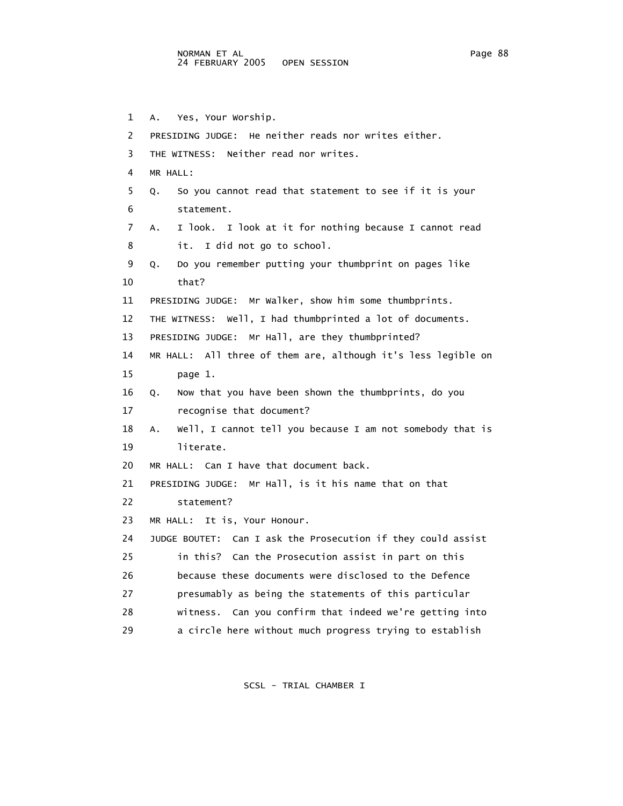1 A. Yes, Your Worship. 2 PRESIDING JUDGE: He neither reads nor writes either. 3 THE WITNESS: Neither read nor writes. 4 MR HALL: 5 Q. So you cannot read that statement to see if it is your 6 statement. 7 A. I look. I look at it for nothing because I cannot read 8 it. I did not go to school. 9 Q. Do you remember putting your thumbprint on pages like 10 that? 11 PRESIDING JUDGE: Mr Walker, show him some thumbprints. 12 THE WITNESS: Well, I had thumbprinted a lot of documents. 13 PRESIDING JUDGE: Mr Hall, are they thumbprinted? 14 MR HALL: All three of them are, although it's less legible on 15 page 1. 16 Q. Now that you have been shown the thumbprints, do you 17 recognise that document? 18 A. Well, I cannot tell you because I am not somebody that is 19 literate. 20 MR HALL: Can I have that document back. 21 PRESIDING JUDGE: Mr Hall, is it his name that on that 22 statement? 23 MR HALL: It is, Your Honour. 24 JUDGE BOUTET: Can I ask the Prosecution if they could assist 25 in this? Can the Prosecution assist in part on this 26 because these documents were disclosed to the Defence 27 presumably as being the statements of this particular 28 witness. Can you confirm that indeed we're getting into 29 a circle here without much progress trying to establish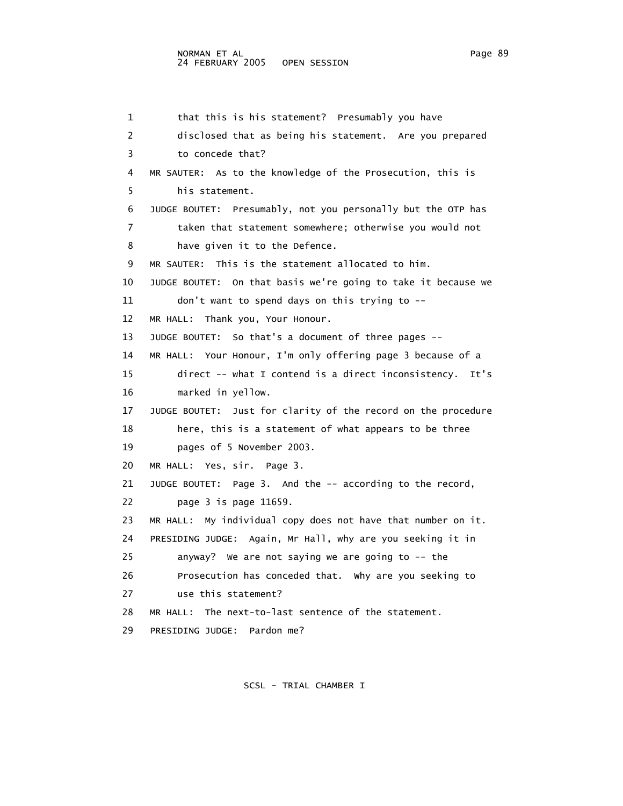## NORMAN ET AL Page 89 24 FEBRUARY 2005 OPEN SESSION

 1 that this is his statement? Presumably you have 2 disclosed that as being his statement. Are you prepared 3 to concede that? 4 MR SAUTER: As to the knowledge of the Prosecution, this is 5 his statement. 6 JUDGE BOUTET: Presumably, not you personally but the OTP has 7 taken that statement somewhere; otherwise you would not 8 have given it to the Defence. 9 MR SAUTER: This is the statement allocated to him. 10 JUDGE BOUTET: On that basis we're going to take it because we 11 don't want to spend days on this trying to -- 12 MR HALL: Thank you, Your Honour. 13 JUDGE BOUTET: So that's a document of three pages -- 14 MR HALL: Your Honour, I'm only offering page 3 because of a 15 direct -- what I contend is a direct inconsistency. It's 16 marked in yellow. 17 JUDGE BOUTET: Just for clarity of the record on the procedure 18 here, this is a statement of what appears to be three 19 pages of 5 November 2003. 20 MR HALL: Yes, sir. Page 3. 21 JUDGE BOUTET: Page 3. And the -- according to the record, 22 page 3 is page 11659. 23 MR HALL: My individual copy does not have that number on it. 24 PRESIDING JUDGE: Again, Mr Hall, why are you seeking it in 25 anyway? We are not saying we are going to -- the 26 Prosecution has conceded that. Why are you seeking to 27 use this statement? 28 MR HALL: The next-to-last sentence of the statement. 29 PRESIDING JUDGE: Pardon me?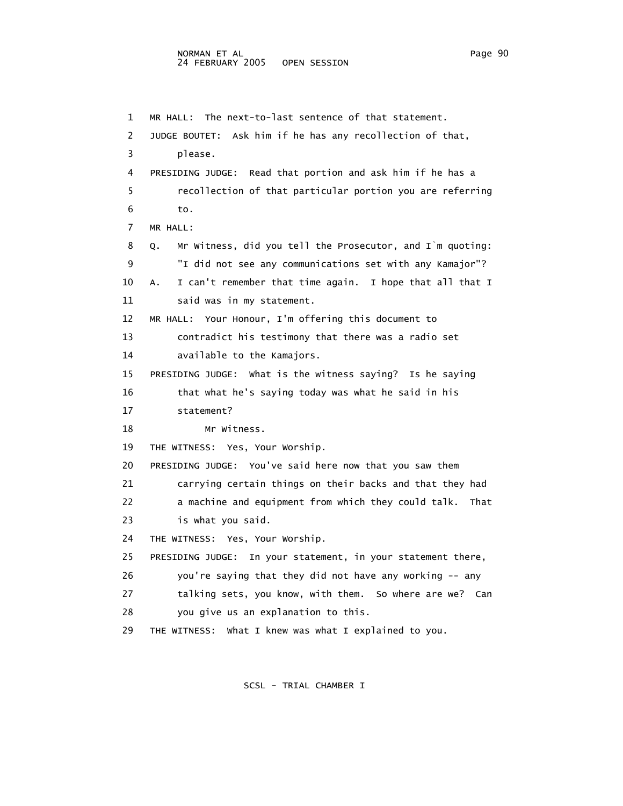1 MR HALL: The next-to-last sentence of that statement. 2 JUDGE BOUTET: Ask him if he has any recollection of that, 3 please. 4 PRESIDING JUDGE: Read that portion and ask him if he has a 5 recollection of that particular portion you are referring 6 to. 7 MR HALL: 8 Q. Mr Witness, did you tell the Prosecutor, and I`m quoting: 9 "I did not see any communications set with any Kamajor"? 10 A. I can't remember that time again. I hope that all that I 11 said was in my statement. 12 MR HALL: Your Honour, I'm offering this document to 13 contradict his testimony that there was a radio set 14 available to the Kamajors. 15 PRESIDING JUDGE: What is the witness saying? Is he saying 16 that what he's saying today was what he said in his 17 statement? 18 Mr Witness. 19 THE WITNESS: Yes, Your Worship. 20 PRESIDING JUDGE: You've said here now that you saw them 21 carrying certain things on their backs and that they had 22 a machine and equipment from which they could talk. That 23 is what you said. 24 THE WITNESS: Yes, Your Worship. 25 PRESIDING JUDGE: In your statement, in your statement there, 26 you're saying that they did not have any working -- any

27 talking sets, you know, with them. So where are we? Can

- 28 you give us an explanation to this.
- 29 THE WITNESS: What I knew was what I explained to you.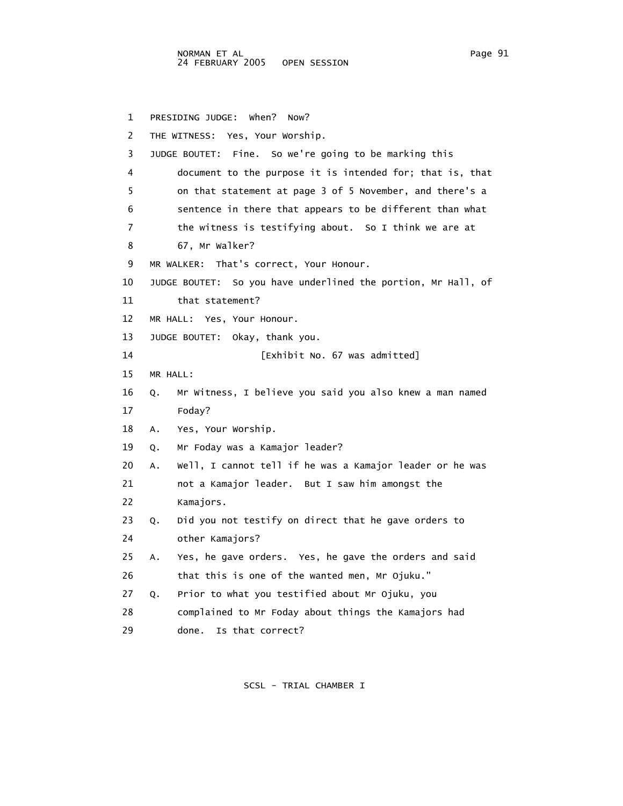1 PRESIDING JUDGE: When? Now? 2 THE WITNESS: Yes, Your Worship. 3 JUDGE BOUTET: Fine. So we're going to be marking this 4 document to the purpose it is intended for; that is, that 5 on that statement at page 3 of 5 November, and there's a 6 sentence in there that appears to be different than what 7 the witness is testifying about. So I think we are at 8 67, Mr Walker? 9 MR WALKER: That's correct, Your Honour. 10 JUDGE BOUTET: So you have underlined the portion, Mr Hall, of 11 that statement? 12 MR HALL: Yes, Your Honour. 13 JUDGE BOUTET: Okay, thank you. 14 [Exhibit No. 67 was admitted] 15 MR HALL: 16 Q. Mr Witness, I believe you said you also knew a man named 17 Foday? 18 A. Yes, Your Worship. 19 Q. Mr Foday was a Kamajor leader? 20 A. Well, I cannot tell if he was a Kamajor leader or he was 21 not a Kamajor leader. But I saw him amongst the 22 Kamajors. 23 Q. Did you not testify on direct that he gave orders to 24 other Kamajors? 25 A. Yes, he gave orders. Yes, he gave the orders and said 26 that this is one of the wanted men, Mr Ojuku." 27 Q. Prior to what you testified about Mr Ojuku, you 28 complained to Mr Foday about things the Kamajors had 29 done. Is that correct?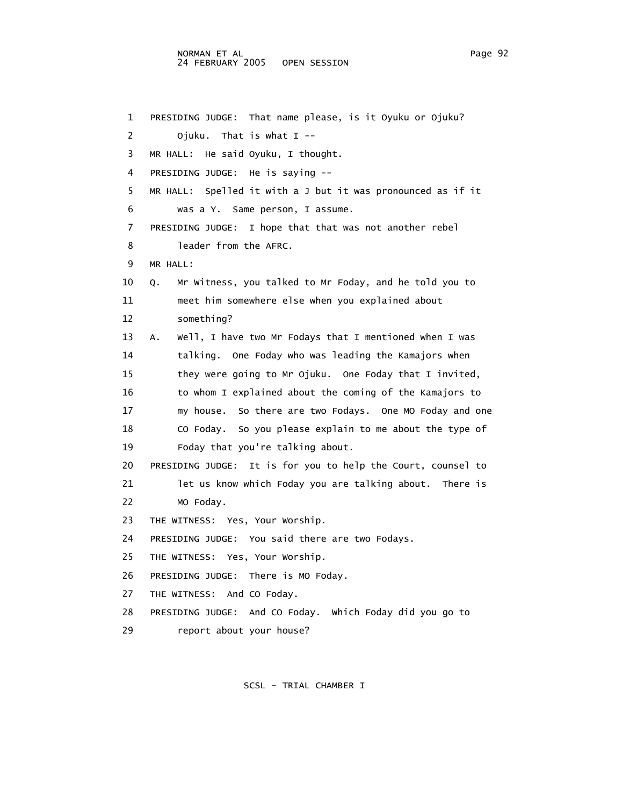1 PRESIDING JUDGE: That name please, is it Oyuku or Ojuku? 2 Ojuku. That is what I -- 3 MR HALL: He said Oyuku, I thought. 4 PRESIDING JUDGE: He is saying -- 5 MR HALL: Spelled it with a J but it was pronounced as if it 6 was a Y. Same person, I assume. 7 PRESIDING JUDGE: I hope that that was not another rebel 8 leader from the AFRC. 9 MR HALL: 10 Q. Mr Witness, you talked to Mr Foday, and he told you to 11 meet him somewhere else when you explained about 12 something? 13 A. Well, I have two Mr Fodays that I mentioned when I was 14 talking. One Foday who was leading the Kamajors when 15 they were going to Mr Ojuku. One Foday that I invited, 16 to whom I explained about the coming of the Kamajors to 17 my house. So there are two Fodays. One MO Foday and one 18 CO Foday. So you please explain to me about the type of 19 Foday that you're talking about. 20 PRESIDING JUDGE: It is for you to help the Court, counsel to 21 let us know which Foday you are talking about. There is 22 MO Foday. 23 THE WITNESS: Yes, Your Worship. 24 PRESIDING JUDGE: You said there are two Fodays. 25 THE WITNESS: Yes, Your Worship. 26 PRESIDING JUDGE: There is MO Foday. 27 THE WITNESS: And CO Foday. 28 PRESIDING JUDGE: And CO Foday. Which Foday did you go to 29 report about your house?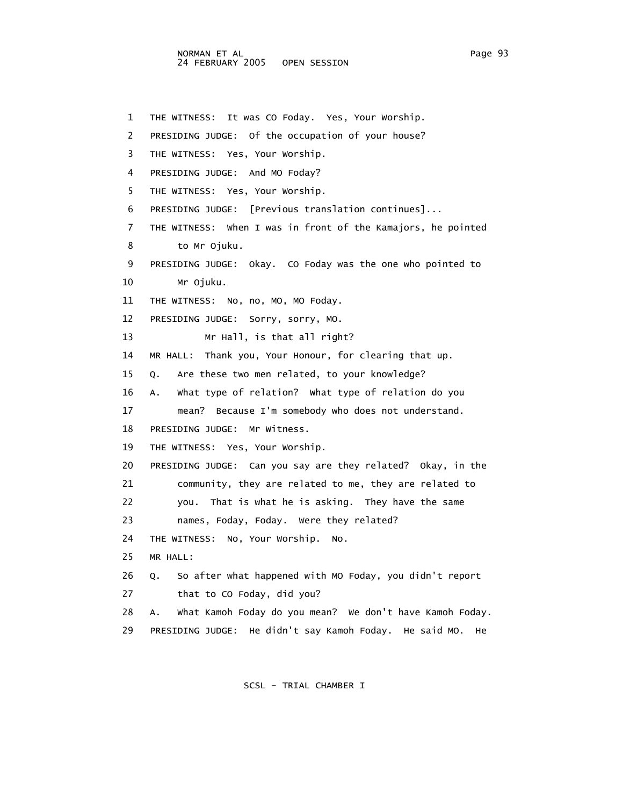1 THE WITNESS: It was CO Foday. Yes, Your Worship. 2 PRESIDING JUDGE: Of the occupation of your house? 3 THE WITNESS: Yes, Your Worship. 4 PRESIDING JUDGE: And MO Foday? 5 THE WITNESS: Yes, Your Worship. 6 PRESIDING JUDGE: [Previous translation continues]... 7 THE WITNESS: When I was in front of the Kamajors, he pointed 8 to Mr Ojuku. 9 PRESIDING JUDGE: Okay. CO Foday was the one who pointed to 10 Mr Ojuku. 11 THE WITNESS: No, no, MO, MO Foday. 12 PRESIDING JUDGE: Sorry, sorry, MO. 13 Mr Hall, is that all right? 14 MR HALL: Thank you, Your Honour, for clearing that up. 15 Q. Are these two men related, to your knowledge? 16 A. What type of relation? What type of relation do you 17 mean? Because I'm somebody who does not understand. 18 PRESIDING JUDGE: Mr Witness. 19 THE WITNESS: Yes, Your Worship. 20 PRESIDING JUDGE: Can you say are they related? Okay, in the 21 community, they are related to me, they are related to 22 you. That is what he is asking. They have the same 23 names, Foday, Foday. Were they related? 24 THE WITNESS: No, Your Worship. No. 25 MR HALL: 26 Q. So after what happened with MO Foday, you didn't report 27 that to CO Foday, did you? 28 A. What Kamoh Foday do you mean? We don't have Kamoh Foday. 29 PRESIDING JUDGE: He didn't say Kamoh Foday. He said MO. He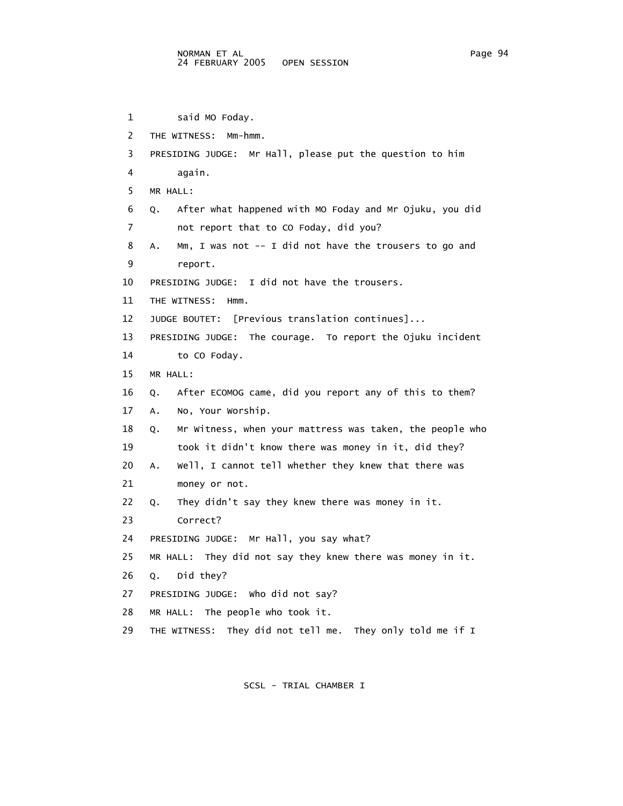```
 1 said MO Foday. 
 2 THE WITNESS: Mm-hmm. 
 3 PRESIDING JUDGE: Mr Hall, please put the question to him 
 4 again. 
 5 MR HALL: 
 6 Q. After what happened with MO Foday and Mr Ojuku, you did 
 7 not report that to CO Foday, did you? 
 8 A. Mm, I was not -- I did not have the trousers to go and 
 9 report. 
 10 PRESIDING JUDGE: I did not have the trousers. 
 11 THE WITNESS: Hmm. 
 12 JUDGE BOUTET: [Previous translation continues]... 
 13 PRESIDING JUDGE: The courage. To report the Ojuku incident 
 14 to CO Foday. 
 15 MR HALL: 
 16 Q. After ECOMOG came, did you report any of this to them? 
 17 A. No, Your Worship. 
 18 Q. Mr Witness, when your mattress was taken, the people who 
 19 took it didn't know there was money in it, did they? 
 20 A. Well, I cannot tell whether they knew that there was 
 21 money or not. 
 22 Q. They didn't say they knew there was money in it. 
 23 Correct? 
 24 PRESIDING JUDGE: Mr Hall, you say what? 
 25 MR HALL: They did not say they knew there was money in it. 
 26 Q. Did they? 
 27 PRESIDING JUDGE: Who did not say? 
 28 MR HALL: The people who took it. 
 29 THE WITNESS: They did not tell me. They only told me if I
```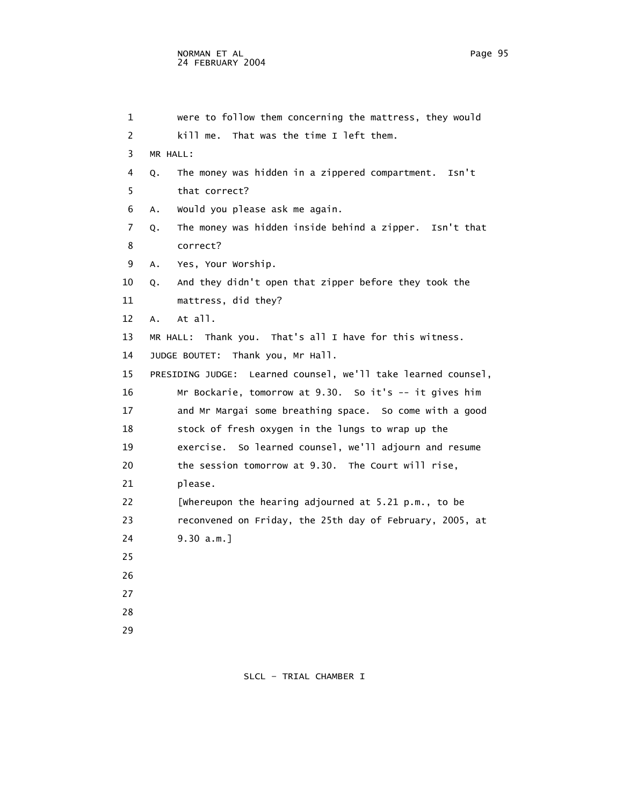| $\mathbf{1}$ | were to follow them concerning the mattress, they would                                                                                                                                                                         |
|--------------|---------------------------------------------------------------------------------------------------------------------------------------------------------------------------------------------------------------------------------|
| 2            | kill me. That was the time I left them.                                                                                                                                                                                         |
| 3            | MR HALL:                                                                                                                                                                                                                        |
| 4            | The money was hidden in a zippered compartment. Isn't<br>Q.                                                                                                                                                                     |
| 5            | that correct?                                                                                                                                                                                                                   |
| 6            | Would you please ask me again.<br>Α.                                                                                                                                                                                            |
| 7            | The money was hidden inside behind a zipper. Isn't that<br>Q.                                                                                                                                                                   |
| 8            | correct?                                                                                                                                                                                                                        |
| 9            | Yes, Your Worship.<br>A.                                                                                                                                                                                                        |
| 10           | And they didn't open that zipper before they took the<br>Q.                                                                                                                                                                     |
| 11           | mattress, did they?                                                                                                                                                                                                             |
| 12           | $At$ all.<br>A.                                                                                                                                                                                                                 |
| 13           | MR HALL: Thank you. That's all I have for this witness.                                                                                                                                                                         |
| 14           | JUDGE BOUTET: Thank you, Mr Hall.                                                                                                                                                                                               |
| 15           | PRESIDING JUDGE: Learned counsel, we'll take learned counsel,                                                                                                                                                                   |
| 16           | Mr Bockarie, tomorrow at 9.30. So it's -- it gives him                                                                                                                                                                          |
| 17           | and Mr Margai some breathing space. So come with a good                                                                                                                                                                         |
| 18           | stock of fresh oxygen in the lungs to wrap up the                                                                                                                                                                               |
|              | $\sim$ , and the set of the set of the set of the set of the set of the set of the set of the set of the set of the set of the set of the set of the set of the set of the set of the set of the set of the set of the set of t |

- 12 A. A<sup>.</sup>
- 13 MR HALL: Thank you. That's all I have for this witness.
	- 14 JUDGE

| 15 | PRESIDING JUDGE: Learned counsel, we'll take learned counsel, |
|----|---------------------------------------------------------------|
| 16 | Mr Bockarie, tomorrow at 9.30. So it's -- it gives him        |
| 17 | and Mr Margai some breathing space. So come with a good       |
| 18 | stock of fresh oxygen in the lungs to wrap up the             |
| 19 | exercise. So learned counsel, we'll adjourn and resume        |
| 20 | the session tomorrow at 9.30. The Court will rise,            |
| 21 | please.                                                       |
| 22 | [whereupon the hearing adjourned at 5.21 p.m., to be          |
| 23 | reconvened on Friday, the 25th day of February, 2005, at      |
| 24 | 9.30 a.m.                                                     |
| 25 |                                                               |

- 26
- 27
- 
- 28
- 29